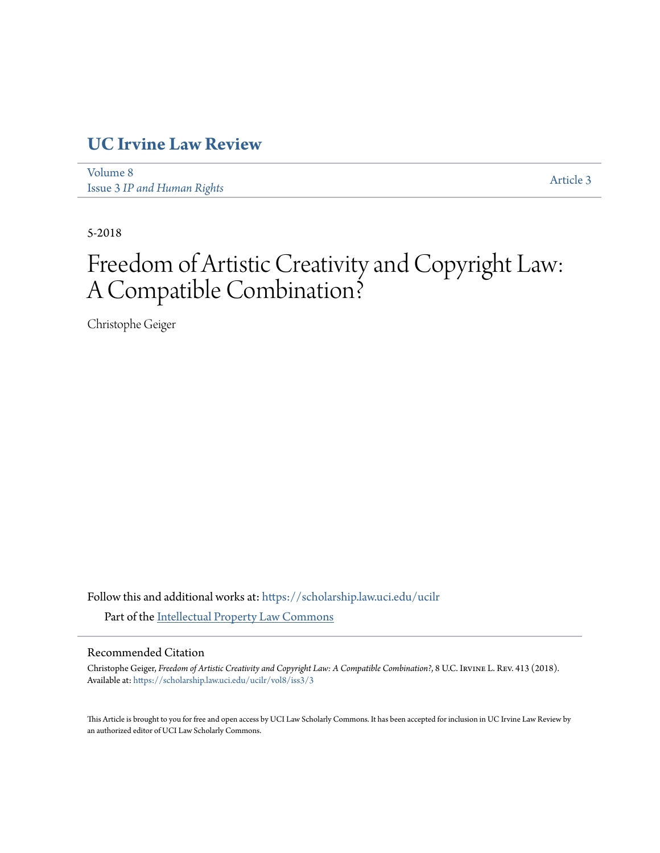## **[UC Irvine Law Review](https://scholarship.law.uci.edu/ucilr?utm_source=scholarship.law.uci.edu%2Fucilr%2Fvol8%2Fiss3%2F3&utm_medium=PDF&utm_campaign=PDFCoverPages)**

[Volume 8](https://scholarship.law.uci.edu/ucilr/vol8?utm_source=scholarship.law.uci.edu%2Fucilr%2Fvol8%2Fiss3%2F3&utm_medium=PDF&utm_campaign=PDFCoverPages) Issue 3 *[IP and Human Rights](https://scholarship.law.uci.edu/ucilr/vol8/iss3?utm_source=scholarship.law.uci.edu%2Fucilr%2Fvol8%2Fiss3%2F3&utm_medium=PDF&utm_campaign=PDFCoverPages)*

[Article 3](https://scholarship.law.uci.edu/ucilr/vol8/iss3/3?utm_source=scholarship.law.uci.edu%2Fucilr%2Fvol8%2Fiss3%2F3&utm_medium=PDF&utm_campaign=PDFCoverPages)

5-2018

# Freedom of Artistic Creativity and Copyright Law: A Compatible Combination?

Christophe Geiger

Follow this and additional works at: [https://scholarship.law.uci.edu/ucilr](https://scholarship.law.uci.edu/ucilr?utm_source=scholarship.law.uci.edu%2Fucilr%2Fvol8%2Fiss3%2F3&utm_medium=PDF&utm_campaign=PDFCoverPages) Part of the [Intellectual Property Law Commons](http://network.bepress.com/hgg/discipline/896?utm_source=scholarship.law.uci.edu%2Fucilr%2Fvol8%2Fiss3%2F3&utm_medium=PDF&utm_campaign=PDFCoverPages)

## Recommended Citation

Christophe Geiger, *Freedom of Artistic Creativity and Copyright Law: A Compatible Combination?*, 8 U.C. Irvine L. Rev. 413 (2018). Available at: [https://scholarship.law.uci.edu/ucilr/vol8/iss3/3](https://scholarship.law.uci.edu/ucilr/vol8/iss3/3?utm_source=scholarship.law.uci.edu%2Fucilr%2Fvol8%2Fiss3%2F3&utm_medium=PDF&utm_campaign=PDFCoverPages)

This Article is brought to you for free and open access by UCI Law Scholarly Commons. It has been accepted for inclusion in UC Irvine Law Review by an authorized editor of UCI Law Scholarly Commons.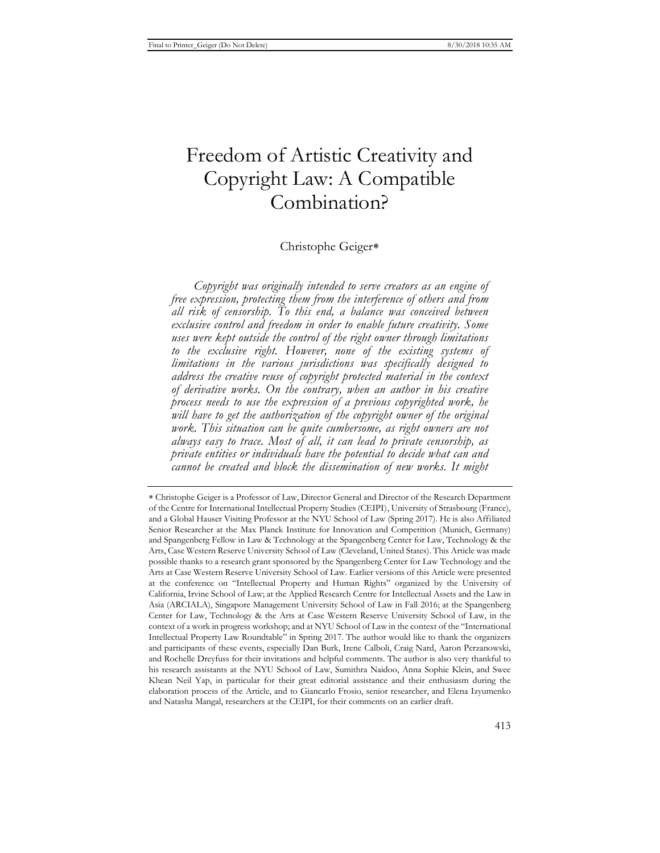## Freedom of Artistic Creativity and Copyright Law: A Compatible Combination?

## Christophe Geiger

*Copyright was originally intended to serve creators as an engine of free expression, protecting them from the interference of others and from all risk of censorship. To this end, a balance was conceived between exclusive control and freedom in order to enable future creativity. Some uses were kept outside the control of the right owner through limitations to the exclusive right. However, none of the existing systems of limitations in the various jurisdictions was specifically designed to address the creative reuse of copyright protected material in the context of derivative works. On the contrary, when an author in his creative process needs to use the expression of a previous copyrighted work, he will have to get the authorization of the copyright owner of the original work. This situation can be quite cumbersome, as right owners are not always easy to trace. Most of all, it can lead to private censorship, as private entities or individuals have the potential to decide what can and cannot be created and block the dissemination of new works. It might* 

Christophe Geiger is a Professor of Law, Director General and Director of the Research Department of the Centre for International Intellectual Property Studies (CEIPI), University of Strasbourg (France), and a Global Hauser Visiting Professor at the NYU School of Law (Spring 2017). He is also Affiliated Senior Researcher at the Max Planck Institute for Innovation and Competition (Munich, Germany) and Spangenberg Fellow in Law & Technology at the Spangenberg Center for Law, Technology & the Arts, Case Western Reserve University School of Law (Cleveland, United States). This Article was made possible thanks to a research grant sponsored by the Spangenberg Center for Law Technology and the Arts at Case Western Reserve University School of Law. Earlier versions of this Article were presented at the conference on "Intellectual Property and Human Rights" organized by the University of California, Irvine School of Law; at the Applied Research Centre for Intellectual Assets and the Law in Asia (ARCIALA), Singapore Management University School of Law in Fall 2016; at the Spangenberg Center for Law, Technology & the Arts at Case Western Reserve University School of Law, in the context of a work in progress workshop; and at NYU School of Law in the context of the "International Intellectual Property Law Roundtable" in Spring 2017. The author would like to thank the organizers and participants of these events, especially Dan Burk, Irene Calboli, Craig Nard, Aaron Perzanowski, and Rochelle Dreyfuss for their invitations and helpful comments. The author is also very thankful to his research assistants at the NYU School of Law, Sumithra Naidoo, Anna Sophie Klein, and Swee Khean Neil Yap, in particular for their great editorial assistance and their enthusiasm during the elaboration process of the Article, and to Giancarlo Frosio, senior researcher, and Elena Izyumenko and Natasha Mangal, researchers at the CEIPI, for their comments on an earlier draft.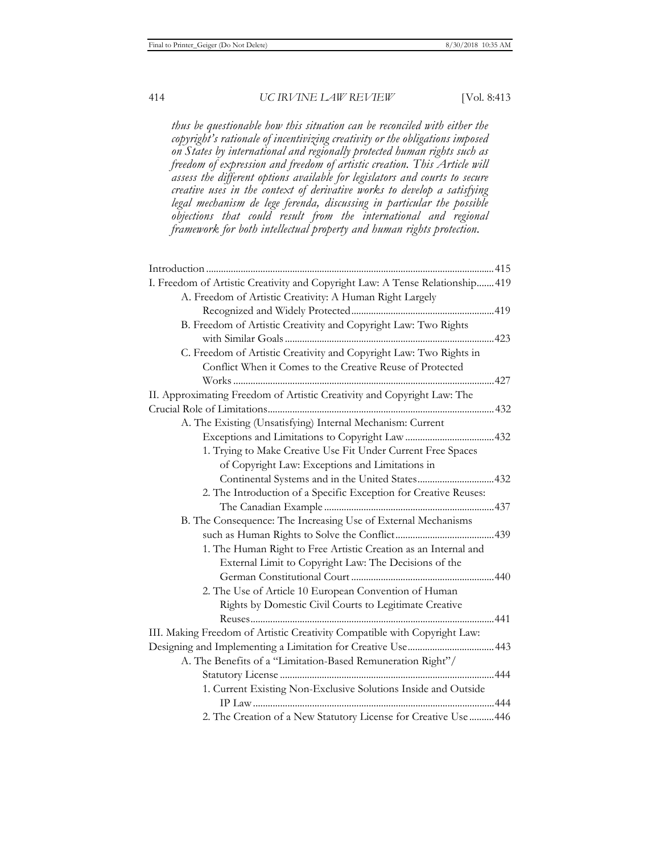*thus be questionable how this situation can be reconciled with either the copyright's rationale of incentivizing creativity or the obligations imposed on States by international and regionally protected human rights such as freedom of expression and freedom of artistic creation. This Article will assess the different options available for legislators and courts to secure creative uses in the context of derivative works to develop a satisfying legal mechanism de lege ferenda, discussing in particular the possible objections that could result from the international and regional framework for both intellectual property and human rights protection.* 

| I. Freedom of Artistic Creativity and Copyright Law: A Tense Relationship 419 |  |
|-------------------------------------------------------------------------------|--|
| A. Freedom of Artistic Creativity: A Human Right Largely                      |  |
|                                                                               |  |
| B. Freedom of Artistic Creativity and Copyright Law: Two Rights               |  |
|                                                                               |  |
| C. Freedom of Artistic Creativity and Copyright Law: Two Rights in            |  |
| Conflict When it Comes to the Creative Reuse of Protected                     |  |
|                                                                               |  |
| II. Approximating Freedom of Artistic Creativity and Copyright Law: The       |  |
|                                                                               |  |
| A. The Existing (Unsatisfying) Internal Mechanism: Current                    |  |
|                                                                               |  |
| 1. Trying to Make Creative Use Fit Under Current Free Spaces                  |  |
| of Copyright Law: Exceptions and Limitations in                               |  |
| Continental Systems and in the United States432                               |  |
| 2. The Introduction of a Specific Exception for Creative Reuses:              |  |
|                                                                               |  |
| B. The Consequence: The Increasing Use of External Mechanisms                 |  |
|                                                                               |  |
| 1. The Human Right to Free Artistic Creation as an Internal and               |  |
| External Limit to Copyright Law: The Decisions of the                         |  |
|                                                                               |  |
| 2. The Use of Article 10 European Convention of Human                         |  |
| Rights by Domestic Civil Courts to Legitimate Creative                        |  |
|                                                                               |  |
| III. Making Freedom of Artistic Creativity Compatible with Copyright Law:     |  |
|                                                                               |  |
| A. The Benefits of a "Limitation-Based Remuneration Right"/                   |  |
|                                                                               |  |
| 1. Current Existing Non-Exclusive Solutions Inside and Outside                |  |
|                                                                               |  |
| 2. The Creation of a New Statutory License for Creative Use  446              |  |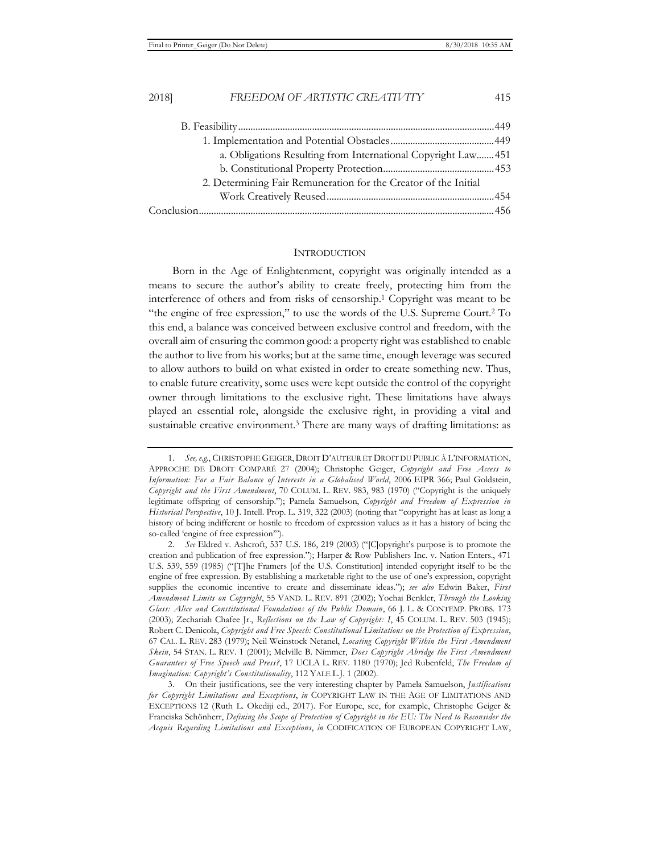| a. Obligations Resulting from International Copyright Law 451   |  |
|-----------------------------------------------------------------|--|
|                                                                 |  |
| 2. Determining Fair Remuneration for the Creator of the Initial |  |
|                                                                 |  |
|                                                                 |  |

#### **INTRODUCTION**

Born in the Age of Enlightenment, copyright was originally intended as a means to secure the author's ability to create freely, protecting him from the interference of others and from risks of censorship.1 Copyright was meant to be "the engine of free expression," to use the words of the U.S. Supreme Court.2 To this end, a balance was conceived between exclusive control and freedom, with the overall aim of ensuring the common good: a property right was established to enable the author to live from his works; but at the same time, enough leverage was secured to allow authors to build on what existed in order to create something new. Thus, to enable future creativity, some uses were kept outside the control of the copyright owner through limitations to the exclusive right. These limitations have always played an essential role, alongside the exclusive right, in providing a vital and sustainable creative environment.3 There are many ways of drafting limitations: as

<sup>1.</sup> *See, e.g.*, CHRISTOPHE GEIGER, DROIT D'AUTEUR ET DROIT DU PUBLIC À L'INFORMATION, APPROCHE DE DROIT COMPARÉ 27 (2004); Christophe Geiger, *Copyright and Free Access to Information: For a Fair Balance of Interests in a Globalised World*, 2006 EIPR 366; Paul Goldstein, *Copyright and the First Amendment*, 70 COLUM. L. REV. 983, 983 (1970) ("Copyright is the uniquely legitimate offspring of censorship."); Pamela Samuelson, *Copyright and Freedom of Expression in Historical Perspective*, 10 J. Intell. Prop. L. 319, 322 (2003) (noting that "copyright has at least as long a history of being indifferent or hostile to freedom of expression values as it has a history of being the so-called 'engine of free expression'").

<sup>2.</sup> *See* Eldred v. Ashcroft, 537 U.S. 186, 219 (2003) ("[C]opyright's purpose is to promote the creation and publication of free expression."); Harper & Row Publishers Inc. v. Nation Enters., 471 U.S. 539, 559 (1985) ("[T]he Framers [of the U.S. Constitution] intended copyright itself to be the engine of free expression. By establishing a marketable right to the use of one's expression, copyright supplies the economic incentive to create and disseminate ideas."); *see also* Edwin Baker, *First Amendment Limits on Copyright*, 55 VAND. L. REV. 891 (2002); Yochai Benkler, *Through the Looking Glass: Alice and Constitutional Foundations of the Public Domain*, 66 J. L. & CONTEMP. PROBS. 173 (2003); Zechariah Chafee Jr., *Reflections on the Law of Copyright: I*, 45 COLUM. L. REV. 503 (1945); Robert C. Denicola, *Copyright and Free Speech: Constitutional Limitations on the Protection of Expression*, 67 CAL. L. REV. 283 (1979); Neil Weinstock Netanel, *Locating Copyright Within the First Amendment Skein*, 54 STAN. L. REV. 1 (2001); Melville B. Nimmer, *Does Copyright Abridge the First Amendment Guarantees of Free Speech and Press?*, 17 UCLA L. REV. 1180 (1970); Jed Rubenfeld, *The Freedom of Imagination: Copyright's Constitutionality*, 112 YALE L.J. 1 (2002).

<sup>3.</sup> On their justifications, see the very interesting chapter by Pamela Samuelson, *Justifications for Copyright Limitations and Exceptions*, *in* COPYRIGHT LAW IN THE AGE OF LIMITATIONS AND EXCEPTIONS 12 (Ruth L. Okediji ed., 2017). For Europe, see, for example, Christophe Geiger & Franciska Schönherr, *Defining the Scope of Protection of Copyright in the EU: The Need to Reconsider the Acquis Regarding Limitations and Exceptions*, *in* CODIFICATION OF EUROPEAN COPYRIGHT LAW,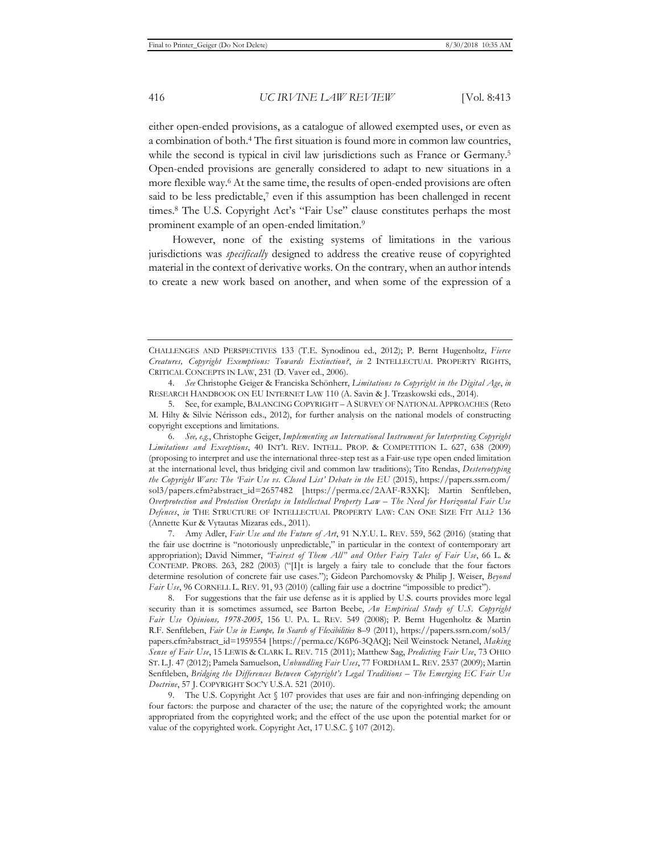either open-ended provisions, as a catalogue of allowed exempted uses, or even as a combination of both.4 The first situation is found more in common law countries, while the second is typical in civil law jurisdictions such as France or Germany.<sup>5</sup> Open-ended provisions are generally considered to adapt to new situations in a more flexible way.6 At the same time, the results of open-ended provisions are often said to be less predictable,<sup>7</sup> even if this assumption has been challenged in recent times.8 The U.S. Copyright Act's "Fair Use" clause constitutes perhaps the most prominent example of an open-ended limitation.<sup>9</sup>

However, none of the existing systems of limitations in the various jurisdictions was *specifically* designed to address the creative reuse of copyrighted material in the context of derivative works. On the contrary, when an author intends to create a new work based on another, and when some of the expression of a

7. Amy Adler, *Fair Use and the Future of Art*, 91 N.Y.U. L. REV. 559, 562 (2016) (stating that the fair use doctrine is "notoriously unpredictable," in particular in the context of contemporary art appropriation); David Nimmer, *"Fairest of Them All" and Other Fairy Tales of Fair Use*, 66 L. & CONTEMP. PROBS. 263, 282 (2003) ("[I]t is largely a fairy tale to conclude that the four factors determine resolution of concrete fair use cases."); Gideon Parchomovsky & Philip J. Weiser, *Beyond Fair Use*, 96 CORNELL L. REV. 91, 93 (2010) (calling fair use a doctrine "impossible to predict").

8. For suggestions that the fair use defense as it is applied by U.S. courts provides more legal security than it is sometimes assumed, see Barton Beebe, *An Empirical Study of U.S. Copyright Fair Use Opinions, 1978-2005*, 156 U. PA. L. REV. 549 (2008); P. Bernt Hugenholtz & Martin R.F. Senftleben, *Fair Use in Europe, In Search of Flexibilities* 8–9 (2011), https://papers.ssrn.com/sol3/ papers.cfm?abstract\_id=1959554 [https://perma.cc/K6P6-3QAQ]; Neil Weinstock Netanel, *Making Sense of Fair Use*, 15 LEWIS & CLARK L. REV. 715 (2011); Matthew Sag, *Predicting Fair Use*, 73 OHIO ST. L.J. 47 (2012); Pamela Samuelson, *Unbundling Fair Uses*, 77 FORDHAM L. REV. 2537 (2009); Martin Senftleben, *Bridging the Differences Between Copyright's Legal Traditions – The Emerging EC Fair Use Doctrine*, 57 J. COPYRIGHT SOC'Y U.S.A. 521 (2010).

9. The U.S. Copyright Act § 107 provides that uses are fair and non-infringing depending on four factors: the purpose and character of the use; the nature of the copyrighted work; the amount appropriated from the copyrighted work; and the effect of the use upon the potential market for or value of the copyrighted work. Copyright Act, 17 U.S.C. § 107 (2012).

CHALLENGES AND PERSPECTIVES 133 (T.E. Synodinou ed., 2012); P. Bernt Hugenholtz, *Fierce Creatures, Copyright Exemptions: Towards Extinction?*, *in* 2 INTELLECTUAL PROPERTY RIGHTS, CRITICAL CONCEPTS IN LAW, 231 (D. Vaver ed., 2006).

<sup>4.</sup> *See* Christophe Geiger & Franciska Schönherr, *Limitations to Copyright in the Digital Age*, *in* RESEARCH HANDBOOK ON EU INTERNET LAW 110 (A. Savin & J. Trzaskowski eds., 2014).

<sup>5.</sup> See, for example, BALANCING COPYRIGHT – A SURVEY OF NATIONAL APPROACHES (Reto M. Hilty & Silvie Nérisson eds., 2012), for further analysis on the national models of constructing copyright exceptions and limitations.

<sup>6.</sup> *See, e.g.*, Christophe Geiger, *Implementing an International Instrument for Interpreting Copyright Limitations and Exceptions*, 40 INT'L REV. INTELL. PROP. & COMPETITION L. 627, 638 (2009) (proposing to interpret and use the international three-step test as a Fair-use type open ended limitation at the international level, thus bridging civil and common law traditions); Tito Rendas, *Destereotyping the Copyright Wars: The 'Fair Use vs. Closed List' Debate in the EU* (2015), https://papers.ssrn.com/ sol3/papers.cfm?abstract\_id=2657482 [https://perma.cc/2AAF-R3XK]; Martin Senftleben, *Overprotection and Protection Overlaps in Intellectual Property Law – The Need for Horizontal Fair Use Defences*, *in* THE STRUCTURE OF INTELLECTUAL PROPERTY LAW: CAN ONE SIZE FIT ALL? 136 (Annette Kur & Vytautas Mizaras eds., 2011).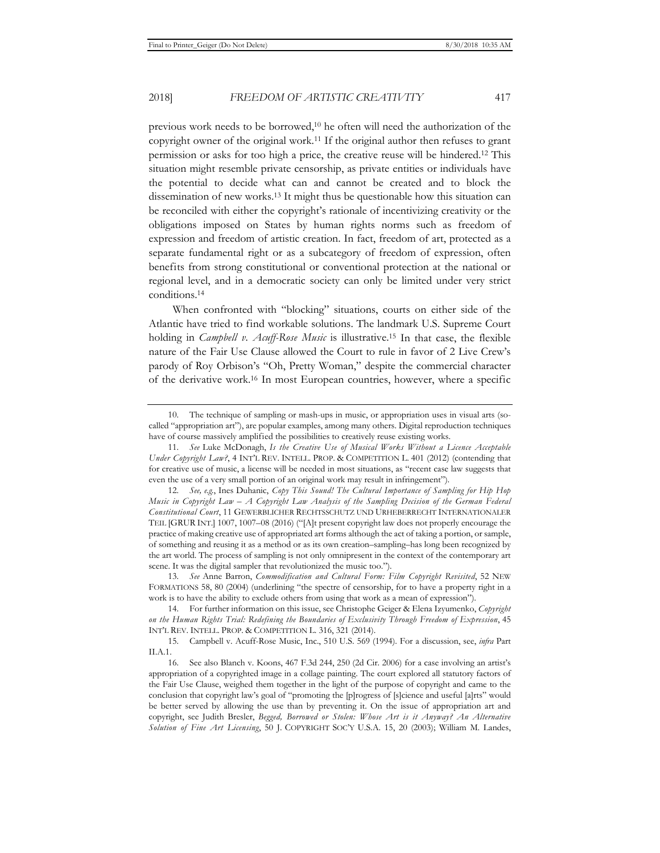previous work needs to be borrowed,10 he often will need the authorization of the copyright owner of the original work.11 If the original author then refuses to grant permission or asks for too high a price, the creative reuse will be hindered.12 This situation might resemble private censorship, as private entities or individuals have the potential to decide what can and cannot be created and to block the dissemination of new works.13 It might thus be questionable how this situation can be reconciled with either the copyright's rationale of incentivizing creativity or the obligations imposed on States by human rights norms such as freedom of expression and freedom of artistic creation. In fact, freedom of art, protected as a separate fundamental right or as a subcategory of freedom of expression, often benefits from strong constitutional or conventional protection at the national or regional level, and in a democratic society can only be limited under very strict conditions.14

When confronted with "blocking" situations, courts on either side of the Atlantic have tried to find workable solutions. The landmark U.S. Supreme Court holding in *Campbell v. Acuff-Rose Music* is illustrative.15 In that case, the flexible nature of the Fair Use Clause allowed the Court to rule in favor of 2 Live Crew's parody of Roy Orbison's "Oh, Pretty Woman," despite the commercial character of the derivative work.16 In most European countries, however, where a specific

13. *See* Anne Barron, *Commodification and Cultural Form: Film Copyright Revisited*, 52 NEW FORMATIONS 58, 80 (2004) (underlining "the spectre of censorship, for to have a property right in a work is to have the ability to exclude others from using that work as a mean of expression").

<sup>10.</sup> The technique of sampling or mash-ups in music, or appropriation uses in visual arts (socalled "appropriation art"), are popular examples, among many others. Digital reproduction techniques have of course massively amplified the possibilities to creatively reuse existing works.

<sup>11.</sup> *See* Luke McDonagh, *Is the Creative Use of Musical Works Without a Licence Acceptable Under Copyright Law?*, 4 INT'L REV. INTELL. PROP. & COMPETITION L. 401 (2012) (contending that for creative use of music, a license will be needed in most situations, as "recent case law suggests that even the use of a very small portion of an original work may result in infringement").

<sup>12.</sup> *See, e.g.*, Ines Duhanic, *Copy This Sound! The Cultural Importance of Sampling for Hip Hop Music in Copyright Law – A Copyright Law Analysis of the Sampling Decision of the German Federal Constitutional Court*, 11 GEWERBLICHER RECHTSSCHUTZ UND URHEBERRECHT INTERNATIONALER TEIL [GRUR INT.] 1007, 1007–08 (2016) ("[A]t present copyright law does not properly encourage the practice of making creative use of appropriated art forms although the act of taking a portion, or sample, of something and reusing it as a method or as its own creation–sampling–has long been recognized by the art world. The process of sampling is not only omnipresent in the context of the contemporary art scene. It was the digital sampler that revolutionized the music too.").

<sup>14.</sup> For further information on this issue, see Christophe Geiger & Elena Izyumenko, *Copyright on the Human Rights Trial: Redefining the Boundaries of Exclusivity Through Freedom of Expression*, 45 INT'L REV. INTELL. PROP. & COMPETITION L. 316, 321 (2014).

<sup>15.</sup> Campbell v. Acuff-Rose Music, Inc., 510 U.S. 569 (1994). For a discussion, see, *infra* Part II.A.1.

<sup>16.</sup> See also Blanch v. Koons, 467 F.3d 244, 250 (2d Cir. 2006) for a case involving an artist's appropriation of a copyrighted image in a collage painting. The court explored all statutory factors of the Fair Use Clause, weighed them together in the light of the purpose of copyright and came to the conclusion that copyright law's goal of "promoting the [p]rogress of [s]cience and useful [a]rts" would be better served by allowing the use than by preventing it. On the issue of appropriation art and copyright, see Judith Bresler, *Begged, Borrowed or Stolen: Whose Art is it Anyway? An Alternative Solution of Fine Art Licensing*, 50 J. COPYRIGHT SOC'Y U.S.A. 15, 20 (2003); William M. Landes,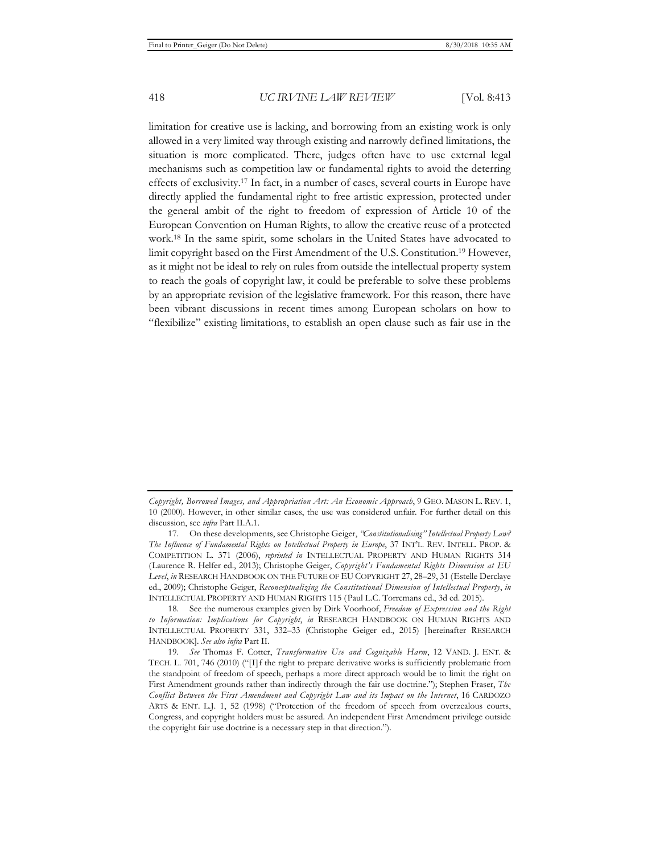limitation for creative use is lacking, and borrowing from an existing work is only allowed in a very limited way through existing and narrowly defined limitations, the situation is more complicated. There, judges often have to use external legal mechanisms such as competition law or fundamental rights to avoid the deterring effects of exclusivity.17 In fact, in a number of cases, several courts in Europe have directly applied the fundamental right to free artistic expression, protected under the general ambit of the right to freedom of expression of Article 10 of the European Convention on Human Rights, to allow the creative reuse of a protected work.18 In the same spirit, some scholars in the United States have advocated to limit copyright based on the First Amendment of the U.S. Constitution.19 However, as it might not be ideal to rely on rules from outside the intellectual property system to reach the goals of copyright law, it could be preferable to solve these problems by an appropriate revision of the legislative framework. For this reason, there have been vibrant discussions in recent times among European scholars on how to "flexibilize" existing limitations, to establish an open clause such as fair use in the

*Copyright, Borrowed Images, and Appropriation Art: An Economic Approach*, 9 GEO. MASON L. REV. 1, 10 (2000). However, in other similar cases, the use was considered unfair. For further detail on this discussion, see *infra* Part II.A.1.

<sup>17.</sup> On these developments, see Christophe Geiger, *"Constitutionalising" Intellectual Property Law? The Influence of Fundamental Rights on Intellectual Property in Europe*, 37 INT'L. REV. INTELL. PROP. & COMPETITION L. 371 (2006), *reprinted in* INTELLECTUAL PROPERTY AND HUMAN RIGHTS 314 (Laurence R. Helfer ed., 2013); Christophe Geiger, *Copyright's Fundamental Rights Dimension at EU Level*, *in* RESEARCH HANDBOOK ON THE FUTURE OF EU COPYRIGHT 27, 28–29, 31 (Estelle Derclaye ed., 2009); Christophe Geiger, *Reconceptualizing the Constitutional Dimension of Intellectual Property*, *in* INTELLECTUAL PROPERTY AND HUMAN RIGHTS 115 (Paul L.C. Torremans ed., 3d ed. 2015).

<sup>18.</sup> See the numerous examples given by Dirk Voorhoof, *Freedom of Expression and the Right to Information: Implications for Copyright*, *in* RESEARCH HANDBOOK ON HUMAN RIGHTS AND INTELLECTUAL PROPERTY 331, 332–33 (Christophe Geiger ed., 2015) [hereinafter RESEARCH HANDBOOK]. *See also infra* Part II.

<sup>19.</sup> *See* Thomas F. Cotter, *Transformative Use and Cognizable Harm*, 12 VAND. J. ENT. & TECH. L. 701, 746 (2010) ("[I]f the right to prepare derivative works is sufficiently problematic from the standpoint of freedom of speech, perhaps a more direct approach would be to limit the right on First Amendment grounds rather than indirectly through the fair use doctrine."); Stephen Fraser, *The Conflict Between the First Amendment and Copyright Law and its Impact on the Internet*, 16 CARDOZO ARTS & ENT. L.J. 1, 52 (1998) ("Protection of the freedom of speech from overzealous courts, Congress, and copyright holders must be assured. An independent First Amendment privilege outside the copyright fair use doctrine is a necessary step in that direction.").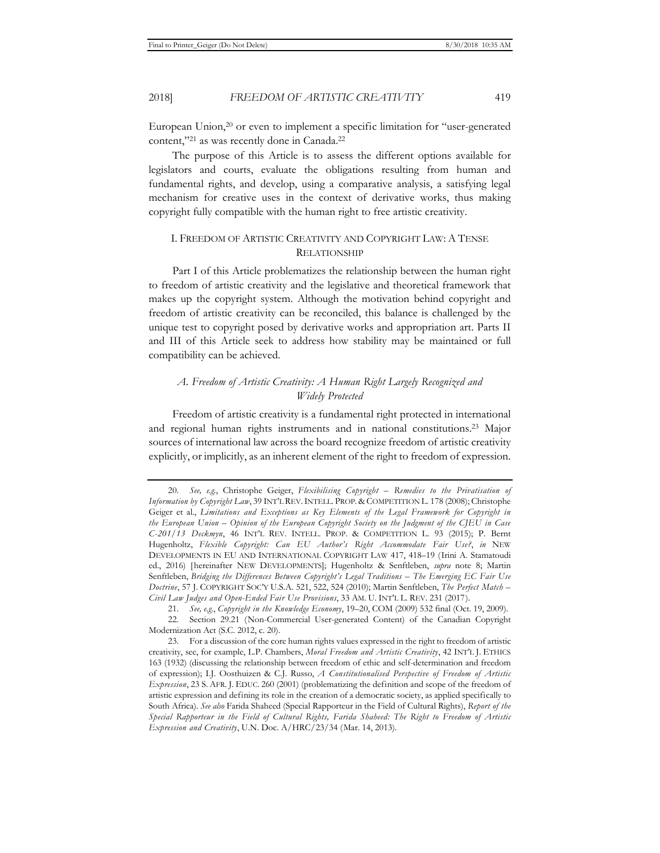European Union,20 or even to implement a specific limitation for "user-generated content,"21 as was recently done in Canada.22

The purpose of this Article is to assess the different options available for legislators and courts, evaluate the obligations resulting from human and fundamental rights, and develop, using a comparative analysis, a satisfying legal mechanism for creative uses in the context of derivative works, thus making copyright fully compatible with the human right to free artistic creativity.

#### I. FREEDOM OF ARTISTIC CREATIVITY AND COPYRIGHT LAW: A TENSE RELATIONSHIP

Part I of this Article problematizes the relationship between the human right to freedom of artistic creativity and the legislative and theoretical framework that makes up the copyright system. Although the motivation behind copyright and freedom of artistic creativity can be reconciled, this balance is challenged by the unique test to copyright posed by derivative works and appropriation art. Parts II and III of this Article seek to address how stability may be maintained or full compatibility can be achieved.

## *A. Freedom of Artistic Creativity: A Human Right Largely Recognized and Widely Protected*

Freedom of artistic creativity is a fundamental right protected in international and regional human rights instruments and in national constitutions.23 Major sources of international law across the board recognize freedom of artistic creativity explicitly, or implicitly, as an inherent element of the right to freedom of expression.

<sup>20.</sup> *See, e.g.*, Christophe Geiger, *Flexibilising Copyright – Remedies to the Privatisation of Information by Copyright Law*, 39 INT'L REV.INTELL. PROP. & COMPETITION L. 178 (2008); Christophe Geiger et al., *Limitations and Exceptions as Key Elements of the Legal Framework for Copyright in the European Union – Opinion of the European Copyright Society on the Judgment of the CJEU in Case C-201/13 Deckmyn*, 46 INT'L REV. INTELL. PROP. & COMPETITION L. 93 (2015); P. Bernt Hugenholtz, *Flexible Copyright: Can EU Author's Right Accommodate Fair Use?*, *in* NEW DEVELOPMENTS IN EU AND INTERNATIONAL COPYRIGHT LAW 417, 418–19 (Irini A. Stamatoudi ed., 2016) [hereinafter NEW DEVELOPMENTS]; Hugenholtz & Senftleben, *supra* note 8; Martin Senftleben, *Bridging the Differences Between Copyright's Legal Traditions – The Emerging EC Fair Use Doctrine*, 57 J. COPYRIGHT SOC'Y U.S.A. 521, 522, 524 (2010); Martin Senftleben, *The Perfect Match – Civil Law Judges and Open-Ended Fair Use Provisions*, 33 AM. U. INT'L L. REV. 231 (2017).

<sup>21.</sup> *See, e.g.*, *Copyright in the Knowledge Economy*, 19–20, COM (2009) 532 final (Oct. 19, 2009).

<sup>22.</sup> Section 29.21 (Non-Commercial User-generated Content) of the Canadian Copyright Modernization Act (S.C. 2012, c. 20).

<sup>23.</sup> For a discussion of the core human rights values expressed in the right to freedom of artistic creativity, see, for example, L.P. Chambers, *Moral Freedom and Artistic Creativity*, 42 INT'L J. ETHICS 163 (1932) (discussing the relationship between freedom of ethic and self-determination and freedom of expression); I.J. Oosthuizen & C.J. Russo, *A Constitutionalised Perspective of Freedom of Artistic Expression*, 23 S. AFR. J. EDUC. 260 (2001) (problematizing the definition and scope of the freedom of artistic expression and defining its role in the creation of a democratic society, as applied specifically to South Africa). *See also* Farida Shaheed (Special Rapporteur in the Field of Cultural Rights), *Report of the Special Rapporteur in the Field of Cultural Rights, Farida Shaheed: The Right to Freedom of Artistic Expression and Creativity*, U.N. Doc. A/HRC/23/34 (Mar. 14, 2013).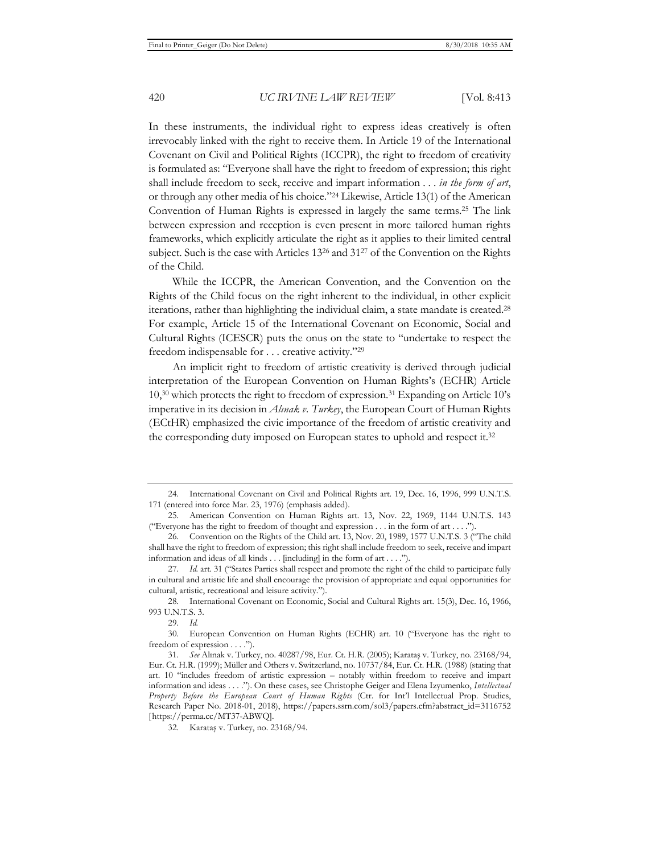In these instruments, the individual right to express ideas creatively is often irrevocably linked with the right to receive them. In Article 19 of the International Covenant on Civil and Political Rights (ICCPR), the right to freedom of creativity is formulated as: "Everyone shall have the right to freedom of expression; this right shall include freedom to seek, receive and impart information . . . *in the form of art*, or through any other media of his choice."24 Likewise, Article 13(1) of the American Convention of Human Rights is expressed in largely the same terms.25 The link between expression and reception is even present in more tailored human rights frameworks, which explicitly articulate the right as it applies to their limited central subject. Such is the case with Articles 1326 and 3127 of the Convention on the Rights of the Child.

While the ICCPR, the American Convention, and the Convention on the Rights of the Child focus on the right inherent to the individual, in other explicit iterations, rather than highlighting the individual claim, a state mandate is created.<sup>28</sup> For example, Article 15 of the International Covenant on Economic, Social and Cultural Rights (ICESCR) puts the onus on the state to "undertake to respect the freedom indispensable for . . . creative activity."29

An implicit right to freedom of artistic creativity is derived through judicial interpretation of the European Convention on Human Rights's (ECHR) Article 10,30 which protects the right to freedom of expression.31 Expanding on Article 10's imperative in its decision in *Alınak v. Turkey*, the European Court of Human Rights (ECtHR) emphasized the civic importance of the freedom of artistic creativity and the corresponding duty imposed on European states to uphold and respect it.32

<sup>24.</sup> International Covenant on Civil and Political Rights art. 19, Dec. 16, 1996, 999 U.N.T.S. 171 (entered into force Mar. 23, 1976) (emphasis added).

<sup>25.</sup> American Convention on Human Rights art. 13, Nov. 22, 1969, 1144 U.N.T.S. 143 ("Everyone has the right to freedom of thought and expression . . . in the form of art . . . .").

<sup>26.</sup> Convention on the Rights of the Child art. 13, Nov. 20, 1989, 1577 U.N.T.S. 3 ("The child shall have the right to freedom of expression; this right shall include freedom to seek, receive and impart information and ideas of all kinds . . . [including] in the form of art . . . .").

<sup>27.</sup> *Id.* art. 31 ("States Parties shall respect and promote the right of the child to participate fully in cultural and artistic life and shall encourage the provision of appropriate and equal opportunities for cultural, artistic, recreational and leisure activity.").

<sup>28.</sup> International Covenant on Economic, Social and Cultural Rights art. 15(3), Dec. 16, 1966, 993 U.N.T.S. 3.

<sup>29.</sup> *Id.*

<sup>30.</sup> European Convention on Human Rights (ECHR) art. 10 ("Everyone has the right to freedom of expression . . . .").

<sup>31.</sup> *See* Alınak v. Turkey, no. 40287/98, Eur. Ct. H.R. (2005); Karataş v. Turkey, no. 23168/94, Eur. Ct. H.R. (1999); Müller and Others v. Switzerland, no. 10737/84, Eur. Ct. H.R. (1988) (stating that art. 10 "includes freedom of artistic expression – notably within freedom to receive and impart information and ideas . . . ."). On these cases, see Christophe Geiger and Elena Izyumenko, *Intellectual Property Before the European Court of Human Rights* (Ctr. for Int'l Intellectual Prop. Studies, Research Paper No. 2018-01, 2018), https://papers.ssrn.com/sol3/papers.cfm?abstract\_id=3116752 [https://perma.cc/MT37-ABWQ].

<sup>32.</sup> Karataş v. Turkey, no. 23168/94.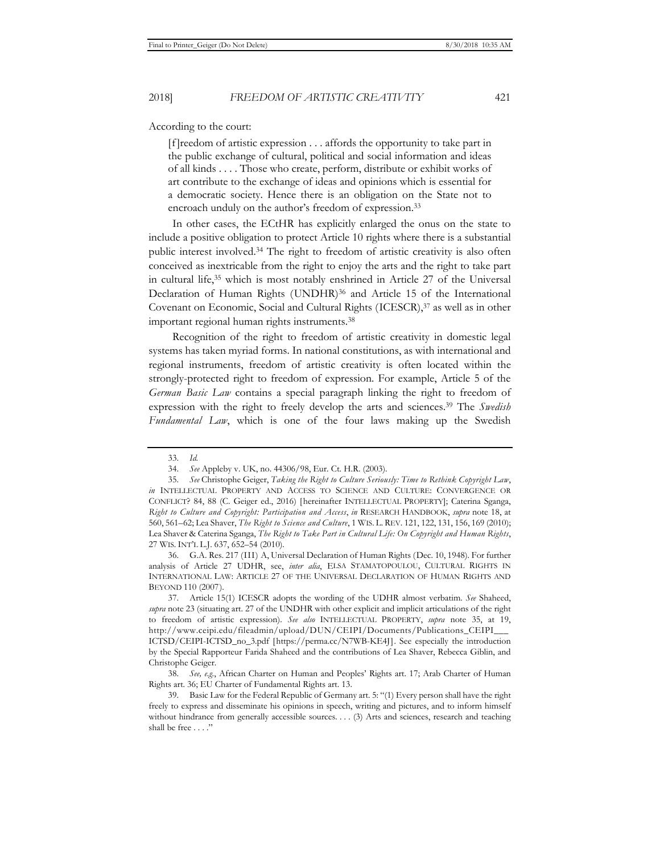According to the court:

[f]reedom of artistic expression . . . affords the opportunity to take part in the public exchange of cultural, political and social information and ideas of all kinds . . . . Those who create, perform, distribute or exhibit works of art contribute to the exchange of ideas and opinions which is essential for a democratic society. Hence there is an obligation on the State not to encroach unduly on the author's freedom of expression.33

In other cases, the ECtHR has explicitly enlarged the onus on the state to include a positive obligation to protect Article 10 rights where there is a substantial public interest involved.34 The right to freedom of artistic creativity is also often conceived as inextricable from the right to enjoy the arts and the right to take part in cultural life,35 which is most notably enshrined in Article 27 of the Universal Declaration of Human Rights (UNDHR)<sup>36</sup> and Article 15 of the International Covenant on Economic, Social and Cultural Rights (ICESCR),<sup>37</sup> as well as in other important regional human rights instruments.38

Recognition of the right to freedom of artistic creativity in domestic legal systems has taken myriad forms. In national constitutions, as with international and regional instruments, freedom of artistic creativity is often located within the strongly-protected right to freedom of expression. For example, Article 5 of the *German Basic Law* contains a special paragraph linking the right to freedom of expression with the right to freely develop the arts and sciences.39 The *Swedish Fundamental Law*, which is one of the four laws making up the Swedish

36. G.A. Res. 217 (III) A, Universal Declaration of Human Rights (Dec. 10, 1948). For further analysis of Article 27 UDHR, see, *inter alia*, ELSA STAMATOPOULOU, CULTURAL RIGHTS IN INTERNATIONAL LAW: ARTICLE 27 OF THE UNIVERSAL DECLARATION OF HUMAN RIGHTS AND BEYOND 110 (2007).

37. Article 15(1) ICESCR adopts the wording of the UDHR almost verbatim. *See* Shaheed, *supra* note 23 (situating art. 27 of the UNDHR with other explicit and implicit articulations of the right to freedom of artistic expression). *See also* INTELLECTUAL PROPERTY, *supra* note 35, at 19, http://www.ceipi.edu/fileadmin/upload/DUN/CEIPI/Documents/Publications\_CEIPI\_\_\_ ICTSD/CEIPI-ICTSD\_no\_3.pdf [https://perma.cc/N7WB-KE4J]. See especially the introduction by the Special Rapporteur Farida Shaheed and the contributions of Lea Shaver, Rebecca Giblin, and Christophe Geiger.

<sup>33.</sup> *Id.*

<sup>34.</sup> *See* Appleby v. UK, no. 44306/98, Eur. Ct. H.R. (2003).

<sup>35.</sup> *See* Christophe Geiger, *Taking the Right to Culture Seriously: Time to Rethink Copyright Law*, *in* INTELLECTUAL PROPERTY AND ACCESS TO SCIENCE AND CULTURE: CONVERGENCE OR CONFLICT? 84, 88 (C. Geiger ed., 2016) [hereinafter INTELLECTUAL PROPERTY]; Caterina Sganga, *Right to Culture and Copyright: Participation and Access*, *in* RESEARCH HANDBOOK, *supra* note 18, at 560, 561–62; Lea Shaver, *The Right to Science and Culture*, 1 WIS. L. REV. 121, 122, 131, 156, 169 (2010); Lea Shaver & Caterina Sganga, *The Right to Take Part in Cultural Life: On Copyright and Human Rights*, 27 WIS. INT'L L.J. 637, 652–54 (2010).

<sup>38.</sup> *See, e.g.*, African Charter on Human and Peoples' Rights art. 17; Arab Charter of Human Rights art. 36; EU Charter of Fundamental Rights art. 13.

<sup>39.</sup> Basic Law for the Federal Republic of Germany art. 5: "(1) Every person shall have the right freely to express and disseminate his opinions in speech, writing and pictures, and to inform himself without hindrance from generally accessible sources. . . . (3) Arts and sciences, research and teaching shall be free . . . ."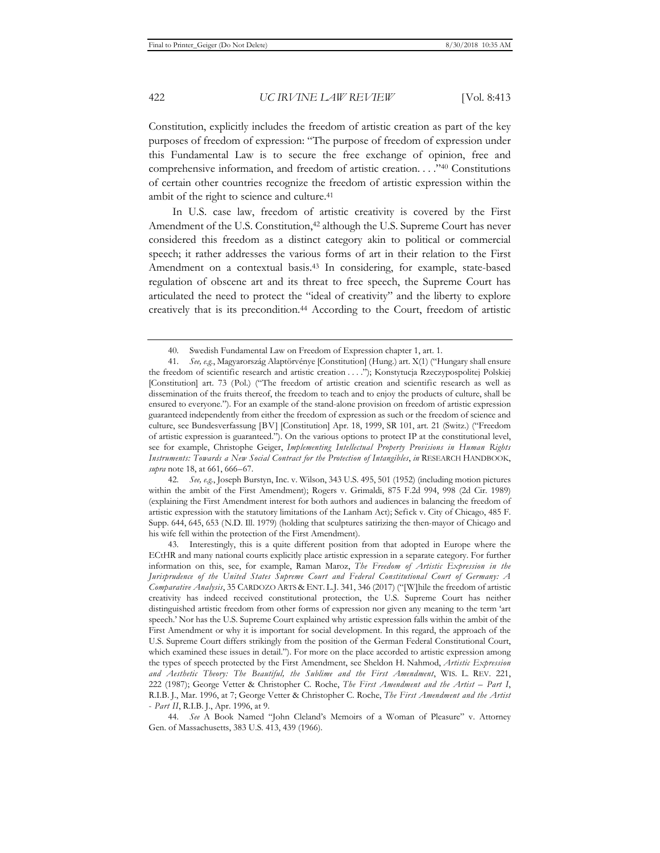Constitution, explicitly includes the freedom of artistic creation as part of the key purposes of freedom of expression: "The purpose of freedom of expression under this Fundamental Law is to secure the free exchange of opinion, free and comprehensive information, and freedom of artistic creation. . . ."40 Constitutions of certain other countries recognize the freedom of artistic expression within the ambit of the right to science and culture.<sup>41</sup>

In U.S. case law, freedom of artistic creativity is covered by the First Amendment of the U.S. Constitution,<sup>42</sup> although the U.S. Supreme Court has never considered this freedom as a distinct category akin to political or commercial speech; it rather addresses the various forms of art in their relation to the First Amendment on a contextual basis.43 In considering, for example, state-based regulation of obscene art and its threat to free speech, the Supreme Court has articulated the need to protect the "ideal of creativity" and the liberty to explore creatively that is its precondition.<sup>44</sup> According to the Court, freedom of artistic

<sup>40.</sup> Swedish Fundamental Law on Freedom of Expression chapter 1, art. 1.

<sup>41.</sup> *See, e.g.*, Magyarország Alaptörvénye [Constitution] (Hung.) art. X(1) ("Hungary shall ensure the freedom of scientific research and artistic creation . . . ."); Konstytucja Rzeczypospolitej Polskiej [Constitution] art. 73 (Pol.) ("The freedom of artistic creation and scientific research as well as dissemination of the fruits thereof, the freedom to teach and to enjoy the products of culture, shall be ensured to everyone."). For an example of the stand-alone provision on freedom of artistic expression guaranteed independently from either the freedom of expression as such or the freedom of science and culture, see Bundesverfassung [BV] [Constitution] Apr. 18, 1999, SR 101, art. 21 (Switz.) ("Freedom of artistic expression is guaranteed."). On the various options to protect IP at the constitutional level, see for example, Christophe Geiger, *Implementing Intellectual Property Provisions in Human Rights Instruments: Towards a New Social Contract for the Protection of Intangibles*, *in* RESEARCH HANDBOOK, *supra* note 18, at 661, 666–67.

<sup>42.</sup> *See, e.g.*, Joseph Burstyn, Inc. v. Wilson, 343 U.S. 495, 501 (1952) (including motion pictures within the ambit of the First Amendment); Rogers v. Grimaldi, 875 F.2d 994, 998 (2d Cir. 1989) (explaining the First Amendment interest for both authors and audiences in balancing the freedom of artistic expression with the statutory limitations of the Lanham Act); Sefick v. City of Chicago, 485 F. Supp. 644, 645, 653 (N.D. Ill. 1979) (holding that sculptures satirizing the then-mayor of Chicago and his wife fell within the protection of the First Amendment).

<sup>43.</sup> Interestingly, this is a quite different position from that adopted in Europe where the ECtHR and many national courts explicitly place artistic expression in a separate category. For further information on this, see, for example, Raman Maroz, *The Freedom of Artistic Expression in the Jurisprudence of the United States Supreme Court and Federal Constitutional Court of Germany: A Comparative Analysis*, 35 CARDOZO ARTS & ENT. L.J. 341, 346 (2017) ("[W]hile the freedom of artistic creativity has indeed received constitutional protection, the U.S. Supreme Court has neither distinguished artistic freedom from other forms of expression nor given any meaning to the term 'art speech.' Nor has the U.S. Supreme Court explained why artistic expression falls within the ambit of the First Amendment or why it is important for social development. In this regard, the approach of the U.S. Supreme Court differs strikingly from the position of the German Federal Constitutional Court, which examined these issues in detail."). For more on the place accorded to artistic expression among the types of speech protected by the First Amendment, see Sheldon H. Nahmod, *Artistic Expression and Aesthetic Theory: The Beautiful, the Sublime and the First Amendment*, WIS. L. REV. 221, 222 (1987); George Vetter & Christopher C. Roche, *The First Amendment and the Artist – Part I*, R.I.B. J., Mar. 1996, at 7; George Vetter & Christopher C. Roche, *The First Amendment and the Artist* - *Part II*, R.I.B. J., Apr. 1996, at 9.

<sup>44.</sup> *See* A Book Named "John Cleland's Memoirs of a Woman of Pleasure" v. Attorney Gen. of Massachusetts, 383 U.S. 413, 439 (1966).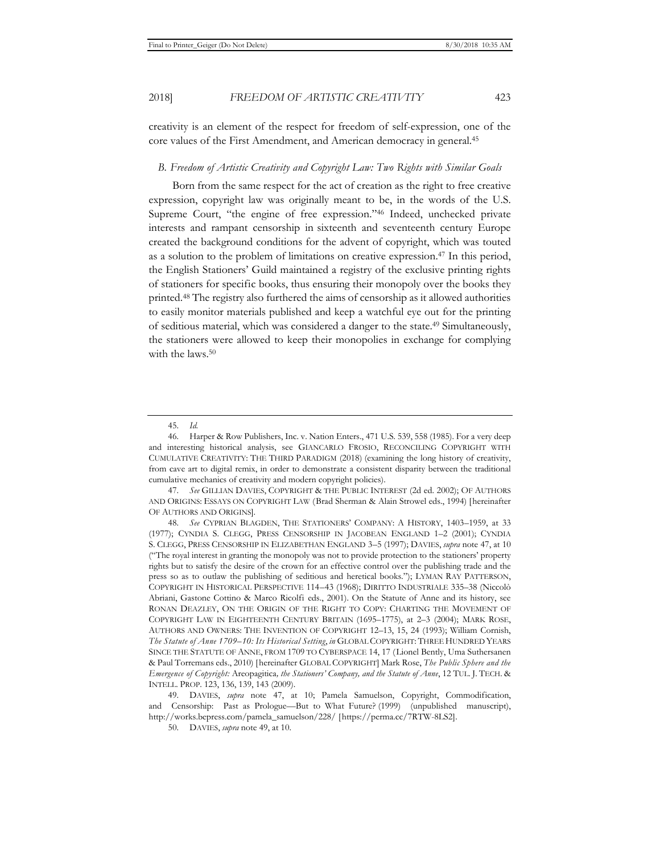creativity is an element of the respect for freedom of self-expression, one of the core values of the First Amendment, and American democracy in general.45

#### *B. Freedom of Artistic Creativity and Copyright Law: Two Rights with Similar Goals*

Born from the same respect for the act of creation as the right to free creative expression, copyright law was originally meant to be, in the words of the U.S. Supreme Court, "the engine of free expression."46 Indeed, unchecked private interests and rampant censorship in sixteenth and seventeenth century Europe created the background conditions for the advent of copyright, which was touted as a solution to the problem of limitations on creative expression.47 In this period, the English Stationers' Guild maintained a registry of the exclusive printing rights of stationers for specific books, thus ensuring their monopoly over the books they printed.48 The registry also furthered the aims of censorship as it allowed authorities to easily monitor materials published and keep a watchful eye out for the printing of seditious material, which was considered a danger to the state.49 Simultaneously, the stationers were allowed to keep their monopolies in exchange for complying with the laws.<sup>50</sup>

<sup>45.</sup> *Id.*

<sup>46.</sup> Harper & Row Publishers, Inc. v. Nation Enters., 471 U.S. 539, 558 (1985). For a very deep and interesting historical analysis, see GIANCARLO FROSIO, RECONCILING COPYRIGHT WITH CUMULATIVE CREATIVITY: THE THIRD PARADIGM (2018) (examining the long history of creativity, from cave art to digital remix, in order to demonstrate a consistent disparity between the traditional cumulative mechanics of creativity and modern copyright policies).

<sup>47.</sup> *See* GILLIAN DAVIES, COPYRIGHT & THE PUBLIC INTEREST (2d ed. 2002); OF AUTHORS AND ORIGINS: ESSAYS ON COPYRIGHT LAW (Brad Sherman & Alain Strowel eds., 1994) [hereinafter OF AUTHORS AND ORIGINS].

<sup>48.</sup> *See* CYPRIAN BLAGDEN, THE STATIONERS' COMPANY: A HISTORY, 1403–1959, at 33 (1977); CYNDIA S. CLEGG, PRESS CENSORSHIP IN JACOBEAN ENGLAND 1–2 (2001); CYNDIA S. CLEGG, PRESS CENSORSHIP IN ELIZABETHAN ENGLAND 3–5 (1997); DAVIES, *supra* note 47, at 10 ("The royal interest in granting the monopoly was not to provide protection to the stationers' property rights but to satisfy the desire of the crown for an effective control over the publishing trade and the press so as to outlaw the publishing of seditious and heretical books."); LYMAN RAY PATTERSON, COPYRIGHT IN HISTORICAL PERSPECTIVE 114–43 (1968); DIRITTO INDUSTRIALE 335–38 (Niccolò Abriani, Gastone Cottino & Marco Ricolfi eds., 2001). On the Statute of Anne and its history, see RONAN DEAZLEY, ON THE ORIGIN OF THE RIGHT TO COPY: CHARTING THE MOVEMENT OF COPYRIGHT LAW IN EIGHTEENTH CENTURY BRITAIN (1695–1775), at 2–3 (2004); MARK ROSE, AUTHORS AND OWNERS: THE INVENTION OF COPYRIGHT 12–13, 15, 24 (1993); William Cornish, *The Statute of Anne 1709–10: Its Historical Setting*, *in* GLOBAL COPYRIGHT: THREE HUNDRED YEARS SINCE THE STATUTE OF ANNE, FROM 1709 TO CYBERSPACE 14, 17 (Lionel Bently, Uma Suthersanen & Paul Torremans eds., 2010) [hereinafter GLOBAL COPYRIGHT] Mark Rose, *The Public Sphere and the Emergence of Copyright:* Areopagitica*, the Stationers' Company, and the Statute of Anne*, 12 TUL. J. TECH. & INTELL. PROP. 123, 136, 139, 143 (2009).

<sup>49.</sup> DAVIES, *supra* note 47, at 10; Pamela Samuelson, Copyright, Commodification, and Censorship: Past as Prologue—But to What Future? (1999) (unpublished manuscript), http://works.bepress.com/pamela\_samuelson/228/ [https://perma.cc/7RTW-8LS2].

<sup>50.</sup> DAVIES, *supra* note 49, at 10.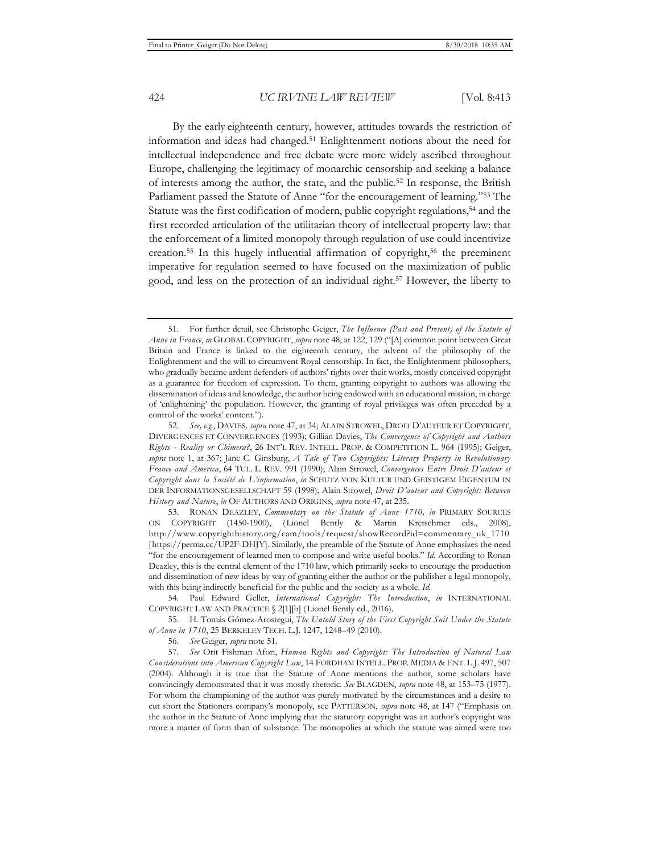By the early eighteenth century, however, attitudes towards the restriction of information and ideas had changed.51 Enlightenment notions about the need for intellectual independence and free debate were more widely ascribed throughout Europe, challenging the legitimacy of monarchic censorship and seeking a balance of interests among the author, the state, and the public.52 In response, the British Parliament passed the Statute of Anne "for the encouragement of learning."53 The Statute was the first codification of modern, public copyright regulations,<sup>54</sup> and the first recorded articulation of the utilitarian theory of intellectual property law: that the enforcement of a limited monopoly through regulation of use could incentivize creation.55 In this hugely influential affirmation of copyright,56 the preeminent imperative for regulation seemed to have focused on the maximization of public good, and less on the protection of an individual right.57 However, the liberty to

54. Paul Edward Geller, *International Copyright: The Introduction*, *in* INTERNATIONAL COPYRIGHT LAW AND PRACTICE § 2[1][b] (Lionel Bently ed., 2016).

56. *See* Geiger, *supra* note 51.

<sup>51.</sup> For further detail, see Christophe Geiger, *The Influence (Past and Present) of the Statute of Anne in France*, *in* GLOBAL COPYRIGHT, *supra* note 48, at 122, 129 ("[A] common point between Great Britain and France is linked to the eighteenth century, the advent of the philosophy of the Enlightenment and the will to circumvent Royal censorship. In fact, the Enlightenment philosophers, who gradually became ardent defenders of authors' rights over their works, mostly conceived copyright as a guarantee for freedom of expression. To them, granting copyright to authors was allowing the dissemination of ideas and knowledge, the author being endowed with an educational mission, in charge of 'enlightening' the population. However, the granting of royal privileges was often preceded by a control of the works' content.").

<sup>52.</sup> *See, e.g.*, DAVIES*, supra* note 47, at 34; ALAIN STROWEL, DROIT D'AUTEUR ET COPYRIGHT, DIVERGENCES ET CONVERGENCES (1993); Gillian Davies, *The Convergence of Copyright and Authors Rights - Reality or Chimera?*, 26 INT'L REV. INTELL. PROP. & COMPETITION L. 964 (1995); Geiger, *supra* note 1, at 367; Jane C. Ginsburg, *A Tale of Two Copyrights: Literary Property in Revolutionary France and America*, 64 TUL. L. REV. 991 (1990); Alain Strowel, *Convergences Entre Droit D'auteur et Copyright dans la Société de L'information*, *in* SCHUTZ VON KULTUR UND GEISTIGEM EIGENTUM IN DER INFORMATIONSGESELLSCHAFT 59 (1998); Alain Strowel, *Droit D'auteur and Copyright: Between History and Nature*, *in* OF AUTHORS AND ORIGINS, *supra* note 47, at 235.

<sup>53.</sup> RONAN DEAZLEY, *Commentary on the Statute of Anne 1710, in* PRIMARY SOURCES ON COPYRIGHT (1450-1900), (Lionel Bently & Martin Kretschmer eds., 2008), http://www.copyrighthistory.org/cam/tools/request/showRecord?id=commentary\_uk\_1710 [https://perma.cc/UP2F-DHJY]. Similarly, the preamble of the Statute of Anne emphasizes the need "for the encouragement of learned men to compose and write useful books." *Id.* According to Ronan Deazley, this is the central element of the 1710 law, which primarily seeks to encourage the production and dissemination of new ideas by way of granting either the author or the publisher a legal monopoly, with this being indirectly beneficial for the public and the society as a whole. *Id.*

<sup>55.</sup> H. Tomás Gómez-Arostegui, *The Untold Story of the First Copyright Suit Under the Statute of Anne in 1710*, 25 BERKELEY TECH. L.J. 1247, 1248–49 (2010).

<sup>57.</sup> *See* Orit Fishman Afori, *Human Rights and Copyright: The Introduction of Natural Law Considerations into American Copyright Law*, 14 FORDHAM INTELL. PROP. MEDIA & ENT. L.J. 497, 507 (2004). Although it is true that the Statute of Anne mentions the author, some scholars have convincingly demonstrated that it was mostly rhetoric. *See* BLAGDEN, *supra* note 48, at 153–75 (1977). For whom the championing of the author was purely motivated by the circumstances and a desire to cut short the Stationers company's monopoly, see PATTERSON, *supra* note 48, at 147 ("Emphasis on the author in the Statute of Anne implying that the statutory copyright was an author's copyright was more a matter of form than of substance. The monopolies at which the statute was aimed were too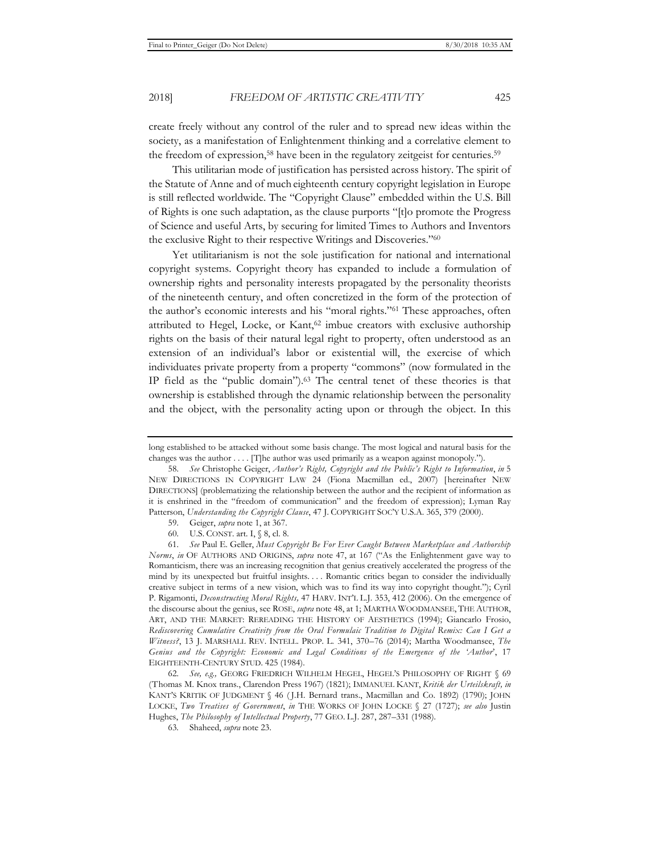create freely without any control of the ruler and to spread new ideas within the society, as a manifestation of Enlightenment thinking and a correlative element to the freedom of expression,<sup>58</sup> have been in the regulatory zeitgeist for centuries.<sup>59</sup>

This utilitarian mode of justification has persisted across history. The spirit of the Statute of Anne and of much eighteenth century copyright legislation in Europe is still reflected worldwide. The "Copyright Clause" embedded within the U.S. Bill of Rights is one such adaptation, as the clause purports "[t]o promote the Progress of Science and useful Arts, by securing for limited Times to Authors and Inventors the exclusive Right to their respective Writings and Discoveries."60

Yet utilitarianism is not the sole justification for national and international copyright systems. Copyright theory has expanded to include a formulation of ownership rights and personality interests propagated by the personality theorists of the nineteenth century, and often concretized in the form of the protection of the author's economic interests and his "moral rights."61 These approaches, often attributed to Hegel, Locke, or Kant,<sup>62</sup> imbue creators with exclusive authorship rights on the basis of their natural legal right to property, often understood as an extension of an individual's labor or existential will, the exercise of which individuates private property from a property "commons" (now formulated in the IP field as the "public domain").63 The central tenet of these theories is that ownership is established through the dynamic relationship between the personality and the object, with the personality acting upon or through the object. In this

60. U.S. CONST. art. I, § 8, cl. 8.

long established to be attacked without some basis change. The most logical and natural basis for the changes was the author . . . . [T]he author was used primarily as a weapon against monopoly.").

<sup>58.</sup> *See* Christophe Geiger, *Author's Right, Copyright and the Public's Right to Information*, *in* 5 NEW DIRECTIONS IN COPYRIGHT LAW 24 (Fiona Macmillan ed., 2007) [hereinafter NEW DIRECTIONS] (problematizing the relationship between the author and the recipient of information as it is enshrined in the "freedom of communication" and the freedom of expression); Lyman Ray Patterson, *Understanding the Copyright Clause*, 47 J. COPYRIGHT SOC'Y U.S.A. 365, 379 (2000).

<sup>59.</sup> Geiger, *supra* note 1, at 367.

<sup>61.</sup> *See* Paul E. Geller, *Must Copyright Be For Ever Caught Between Marketplace and Authorship Norms*, *in* OF AUTHORS AND ORIGINS, *supra* note 47, at 167 ("As the Enlightenment gave way to Romanticism, there was an increasing recognition that genius creatively accelerated the progress of the mind by its unexpected but fruitful insights. . . . Romantic critics began to consider the individually creative subject in terms of a new vision, which was to find its way into copyright thought."); Cyril P. Rigamonti, *Deconstructing Moral Rights,* 47 HARV. INT'L L.J. 353, 412 (2006). On the emergence of the discourse about the genius, see ROSE, *supra* note 48, at 1; MARTHA WOODMANSEE, THE AUTHOR, ART, AND THE MARKET: REREADING THE HISTORY OF AESTHETICS (1994); Giancarlo Frosio, *Rediscovering Cumulative Creativity from the Oral Formulaic Tradition to Digital Remix: Can I Get a Witness?*, 13 J. MARSHALL REV. INTELL. PROP. L. 341, 370–76 (2014); Martha Woodmansee, *The Genius and the Copyright: Economic and Legal Conditions of the Emergence of the 'Author*', 17 EIGHTEENTH-CENTURY STUD. 425 (1984).

<sup>62.</sup> *See, e.g.,* GEORG FRIEDRICH WILHELM HEGEL, HEGEL'S PHILOSOPHY OF RIGHT § 69 (Thomas M. Knox trans., Clarendon Press 1967) (1821); IMMANUEL KANT, *Kritik der Urteilskraft, in* KANT'S KRITIK OF JUDGMENT § 46 (J.H. Bernard trans., Macmillan and Co. 1892) (1790); JOHN LOCKE, *Two Treatises of Government*, *in* THE WORKS OF JOHN LOCKE § 27 (1727); *see also* Justin Hughes, *The Philosophy of Intellectual Property*, 77 GEO. L.J. 287, 287–331 (1988).

<sup>63</sup>*.* Shaheed, *supra* note 23.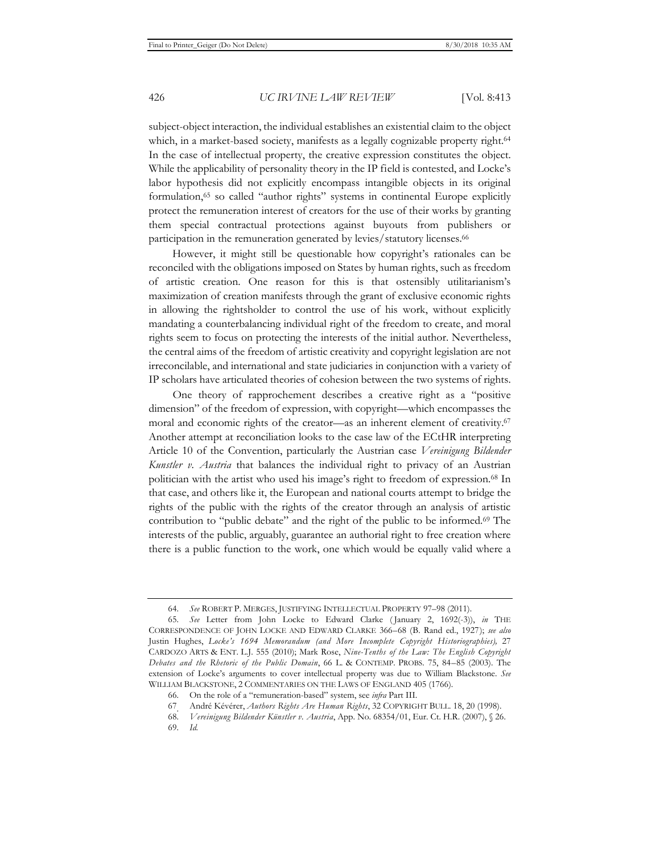subject-object interaction, the individual establishes an existential claim to the object which, in a market-based society, manifests as a legally cognizable property right.<sup>64</sup> In the case of intellectual property, the creative expression constitutes the object. While the applicability of personality theory in the IP field is contested, and Locke's labor hypothesis did not explicitly encompass intangible objects in its original formulation,65 so called "author rights" systems in continental Europe explicitly protect the remuneration interest of creators for the use of their works by granting them special contractual protections against buyouts from publishers or participation in the remuneration generated by levies/statutory licenses.66

However, it might still be questionable how copyright's rationales can be reconciled with the obligations imposed on States by human rights, such as freedom of artistic creation. One reason for this is that ostensibly utilitarianism's maximization of creation manifests through the grant of exclusive economic rights in allowing the rightsholder to control the use of his work, without explicitly mandating a counterbalancing individual right of the freedom to create, and moral rights seem to focus on protecting the interests of the initial author. Nevertheless, the central aims of the freedom of artistic creativity and copyright legislation are not irreconcilable, and international and state judiciaries in conjunction with a variety of IP scholars have articulated theories of cohesion between the two systems of rights.

One theory of rapprochement describes a creative right as a "positive dimension" of the freedom of expression, with copyright—which encompasses the moral and economic rights of the creator—as an inherent element of creativity.<sup>67</sup> Another attempt at reconciliation looks to the case law of the ECtHR interpreting Article 10 of the Convention, particularly the Austrian case *Vereinigung Bildender Kunstler v*. *Austria* that balances the individual right to privacy of an Austrian politician with the artist who used his image's right to freedom of expression.68 In that case, and others like it, the European and national courts attempt to bridge the rights of the public with the rights of the creator through an analysis of artistic contribution to "public debate" and the right of the public to be informed.<sup>69</sup> The interests of the public, arguably, guarantee an authorial right to free creation where there is a public function to the work, one which would be equally valid where a

69. *Id.*

<sup>64.</sup> *See* ROBERT P. MERGES, JUSTIFYING INTELLECTUAL PROPERTY 97–98 (2011).

<sup>65.</sup> *See* Letter from John Locke to Edward Clarke ( January 2, 1692(-3)), *in* THE CORRESPONDENCE OF JOHN LOCKE AND EDWARD CLARKE 366–68 (B. Rand ed., 1927); *see also* Justin Hughes, *Locke's 1694 Memorandum (and More Incomplete Copyright Historiographies),* 27 CARDOZO ARTS & ENT. L.J. 555 (2010); Mark Rose, *Nine-Tenths of the Law: The English Copyright Debates and the Rhetoric of the Public Domain*, 66 L. & CONTEMP. PROBS. 75, 84–85 (2003). The extension of Locke's arguments to cover intellectual property was due to William Blackstone. *See* WILLIAM BLACKSTONE, 2 COMMENTARIES ON THE LAWS OF ENGLAND 405 (1766).

<sup>66.</sup> On the role of a "remuneration-based" system, see *infra* Part III.

<sup>67.</sup> André Kévérer, *Authors Rights Are Human Rights*, 32 COPYRIGHT BULL. 18, 20 (1998).

<sup>68.</sup> *Vereinigung Bildender Künstler v. Austria*, App. No. 68354/01, Eur. Ct. H.R. (2007), § 26.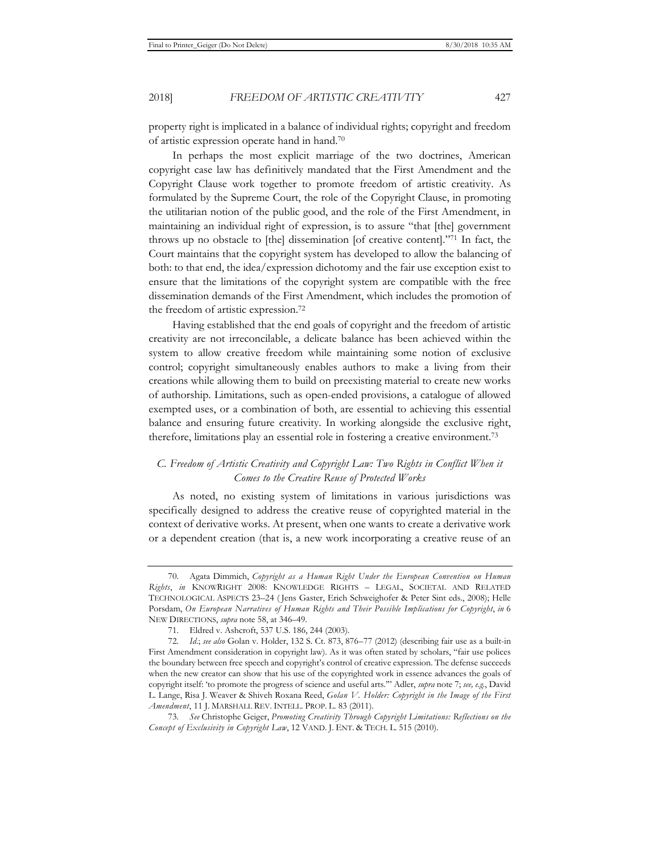property right is implicated in a balance of individual rights; copyright and freedom of artistic expression operate hand in hand.70

In perhaps the most explicit marriage of the two doctrines, American copyright case law has definitively mandated that the First Amendment and the Copyright Clause work together to promote freedom of artistic creativity. As formulated by the Supreme Court, the role of the Copyright Clause, in promoting the utilitarian notion of the public good, and the role of the First Amendment, in maintaining an individual right of expression, is to assure "that [the] government throws up no obstacle to [the] dissemination [of creative content]."71 In fact, the Court maintains that the copyright system has developed to allow the balancing of both: to that end, the idea/expression dichotomy and the fair use exception exist to ensure that the limitations of the copyright system are compatible with the free dissemination demands of the First Amendment, which includes the promotion of the freedom of artistic expression.72

Having established that the end goals of copyright and the freedom of artistic creativity are not irreconcilable, a delicate balance has been achieved within the system to allow creative freedom while maintaining some notion of exclusive control; copyright simultaneously enables authors to make a living from their creations while allowing them to build on preexisting material to create new works of authorship. Limitations, such as open-ended provisions, a catalogue of allowed exempted uses, or a combination of both, are essential to achieving this essential balance and ensuring future creativity. In working alongside the exclusive right, therefore, limitations play an essential role in fostering a creative environment.73

## *C. Freedom of Artistic Creativity and Copyright Law: Two Rights in Conflict When it Comes to the Creative Reuse of Protected Works*

As noted, no existing system of limitations in various jurisdictions was specifically designed to address the creative reuse of copyrighted material in the context of derivative works. At present, when one wants to create a derivative work or a dependent creation (that is, a new work incorporating a creative reuse of an

<sup>70.</sup> Agata Dimmich, *Copyright as a Human Right Under the European Convention on Human Rights*, *in* KNOWRIGHT 2008: KNOWLEDGE RIGHTS – LEGAL, SOCIETAL AND RELATED TECHNOLOGICAL ASPECTS 23–24 ( Jens Gaster, Erich Schweighofer & Peter Sint eds., 2008); Helle Porsdam, *On European Narratives of Human Rights and Their Possible Implications for Copyright*, in 6 NEW DIRECTIONS, *supra* note 58, at 346–49.

<sup>71.</sup> Eldred v. Ashcroft, 537 U.S. 186, 244 (2003).

<sup>72</sup>*. Id*.; *see also* Golan v. Holder, 132 S. Ct. 873, 876–77 (2012) (describing fair use as a built-in First Amendment consideration in copyright law). As it was often stated by scholars, "fair use polices the boundary between free speech and copyright's control of creative expression. The defense succeeds when the new creator can show that his use of the copyrighted work in essence advances the goals of copyright itself: 'to promote the progress of science and useful arts.'" Adler, *supra* note 7; *see, e.g.*, David L. Lange, Risa J. Weaver & Shiveh Roxana Reed, *Golan V. Holder: Copyright in the Image of the First Amendment*, 11 J. MARSHALL REV. INTELL. PROP. L. 83 (2011).

<sup>73.</sup> *See* Christophe Geiger, *Promoting Creativity Through Copyright Limitations: Reflections on the Concept of Exclusivity in Copyright Law*, 12 VAND. J. ENT. & TECH. L. 515 (2010).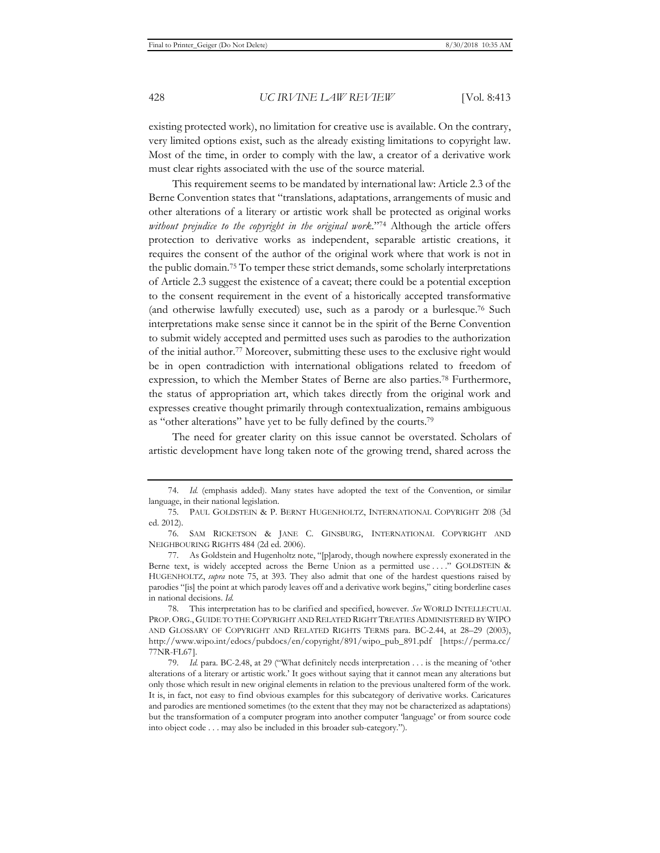existing protected work), no limitation for creative use is available. On the contrary, very limited options exist, such as the already existing limitations to copyright law. Most of the time, in order to comply with the law, a creator of a derivative work must clear rights associated with the use of the source material.

This requirement seems to be mandated by international law: Article 2.3 of the Berne Convention states that "translations, adaptations, arrangements of music and other alterations of a literary or artistic work shall be protected as original works *without prejudice to the copyright in the original work*."74 Although the article offers protection to derivative works as independent, separable artistic creations, it requires the consent of the author of the original work where that work is not in the public domain.75 To temper these strict demands, some scholarly interpretations of Article 2.3 suggest the existence of a caveat; there could be a potential exception to the consent requirement in the event of a historically accepted transformative (and otherwise lawfully executed) use, such as a parody or a burlesque.76 Such interpretations make sense since it cannot be in the spirit of the Berne Convention to submit widely accepted and permitted uses such as parodies to the authorization of the initial author.77 Moreover, submitting these uses to the exclusive right would be in open contradiction with international obligations related to freedom of expression, to which the Member States of Berne are also parties.78 Furthermore, the status of appropriation art, which takes directly from the original work and expresses creative thought primarily through contextualization, remains ambiguous as "other alterations" have yet to be fully defined by the courts.79

The need for greater clarity on this issue cannot be overstated. Scholars of artistic development have long taken note of the growing trend, shared across the

<sup>74.</sup> *Id.* (emphasis added). Many states have adopted the text of the Convention, or similar language, in their national legislation.

<sup>75.</sup> PAUL GOLDSTEIN & P. BERNT HUGENHOLTZ, INTERNATIONAL COPYRIGHT 208 (3d ed. 2012).

<sup>76.</sup> SAM RICKETSON & JANE C. GINSBURG, INTERNATIONAL COPYRIGHT AND NEIGHBOURING RIGHTS 484 (2d ed. 2006).

<sup>77.</sup> As Goldstein and Hugenholtz note, "[p]arody, though nowhere expressly exonerated in the Berne text, is widely accepted across the Berne Union as a permitted use . . . ." GOLDSTEIN & HUGENHOLTZ, *supra* note 75, at 393. They also admit that one of the hardest questions raised by parodies "[is] the point at which parody leaves off and a derivative work begins," citing borderline cases in national decisions. *Id.* 

<sup>78.</sup> This interpretation has to be clarified and specified, however. *See* WORLD INTELLECTUAL PROP. ORG., GUIDE TO THE COPYRIGHT AND RELATED RIGHT TREATIES ADMINISTERED BY WIPO AND GLOSSARY OF COPYRIGHT AND RELATED RIGHTS TERMS para. BC-2.44, at 28–29 (2003), http://www.wipo.int/edocs/pubdocs/en/copyright/891/wipo\_pub\_891.pdf [https://perma.cc/ 77NR-FL67].

<sup>79.</sup> *Id.* para. BC-2.48, at 29 ("What definitely needs interpretation . . . is the meaning of 'other alterations of a literary or artistic work.' It goes without saying that it cannot mean any alterations but only those which result in new original elements in relation to the previous unaltered form of the work. It is, in fact, not easy to find obvious examples for this subcategory of derivative works. Caricatures and parodies are mentioned sometimes (to the extent that they may not be characterized as adaptations) but the transformation of a computer program into another computer 'language' or from source code into object code . . . may also be included in this broader sub-category.").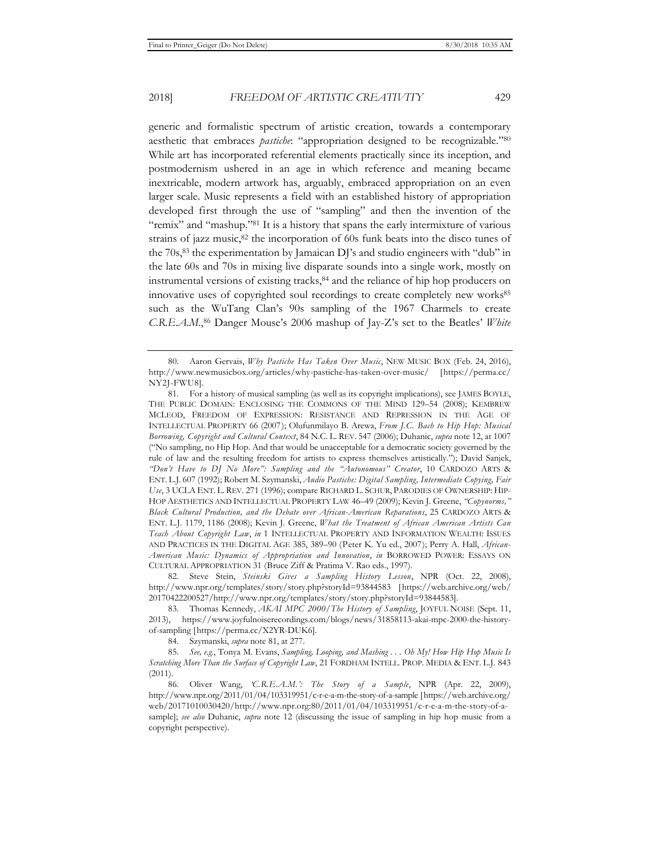generic and formalistic spectrum of artistic creation, towards a contemporary aesthetic that embraces *pastiche*: "appropriation designed to be recognizable."80 While art has incorporated referential elements practically since its inception, and postmodernism ushered in an age in which reference and meaning became inextricable, modern artwork has, arguably, embraced appropriation on an even larger scale. Music represents a field with an established history of appropriation developed first through the use of "sampling" and then the invention of the "remix" and "mashup."81 It is a history that spans the early intermixture of various strains of jazz music, $82$  the incorporation of 60s funk beats into the disco tunes of the  $70s<sub>1</sub><sup>83</sup>$  the experimentation by Jamaican DJ's and studio engineers with "dub" in the late 60s and 70s in mixing live disparate sounds into a single work, mostly on instrumental versions of existing tracks,<sup>84</sup> and the reliance of hip hop producers on innovative uses of copyrighted soul recordings to create completely new works<sup>85</sup> such as the WuTang Clan's 90s sampling of the 1967 Charmels to create *C*.*R*.*E*.*A*.*M*.,86 Danger Mouse's 2006 mashup of Jay-Z's set to the Beatles' *White* 

82. Steve Stein, *Steinski Gives a Sampling History Lesson*, NPR (Oct. 22, 2008), http://www.npr.org/templates/story/story.php?storyId=93844583 [https://web.archive.org/web/ 20170422200527/http://www.npr.org/templates/story/story.php?storyId=93844583].

83. Thomas Kennedy, *AKAI MPC 2000/The History of Sampling*, JOYFUL NOISE (Sept. 11, 2013), https://www.joyfulnoiserecordings.com/blogs/news/31858113-akai-mpc-2000-the-historyof-sampling [https://perma.cc/X2YR-DUK6].

84. Szymanski, *supra* note 81, at 277.

85. *See, e.g.*, Tonya M. Evans, *Sampling, Looping, and Mashing . . . Oh My! How Hip Hop Music Is Scratching More Than the Surface of Copyright Law*, 21 FORDHAM INTELL. PROP. MEDIA & ENT. L.J. 843 (2011).

86. Oliver Wang, *'C.R.E.A.M.': The Story of a Sample*, NPR (Apr. 22, 2009), http://www.npr.org/2011/01/04/103319951/c-r-e-a-m-the-story-of-a-sample [https://web.archive.org/ web/20171010030420/http://www.npr.org:80/2011/01/04/103319951/c-r-e-a-m-the-story-of-asample]; *see also* Duhanic, *supra* note 12 (discussing the issue of sampling in hip hop music from a copyright perspective).

<sup>80.</sup> Aaron Gervais, *Why Pastiche Has Taken Over Music*, NEW MUSIC BOX (Feb. 24, 2016), http://www.newmusicbox.org/articles/why-pastiche-has-taken-over-music/ [https://perma.cc/ NY2J-FWU8].

<sup>81.</sup> For a history of musical sampling (as well as its copyright implications), see JAMES BOYLE, THE PUBLIC DOMAIN: ENCLOSING THE COMMONS OF THE MIND 129–54 (2008); KEMBREW MCLEOD, FREEDOM OF EXPRESSION: RESISTANCE AND REPRESSION IN THE AGE OF INTELLECTUAL PROPERTY 66 (2007); Olufunmilayo B. Arewa, *From J.C. Bach to Hip Hop: Musical Borrowing, Copyright and Cultural Context*, 84 N.C. L. REV. 547 (2006); Duhanic, *supra* note 12, at 1007 ("No sampling, no Hip Hop. And that would be unacceptable for a democratic society governed by the rule of law and the resulting freedom for artists to express themselves artistically."); David Sanjek, *"Don't Have to DJ No More": Sampling and the "Autonomous" Creator*, 10 CARDOZO ARTS & ENT. L.J. 607 (1992); Robert M. Szymanski, *Audio Pastiche: Digital Sampling, Intermediate Copying, Fair Use*, 3 UCLA ENT. L. REV. 271 (1996); compare RICHARD L. SCHUR, PARODIES OF OWNERSHIP: HIP-HOP AESTHETICS AND INTELLECTUAL PROPERTY LAW 46–49 (2009); Kevin J. Greene, *"Copynorms," Black Cultural Production, and the Debate over African-American Reparations*, 25 CARDOZO ARTS & ENT. L.J. 1179, 1186 (2008); Kevin J. Greene, *What the Treatment of African American Artists Can Teach About Copyright Law*, *in* 1 INTELLECTUAL PROPERTY AND INFORMATION WEALTH: ISSUES AND PRACTICES IN THE DIGITAL AGE 385, 389–90 (Peter K. Yu ed., 2007); Perry A. Hall, *African-American Music: Dynamics of Appropriation and Innovation*, *in* BORROWED POWER: ESSAYS ON CULTURAL APPROPRIATION 31 (Bruce Ziff & Pratima V. Rao eds., 1997).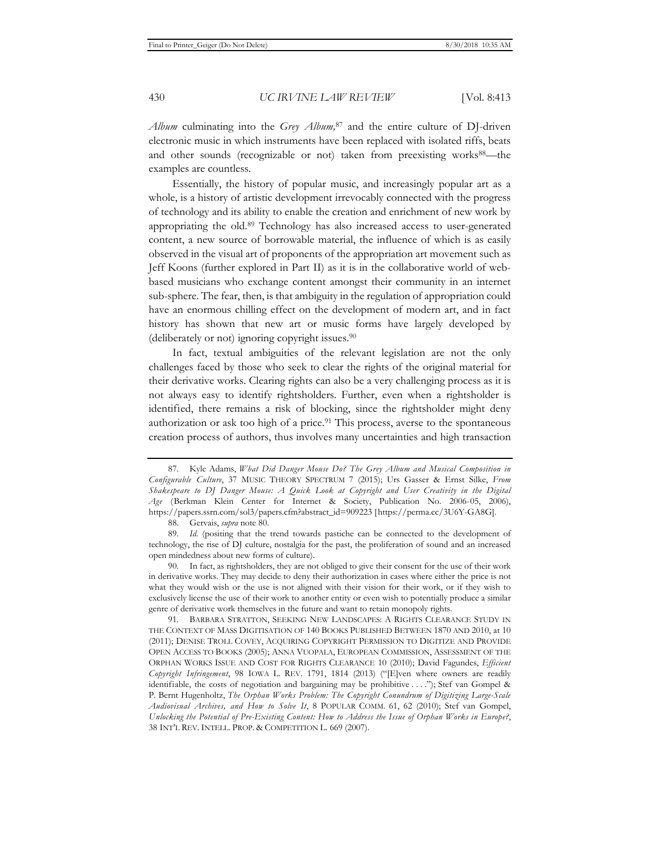*Album* culminating into the *Grey Album,*<sup>87</sup> and the entire culture of DJ-driven electronic music in which instruments have been replaced with isolated riffs, beats and other sounds (recognizable or not) taken from preexisting works<sup>88</sup>—the examples are countless.

Essentially, the history of popular music, and increasingly popular art as a whole, is a history of artistic development irrevocably connected with the progress of technology and its ability to enable the creation and enrichment of new work by appropriating the old.89 Technology has also increased access to user-generated content, a new source of borrowable material, the influence of which is as easily observed in the visual art of proponents of the appropriation art movement such as Jeff Koons (further explored in Part II) as it is in the collaborative world of webbased musicians who exchange content amongst their community in an internet sub-sphere. The fear, then, is that ambiguity in the regulation of appropriation could have an enormous chilling effect on the development of modern art, and in fact history has shown that new art or music forms have largely developed by (deliberately or not) ignoring copyright issues.90

In fact, textual ambiguities of the relevant legislation are not the only challenges faced by those who seek to clear the rights of the original material for their derivative works. Clearing rights can also be a very challenging process as it is not always easy to identify rightsholders. Further, even when a rightsholder is identified, there remains a risk of blocking, since the rightsholder might deny authorization or ask too high of a price.<sup>91</sup> This process, averse to the spontaneous creation process of authors, thus involves many uncertainties and high transaction

90. In fact, as rightsholders, they are not obliged to give their consent for the use of their work in derivative works. They may decide to deny their authorization in cases where either the price is not what they would wish or the use is not aligned with their vision for their work, or if they wish to exclusively license the use of their work to another entity or even wish to potentially produce a similar genre of derivative work themselves in the future and want to retain monopoly rights.

91. BARBARA STRATTON, SEEKING NEW LANDSCAPES: A RIGHTS CLEARANCE STUDY IN THE CONTEXT OF MASS DIGITISATION OF 140 BOOKS PUBLISHED BETWEEN 1870 AND 2010, at 10 (2011); DENISE TROLL COVEY, ACQUIRING COPYRIGHT PERMISSION TO DIGITIZE AND PROVIDE OPEN ACCESS TO BOOKS (2005); ANNA VUOPALA, EUROPEAN COMMISSION, ASSESSMENT OF THE ORPHAN WORKS ISSUE AND COST FOR RIGHTS CLEARANCE 10 (2010); David Fagundes, *Efficient Copyright Infringement*, 98 IOWA L. REV. 1791, 1814 (2013) ("[E]ven where owners are readily identifiable, the costs of negotiation and bargaining may be prohibitive . . . ."); Stef van Gompel & P. Bernt Hugenholtz, *The Orphan Works Problem: The Copyright Conundrum of Digitizing Large-Scale Audiovisual Archives, and How to Solve It*, 8 POPULAR COMM. 61, 62 (2010); Stef van Gompel, *Unlocking the Potential of Pre-Existing Content: How to Address the Issue of Orphan Works in Europe?*, 38 INT'L REV. INTELL. PROP. & COMPETITION L. 669 (2007).

<sup>87.</sup> Kyle Adams, *What Did Danger Mouse Do? The Grey Album and Musical Composition in Configurable Culture*, 37 MUSIC THEORY SPECTRUM 7 (2015); Urs Gasser & Ernst Silke, *From Shakespeare to DJ Danger Mouse: A Quick Look at Copyright and User Creativity in the Digital Age* (Berkman Klein Center for Internet & Society, Publication No. 2006-05, 2006), https://papers.ssrn.com/sol3/papers.cfm?abstract\_id=909223 [https://perma.cc/3U6Y-GA8G].

<sup>88.</sup> Gervais, *supra* note 80.

<sup>89.</sup> *Id.* (positing that the trend towards pastiche can be connected to the development of technology, the rise of DJ culture, nostalgia for the past, the proliferation of sound and an increased open mindedness about new forms of culture).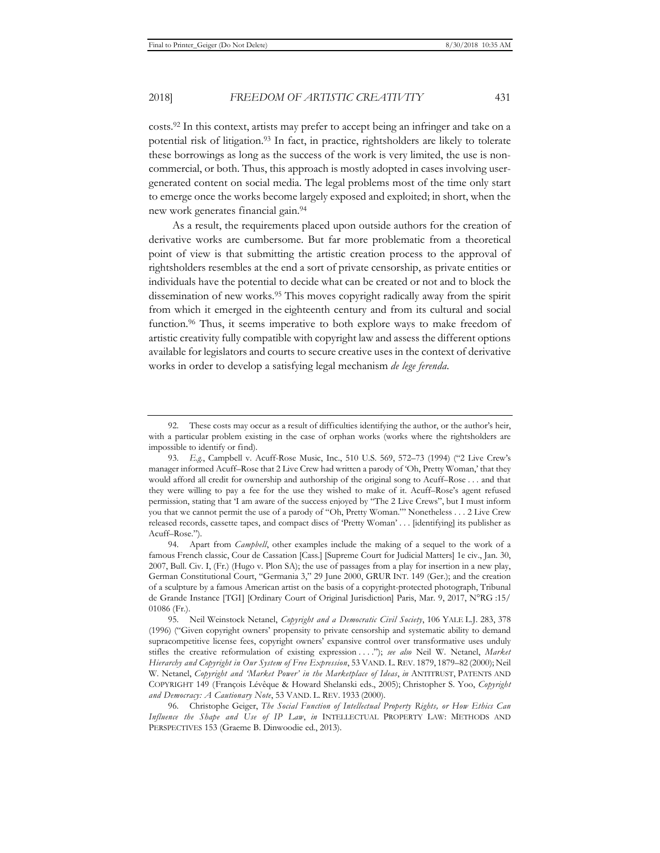costs.92 In this context, artists may prefer to accept being an infringer and take on a potential risk of litigation.93 In fact, in practice, rightsholders are likely to tolerate these borrowings as long as the success of the work is very limited, the use is noncommercial, or both. Thus, this approach is mostly adopted in cases involving usergenerated content on social media. The legal problems most of the time only start to emerge once the works become largely exposed and exploited; in short, when the

As a result, the requirements placed upon outside authors for the creation of derivative works are cumbersome. But far more problematic from a theoretical point of view is that submitting the artistic creation process to the approval of rightsholders resembles at the end a sort of private censorship, as private entities or individuals have the potential to decide what can be created or not and to block the dissemination of new works.95 This moves copyright radically away from the spirit from which it emerged in the eighteenth century and from its cultural and social function.96 Thus, it seems imperative to both explore ways to make freedom of artistic creativity fully compatible with copyright law and assess the different options available for legislators and courts to secure creative uses in the context of derivative works in order to develop a satisfying legal mechanism *de lege ferenda*.

new work generates financial gain.94

<sup>92.</sup> These costs may occur as a result of difficulties identifying the author, or the author's heir, with a particular problem existing in the case of orphan works (works where the rightsholders are impossible to identify or find).

<sup>93.</sup> *E.g.*, Campbell v. Acuff-Rose Music, Inc., 510 U.S. 569, 572–73 (1994) ("2 Live Crew's manager informed Acuff–Rose that 2 Live Crew had written a parody of 'Oh, Pretty Woman,' that they would afford all credit for ownership and authorship of the original song to Acuff–Rose . . . and that they were willing to pay a fee for the use they wished to make of it. Acuff–Rose's agent refused permission, stating that 'I am aware of the success enjoyed by "The 2 Live Crews", but I must inform you that we cannot permit the use of a parody of "Oh, Pretty Woman."' Nonetheless . . . 2 Live Crew released records, cassette tapes, and compact discs of 'Pretty Woman' . . . [identifying] its publisher as Acuff–Rose.").

<sup>94.</sup> Apart from *Campbell*, other examples include the making of a sequel to the work of a famous French classic, Cour de Cassation [Cass.] [Supreme Court for Judicial Matters] 1e civ., Jan. 30, 2007, Bull. Civ. I, (Fr.) (Hugo v. Plon SA); the use of passages from a play for insertion in a new play, German Constitutional Court, "Germania 3," 29 June 2000, GRUR INT. 149 (Ger.); and the creation of a sculpture by a famous American artist on the basis of a copyright-protected photograph, Tribunal de Grande Instance [TGI] [Ordinary Court of Original Jurisdiction] Paris, Mar. 9, 2017, N°RG :15/ 01086 (Fr.).

<sup>95.</sup> Neil Weinstock Netanel, *Copyright and a Democratic Civil Society*, 106 YALE L.J. 283, 378 (1996) ("Given copyright owners' propensity to private censorship and systematic ability to demand supracompetitive license fees, copyright owners' expansive control over transformative uses unduly stifles the creative reformulation of existing expression . . . ."); *see also* Neil W. Netanel, *Market Hierarchy and Copyright in Our System of Free Expression*, 53 VAND. L. REV. 1879, 1879–82 (2000); Neil W. Netanel, *Copyright and 'Market Power' in the Marketplace of Ideas*, *in* ANTITRUST, PATENTS AND COPYRIGHT 149 (François Lévêque & Howard Shelanski eds., 2005); Christopher S. Yoo, *Copyright and Democracy: A Cautionary Note*, 53 VAND. L. REV. 1933 (2000).

<sup>96.</sup> Christophe Geiger, *The Social Function of Intellectual Property Rights, or How Ethics Can Influence the Shape and Use of IP Law*, *in* INTELLECTUAL PROPERTY LAW: METHODS AND PERSPECTIVES 153 (Graeme B. Dinwoodie ed., 2013).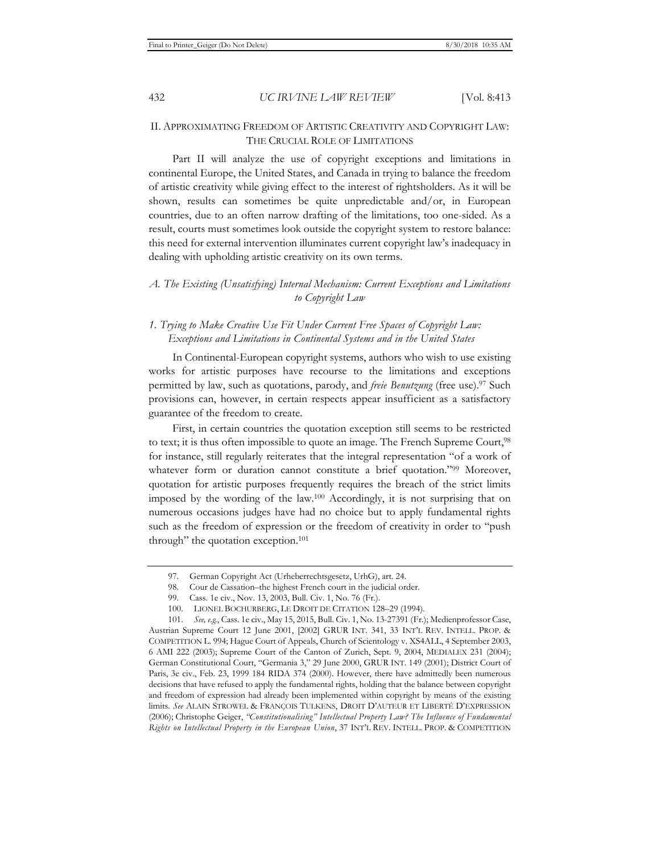#### 432 *UC IRVINE LAW REVIEW* [Vol. 8:413

## II. APPROXIMATING FREEDOM OF ARTISTIC CREATIVITY AND COPYRIGHT LAW: THE CRUCIAL ROLE OF LIMITATIONS

Part II will analyze the use of copyright exceptions and limitations in continental Europe, the United States, and Canada in trying to balance the freedom of artistic creativity while giving effect to the interest of rightsholders. As it will be shown, results can sometimes be quite unpredictable and/or, in European countries, due to an often narrow drafting of the limitations, too one-sided. As a result, courts must sometimes look outside the copyright system to restore balance: this need for external intervention illuminates current copyright law's inadequacy in dealing with upholding artistic creativity on its own terms.

## *A. The Existing (Unsatisfying) Internal Mechanism: Current Exceptions and Limitations to Copyright Law*

## *1. Trying to Make Creative Use Fit Under Current Free Spaces of Copyright Law: Exceptions and Limitations in Continental Systems and in the United States*

In Continental-European copyright systems, authors who wish to use existing works for artistic purposes have recourse to the limitations and exceptions permitted by law, such as quotations, parody, and *freie Benutzung* (free use).<sup>97</sup> Such provisions can, however, in certain respects appear insufficient as a satisfactory guarantee of the freedom to create.

First, in certain countries the quotation exception still seems to be restricted to text; it is thus often impossible to quote an image. The French Supreme Court,98 for instance, still regularly reiterates that the integral representation "of a work of whatever form or duration cannot constitute a brief quotation."99 Moreover, quotation for artistic purposes frequently requires the breach of the strict limits imposed by the wording of the law.100 Accordingly, it is not surprising that on numerous occasions judges have had no choice but to apply fundamental rights such as the freedom of expression or the freedom of creativity in order to "push through" the quotation exception.<sup>101</sup>

<sup>97.</sup> German Copyright Act (Urheberrechtsgesetz, UrhG), art. 24.

<sup>98.</sup> Cour de Cassation–the highest French court in the judicial order.

<sup>99.</sup> Cass. 1e civ., Nov. 13, 2003, Bull. Civ. 1, No. 76 (Fr.).

<sup>100.</sup> LIONEL BOCHURBERG, LE DROIT DE CITATION 128–29 (1994).

<sup>101.</sup> *See, e.g.*, Cass. 1e civ., May 15, 2015, Bull. Civ. 1, No. 13-27391 (Fr.); Medienprofessor Case, Austrian Supreme Court 12 June 2001, [2002] GRUR INT. 341, 33 INT'L REV. INTELL. PROP. & COMPETITION L. 994; Hague Court of Appeals, Church of Scientology v. XS4ALL, 4 September 2003, 6 AMI 222 (2003); Supreme Court of the Canton of Zurich, Sept. 9, 2004, MEDIALEX 231 (2004); German Constitutional Court, "Germania 3," 29 June 2000, GRUR INT. 149 (2001); District Court of Paris, 3e civ., Feb. 23, 1999 184 RIDA 374 (2000). However, there have admittedly been numerous decisions that have refused to apply the fundamental rights, holding that the balance between copyright and freedom of expression had already been implemented within copyright by means of the existing limits. *See* ALAIN STROWEL & FRANÇOIS TULKENS, DROIT D'AUTEUR ET LIBERTÉ D'EXPRESSION (2006); Christophe Geiger, *"Constitutionalising" Intellectual Property Law? The Influence of Fundamental Rights on Intellectual Property in the European Union*, 37 INT'L REV. INTELL. PROP. & COMPETITION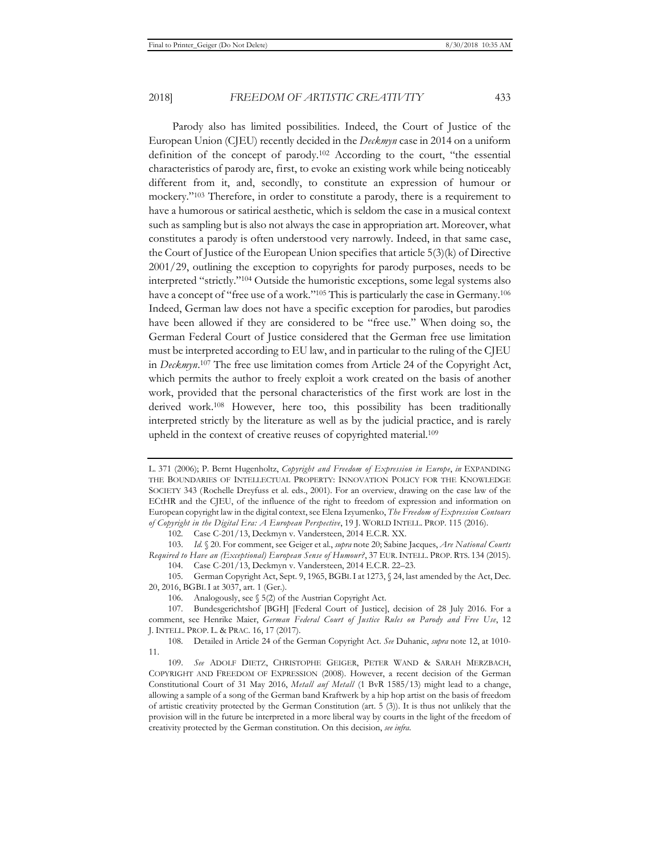Parody also has limited possibilities. Indeed, the Court of Justice of the European Union (CJEU) recently decided in the *Deckmyn* case in 2014 on a uniform definition of the concept of parody.102 According to the court, "the essential characteristics of parody are, first, to evoke an existing work while being noticeably different from it, and, secondly, to constitute an expression of humour or mockery."103 Therefore, in order to constitute a parody, there is a requirement to have a humorous or satirical aesthetic, which is seldom the case in a musical context such as sampling but is also not always the case in appropriation art. Moreover, what constitutes a parody is often understood very narrowly. Indeed, in that same case, the Court of Justice of the European Union specifies that article 5(3)(k) of Directive 2001/29, outlining the exception to copyrights for parody purposes, needs to be interpreted "strictly."104 Outside the humoristic exceptions, some legal systems also have a concept of "free use of a work."<sup>105</sup> This is particularly the case in Germany.<sup>106</sup> Indeed, German law does not have a specific exception for parodies, but parodies have been allowed if they are considered to be "free use." When doing so, the German Federal Court of Justice considered that the German free use limitation must be interpreted according to EU law, and in particular to the ruling of the CJEU in *Deckmyn*. 107 The free use limitation comes from Article 24 of the Copyright Act, which permits the author to freely exploit a work created on the basis of another work, provided that the personal characteristics of the first work are lost in the derived work.108 However, here too, this possibility has been traditionally interpreted strictly by the literature as well as by the judicial practice, and is rarely upheld in the context of creative reuses of copyrighted material.109

L. 371 (2006); P. Bernt Hugenholtz, *Copyright and Freedom of Expression in Europe*, *in* EXPANDING THE BOUNDARIES OF INTELLECTUAL PROPERTY: INNOVATION POLICY FOR THE KNOWLEDGE SOCIETY 343 (Rochelle Dreyfuss et al. eds., 2001). For an overview, drawing on the case law of the ECtHR and the CJEU, of the influence of the right to freedom of expression and information on European copyright law in the digital context, see Elena Izyumenko, *The Freedom of Expression Contours of Copyright in the Digital Era: A European Perspective*, 19 J. WORLD INTELL. PROP. 115 (2016).

<sup>102.</sup> Case C-201/13, Deckmyn v. Vandersteen, 2014 E.C.R. XX.

<sup>103.</sup> *Id.* § 20. For comment, see Geiger et al., *supra* note 20; Sabine Jacques, *Are National Courts Required to Have an (Exceptional) European Sense of Humour?*, 37 EUR.INTELL. PROP. RTS. 134 (2015). 104. Case C-201/13, Deckmyn v. Vandersteen, 2014 E.C.R. 22–23.

<sup>105.</sup> German Copyright Act, Sept. 9, 1965, BGBL I at 1273, § 24, last amended by the Act, Dec. 20, 2016, BGBL I at 3037, art. 1 (Ger.).

<sup>106.</sup> Analogously, see § 5(2) of the Austrian Copyright Act.

<sup>107.</sup> Bundesgerichtshof [BGH] [Federal Court of Justice], decision of 28 July 2016. For a comment, see Henrike Maier, *German Federal Court of Justice Rules on Parody and Free Use*, 12 J. INTELL. PROP. L. & PRAC. 16, 17 (2017).

<sup>108.</sup> Detailed in Article 24 of the German Copyright Act. *See* Duhanic, *supra* note 12, at 1010- 11.

<sup>109.</sup> *See* ADOLF DIETZ, CHRISTOPHE GEIGER, PETER WAND & SARAH MERZBACH, COPYRIGHT AND FREEDOM OF EXPRESSION (2008). However, a recent decision of the German Constitutional Court of 31 May 2016, *Metall auf Metall* (1 BvR 1585/13) might lead to a change, allowing a sample of a song of the German band Kraftwerk by a hip hop artist on the basis of freedom of artistic creativity protected by the German Constitution (art. 5 (3)). It is thus not unlikely that the provision will in the future be interpreted in a more liberal way by courts in the light of the freedom of creativity protected by the German constitution. On this decision, *see infra*.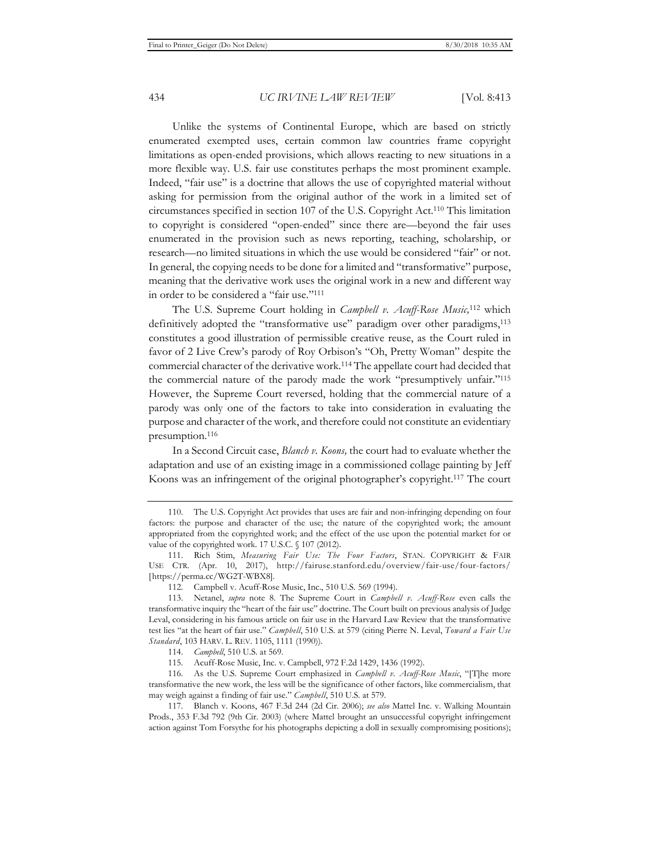Unlike the systems of Continental Europe, which are based on strictly enumerated exempted uses, certain common law countries frame copyright limitations as open-ended provisions, which allows reacting to new situations in a more flexible way. U.S. fair use constitutes perhaps the most prominent example. Indeed, "fair use" is a doctrine that allows the use of copyrighted material without asking for permission from the original author of the work in a limited set of circumstances specified in section 107 of the U.S. Copyright Act.110 This limitation to copyright is considered "open-ended" since there are—beyond the fair uses enumerated in the provision such as news reporting, teaching, scholarship, or research—no limited situations in which the use would be considered "fair" or not. In general, the copying needs to be done for a limited and "transformative" purpose, meaning that the derivative work uses the original work in a new and different way in order to be considered a "fair use."111

The U.S. Supreme Court holding in *Campbell v. Acuff-Rose Music,*112 which definitively adopted the "transformative use" paradigm over other paradigms,113 constitutes a good illustration of permissible creative reuse, as the Court ruled in favor of 2 Live Crew's parody of Roy Orbison's "Oh, Pretty Woman" despite the commercial character of the derivative work.114 The appellate court had decided that the commercial nature of the parody made the work "presumptively unfair."115 However, the Supreme Court reversed, holding that the commercial nature of a parody was only one of the factors to take into consideration in evaluating the purpose and character of the work, and therefore could not constitute an evidentiary presumption.116

In a Second Circuit case, *Blanch v. Koons,* the court had to evaluate whether the adaptation and use of an existing image in a commissioned collage painting by Jeff Koons was an infringement of the original photographer's copyright.117 The court

<sup>110.</sup> The U.S. Copyright Act provides that uses are fair and non-infringing depending on four factors: the purpose and character of the use; the nature of the copyrighted work; the amount appropriated from the copyrighted work; and the effect of the use upon the potential market for or value of the copyrighted work. 17 U.S.C. § 107 (2012).

<sup>111.</sup> Rich Stim, *Measuring Fair Use: The Four Factors*, STAN. COPYRIGHT & FAIR USE CTR. (Apr. 10, 2017), http://fairuse.stanford.edu/overview/fair-use/four-factors/ [https://perma.cc/WG2T-WBX8].

<sup>112.</sup> Campbell v. Acuff-Rose Music, Inc., 510 U.S. 569 (1994).

<sup>113.</sup> Netanel, *supra* note 8. The Supreme Court in *Campbell v. Acuff-Rose* even calls the transformative inquiry the "heart of the fair use" doctrine. The Court built on previous analysis of Judge Leval, considering in his famous article on fair use in the Harvard Law Review that the transformative test lies "at the heart of fair use." *Campbell*, 510 U.S. at 579 (citing Pierre N. Leval, *Toward a Fair Use Standard*, 103 HARV. L. REV. 1105, 1111 (1990)).

<sup>114.</sup> *Campbell*, 510 U.S. at 569.

<sup>115.</sup> Acuff-Rose Music, Inc. v. Campbell, 972 F.2d 1429, 1436 (1992).

<sup>116.</sup> As the U.S. Supreme Court emphasized in *Campbell v. Acuff-Rose Music*, "[T]he more transformative the new work, the less will be the significance of other factors, like commercialism, that may weigh against a finding of fair use." *Campbell*, 510 U.S. at 579.

<sup>117.</sup> Blanch v. Koons, 467 F.3d 244 (2d Cir. 2006); *see also* Mattel Inc. v. Walking Mountain Prods., 353 F.3d 792 (9th Cir. 2003) (where Mattel brought an unsuccessful copyright infringement action against Tom Forsythe for his photographs depicting a doll in sexually compromising positions);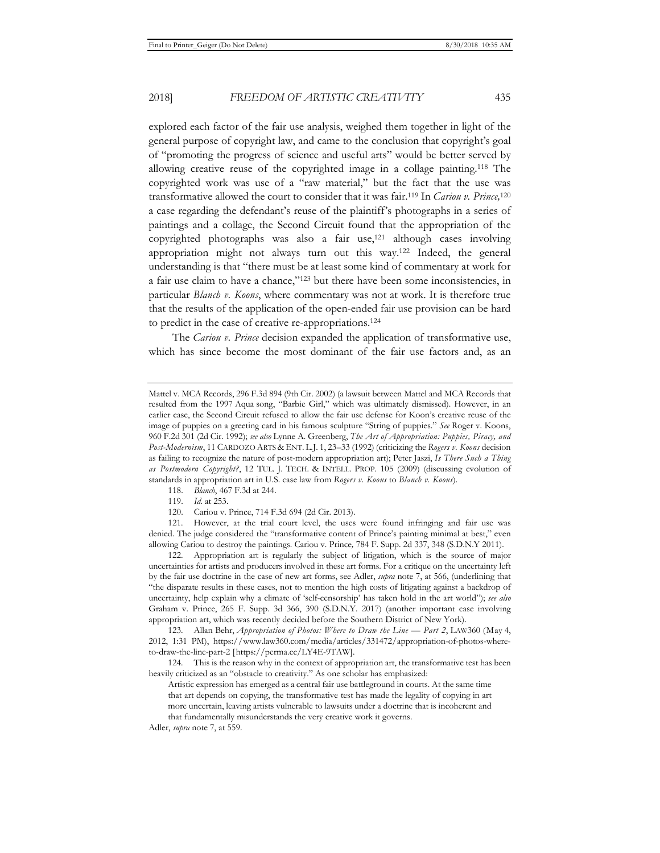explored each factor of the fair use analysis, weighed them together in light of the general purpose of copyright law, and came to the conclusion that copyright's goal of "promoting the progress of science and useful arts" would be better served by allowing creative reuse of the copyrighted image in a collage painting.118 The copyrighted work was use of a "raw material," but the fact that the use was transformative allowed the court to consider that it was fair.119 In *Cariou v. Prince,*<sup>120</sup> a case regarding the defendant's reuse of the plaintiff's photographs in a series of paintings and a collage, the Second Circuit found that the appropriation of the copyrighted photographs was also a fair use,121 although cases involving appropriation might not always turn out this way.122 Indeed, the general understanding is that "there must be at least some kind of commentary at work for a fair use claim to have a chance,"123 but there have been some inconsistencies, in particular *Blanch v. Koons*, where commentary was not at work. It is therefore true that the results of the application of the open-ended fair use provision can be hard to predict in the case of creative re-appropriations.124

The *Cariou v. Prince* decision expanded the application of transformative use, which has since become the most dominant of the fair use factors and, as an

118. *Blanch*, 467 F.3d at 244.

119. *Id.* at 253.

120. Cariou v. Prince, 714 F.3d 694 (2d Cir. 2013).

121. However, at the trial court level, the uses were found infringing and fair use was denied. The judge considered the "transformative content of Prince's painting minimal at best," even allowing Cariou to destroy the paintings. Cariou v. Prince*,* 784 F. Supp. 2d 337, 348 (S.D.N.Y 2011).

122. Appropriation art is regularly the subject of litigation, which is the source of major uncertainties for artists and producers involved in these art forms. For a critique on the uncertainty left by the fair use doctrine in the case of new art forms, see Adler, *supra* note 7, at 566, (underlining that "the disparate results in these cases, not to mention the high costs of litigating against a backdrop of uncertainty, help explain why a climate of 'self-censorship' has taken hold in the art world"); *see also* Graham v. Prince, 265 F. Supp. 3d 366, 390 (S.D.N.Y. 2017) (another important case involving appropriation art, which was recently decided before the Southern District of New York).

123. Allan Behr, *Appropriation of Photos: Where to Draw the Line — Part 2*, LAW360 (May 4, 2012, 1:31 PM), https://www.law360.com/media/articles/331472/appropriation-of-photos-whereto-draw-the-line-part-2 [https://perma.cc/LY4E-9TAW].

124. This is the reason why in the context of appropriation art, the transformative test has been heavily criticized as an "obstacle to creativity." As one scholar has emphasized:

Artistic expression has emerged as a central fair use battleground in courts. At the same time that art depends on copying, the transformative test has made the legality of copying in art more uncertain, leaving artists vulnerable to lawsuits under a doctrine that is incoherent and that fundamentally misunderstands the very creative work it governs.

Adler, *supra* note 7, at 559.

Mattel v. MCA Records, 296 F.3d 894 (9th Cir. 2002) (a lawsuit between Mattel and MCA Records that resulted from the 1997 Aqua song, "Barbie Girl," which was ultimately dismissed). However, in an earlier case, the Second Circuit refused to allow the fair use defense for Koon's creative reuse of the image of puppies on a greeting card in his famous sculpture "String of puppies." *See* Roger v. Koons, 960 F.2d 301 (2d Cir. 1992); *see also* Lynne A. Greenberg, *The Art of Appropriation: Puppies, Piracy, and Post-Modernism*, 11 CARDOZO ARTS & ENT. L.J. 1, 23–33 (1992) (criticizing the *Rogers v. Koons* decision as failing to recognize the nature of post-modern appropriation art); Peter Jaszi, *Is There Such a Thing as Postmodern Copyright?*, 12 TUL. J. TECH. & INTELL. PROP. 105 (2009) (discussing evolution of standards in appropriation art in U.S. case law from *Rogers v. Koons* to *Blanch v. Koons*).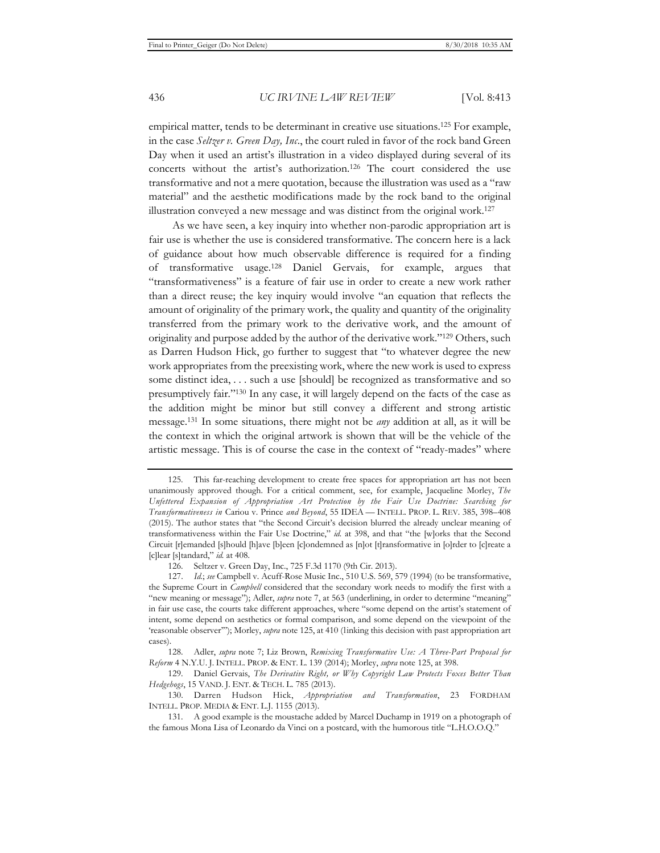empirical matter, tends to be determinant in creative use situations.125 For example, in the case *Seltzer v. Green Day, Inc*., the court ruled in favor of the rock band Green Day when it used an artist's illustration in a video displayed during several of its concerts without the artist's authorization.126 The court considered the use transformative and not a mere quotation, because the illustration was used as a "raw material" and the aesthetic modifications made by the rock band to the original illustration conveyed a new message and was distinct from the original work.127

As we have seen, a key inquiry into whether non-parodic appropriation art is fair use is whether the use is considered transformative. The concern here is a lack of guidance about how much observable difference is required for a finding of transformative usage.128 Daniel Gervais, for example, argues that "transformativeness" is a feature of fair use in order to create a new work rather than a direct reuse; the key inquiry would involve "an equation that reflects the amount of originality of the primary work, the quality and quantity of the originality transferred from the primary work to the derivative work, and the amount of originality and purpose added by the author of the derivative work."129 Others, such as Darren Hudson Hick, go further to suggest that "to whatever degree the new work appropriates from the preexisting work, where the new work is used to express some distinct idea, . . . such a use [should] be recognized as transformative and so presumptively fair."130 In any case, it will largely depend on the facts of the case as the addition might be minor but still convey a different and strong artistic message.131 In some situations, there might not be *any* addition at all, as it will be the context in which the original artwork is shown that will be the vehicle of the artistic message. This is of course the case in the context of "ready-mades" where

<sup>125.</sup> This far-reaching development to create free spaces for appropriation art has not been unanimously approved though. For a critical comment, see, for example, Jacqueline Morley, *The Unfettered Expansion of Appropriation Art Protection by the Fair Use Doctrine: Searching for Transformativeness in* Cariou v. Prince *and Beyond*, 55 IDEA — INTELL. PROP. L. REV. 385, 398–408 (2015). The author states that "the Second Circuit's decision blurred the already unclear meaning of transformativeness within the Fair Use Doctrine," *id.* at 398, and that "the [w]orks that the Second Circuit [r]emanded [s]hould [h]ave [b]een [c]ondemned as [n]ot [t]ransformative in [o]rder to [c]reate a [c]lear [s]tandard," *id.* at 408.

<sup>126.</sup> Seltzer v. Green Day, Inc., 725 F.3d 1170 (9th Cir. 2013).

<sup>127.</sup> *Id.*; *see* Campbell v. Acuff-Rose Music Inc., 510 U.S. 569, 579 (1994) (to be transformative, the Supreme Court in *Campbell* considered that the secondary work needs to modify the first with a "new meaning or message"); Adler, *supra* note 7, at 563 (underlining, in order to determine "meaning" in fair use case, the courts take different approaches, where "some depend on the artist's statement of intent, some depend on aesthetics or formal comparison, and some depend on the viewpoint of the 'reasonable observer'"); Morley, *supra* note 125, at 410 (linking this decision with past appropriation art cases).

<sup>128.</sup> Adler, *supra* note 7; Liz Brown, *Remixing Transformative Use: A Three-Part Proposal for Reform* 4 N.Y.U. J. INTELL. PROP. & ENT. L. 139 (2014); Morley, *supra* note 125, at 398.

<sup>129.</sup> Daniel Gervais, *The Derivative Right, or Why Copyright Law Protects Foxes Better Than Hedgehogs*, 15 VAND. J. ENT. & TECH. L. 785 (2013).

<sup>130.</sup> Darren Hudson Hick, *Appropriation and Transformation*, 23 FORDHAM INTELL. PROP. MEDIA & ENT. L.J. 1155 (2013).

<sup>131.</sup> A good example is the moustache added by Marcel Duchamp in 1919 on a photograph of the famous Mona Lisa of Leonardo da Vinci on a postcard, with the humorous title "L.H.O.O.Q."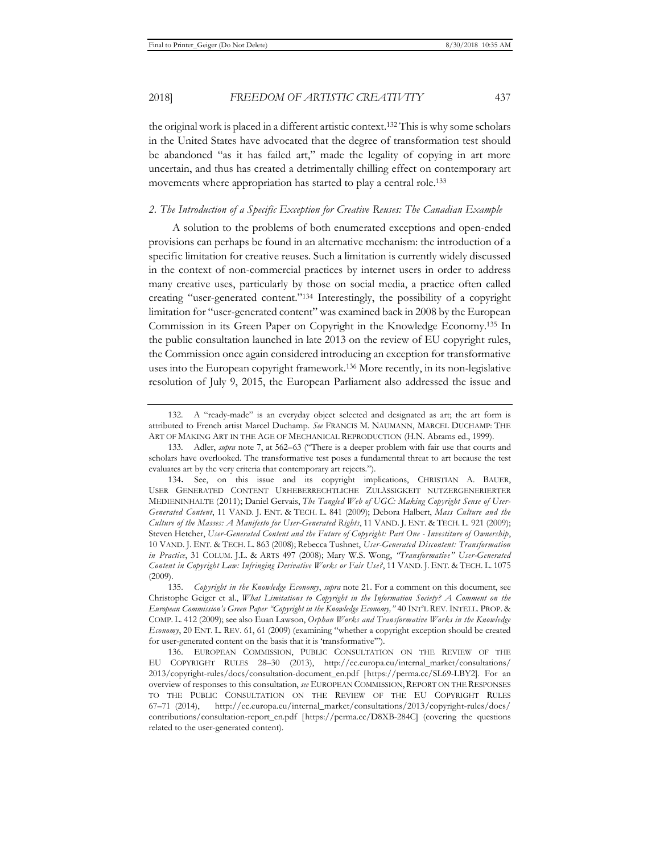the original work is placed in a different artistic context.132 This is why some scholars in the United States have advocated that the degree of transformation test should be abandoned "as it has failed art," made the legality of copying in art more uncertain, and thus has created a detrimentally chilling effect on contemporary art movements where appropriation has started to play a central role.<sup>133</sup>

#### *2. The Introduction of a Specific Exception for Creative Reuses: The Canadian Example*

A solution to the problems of both enumerated exceptions and open-ended provisions can perhaps be found in an alternative mechanism: the introduction of a specific limitation for creative reuses. Such a limitation is currently widely discussed in the context of non-commercial practices by internet users in order to address many creative uses, particularly by those on social media, a practice often called creating "user-generated content."134 Interestingly, the possibility of a copyright limitation for "user-generated content" was examined back in 2008 by the European Commission in its Green Paper on Copyright in the Knowledge Economy.135 In the public consultation launched in late 2013 on the review of EU copyright rules, the Commission once again considered introducing an exception for transformative uses into the European copyright framework.136 More recently, in its non-legislative resolution of July 9, 2015, the European Parliament also addressed the issue and

<sup>132.</sup> A "ready-made" is an everyday object selected and designated as art; the art form is attributed to French artist Marcel Duchamp. *See* FRANCIS M. NAUMANN, MARCEL DUCHAMP: THE ART OF MAKING ART IN THE AGE OF MECHANICAL REPRODUCTION (H.N. Abrams ed., 1999).

<sup>133.</sup> Adler, *supra* note 7, at 562–63 ("There is a deeper problem with fair use that courts and scholars have overlooked. The transformative test poses a fundamental threat to art because the test evaluates art by the very criteria that contemporary art rejects.").

<sup>134</sup>**.** See, on this issue and its copyright implications, CHRISTIAN A. BAUER, USER GENERATED CONTENT URHEBERRECHTLICHE ZULÄSSIGKEIT NUTZERGENERIERTER MEDIENINHALTE (2011); Daniel Gervais, *The Tangled Web of UGC: Making Copyright Sense of User-Generated Content*, 11 VAND. J. ENT. & TECH. L. 841 (2009); Debora Halbert, *Mass Culture and the Culture of the Masses: A Manifesto for User-Generated Rights*, 11 VAND. J. ENT. & TECH. L. 921 (2009); Steven Hetcher, *User-Generated Content and the Future of Copyright: Part One - Investiture of Ownership*, 10 VAND. J. ENT. & TECH. L. 863 (2008); Rebecca Tushnet, *User-Generated Discontent: Transformation in Practice*, 31 COLUM. J.L. & ARTS 497 (2008); Mary W.S. Wong, *"Transformative" User-Generated Content in Copyright Law: Infringing Derivative Works or Fair Use?*, 11 VAND. J. ENT. & TECH. L. 1075  $(2009)$ 

<sup>135.</sup> *Copyright in the Knowledge Economy*, *supra* note 21. For a comment on this document, see Christophe Geiger et al., *What Limitations to Copyright in the Information Society? A Comment on the European Commission's Green Paper "Copyright in the Knowledge Economy,"* 40 INT'L REV. INTELL. PROP. & COMP. L. 412 (2009); see also Euan Lawson, *Orphan Works and Transformative Works in the Knowledge Economy*, 20 ENT. L. REV. 61, 61 (2009) (examining "whether a copyright exception should be created for user-generated content on the basis that it is 'transformative'").

<sup>136.</sup> EUROPEAN COMMISSION, PUBLIC CONSULTATION ON THE REVIEW OF THE EU COPYRIGHT RULES 28–30 (2013), http://ec.europa.eu/internal\_market/consultations/ 2013/copyright-rules/docs/consultation-document\_en.pdf [https://perma.cc/SL69-LBY2]. For an overview of responses to this consultation, *see* EUROPEAN COMMISSION, REPORT ON THE RESPONSES TO THE PUBLIC CONSULTATION ON THE REVIEW OF THE EU COPYRIGHT RULES 67–71 (2014), http://ec.europa.eu/internal\_market/consultations/2013/copyright-rules/docs/ contributions/consultation-report\_en.pdf [https://perma.cc/D8XB-284C] (covering the questions related to the user-generated content).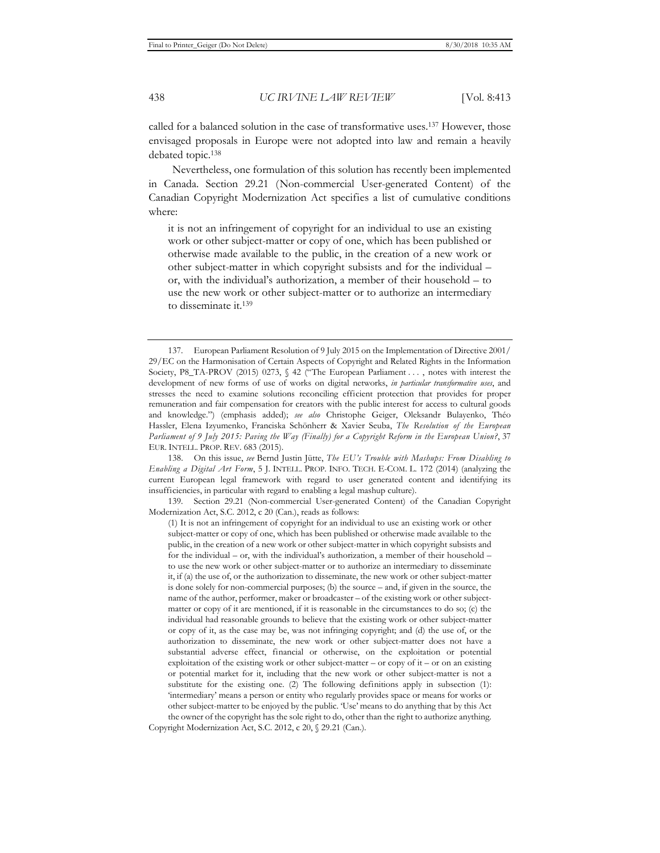called for a balanced solution in the case of transformative uses.137 However, those envisaged proposals in Europe were not adopted into law and remain a heavily debated topic.138

Nevertheless, one formulation of this solution has recently been implemented in Canada. Section 29.21 (Non-commercial User-generated Content) of the Canadian Copyright Modernization Act specifies a list of cumulative conditions where:

it is not an infringement of copyright for an individual to use an existing work or other subject-matter or copy of one, which has been published or otherwise made available to the public, in the creation of a new work or other subject-matter in which copyright subsists and for the individual – or, with the individual's authorization, a member of their household – to use the new work or other subject-matter or to authorize an intermediary to disseminate it.139

<sup>137.</sup> European Parliament Resolution of 9 July 2015 on the Implementation of Directive 2001/ 29/EC on the Harmonisation of Certain Aspects of Copyright and Related Rights in the Information Society, P8\_TA-PROV (2015) 0273,  $\frac{6}{5}$  42 ("The European Parliament ..., notes with interest the development of new forms of use of works on digital networks, *in particular transformative uses*, and stresses the need to examine solutions reconciling efficient protection that provides for proper remuneration and fair compensation for creators with the public interest for access to cultural goods and knowledge.") (emphasis added); *see also* Christophe Geiger, Oleksandr Bulayenko, Théo Hassler, Elena Izyumenko, Franciska Schönherr & Xavier Seuba, *The Resolution of the European Parliament of 9 July 2015: Paving the Way (Finally) for a Copyright Reform in the European Union?*, 37 EUR. INTELL. PROP. REV. 683 (2015).

<sup>138.</sup> On this issue, *see* Bernd Justin Jütte, *The EU's Trouble with Mashups: From Disabling to Enabling a Digital Art Form*, 5 J. INTELL. PROP. INFO. TECH. E-COM. L. 172 (2014) (analyzing the current European legal framework with regard to user generated content and identifying its insufficiencies, in particular with regard to enabling a legal mashup culture).

<sup>139.</sup> Section 29.21 (Non-commercial User-generated Content) of the Canadian Copyright Modernization Act, S.C. 2012, c 20 (Can.), reads as follows:

<sup>(1)</sup> It is not an infringement of copyright for an individual to use an existing work or other subject-matter or copy of one, which has been published or otherwise made available to the public, in the creation of a new work or other subject-matter in which copyright subsists and for the individual – or, with the individual's authorization, a member of their household – to use the new work or other subject-matter or to authorize an intermediary to disseminate it, if (a) the use of, or the authorization to disseminate, the new work or other subject-matter is done solely for non-commercial purposes; (b) the source – and, if given in the source, the name of the author, performer, maker or broadcaster – of the existing work or other subjectmatter or copy of it are mentioned, if it is reasonable in the circumstances to do so; (c) the individual had reasonable grounds to believe that the existing work or other subject-matter or copy of it, as the case may be, was not infringing copyright; and (d) the use of, or the authorization to disseminate, the new work or other subject-matter does not have a substantial adverse effect, financial or otherwise, on the exploitation or potential exploitation of the existing work or other subject-matter – or copy of it – or on an existing or potential market for it, including that the new work or other subject-matter is not a substitute for the existing one. (2) The following definitions apply in subsection (1): 'intermediary' means a person or entity who regularly provides space or means for works or other subject-matter to be enjoyed by the public. 'Use' means to do anything that by this Act the owner of the copyright has the sole right to do, other than the right to authorize anything. Copyright Modernization Act, S.C. 2012, c 20, § 29.21 (Can.).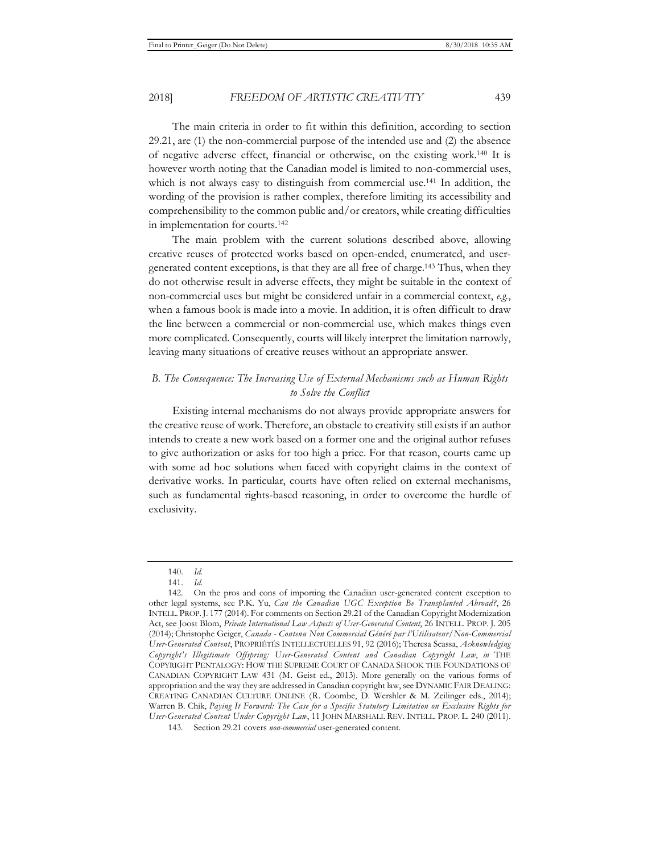The main criteria in order to fit within this definition, according to section 29.21, are (1) the non-commercial purpose of the intended use and (2) the absence of negative adverse effect, financial or otherwise, on the existing work.140 It is however worth noting that the Canadian model is limited to non-commercial uses, which is not always easy to distinguish from commercial use.<sup>141</sup> In addition, the wording of the provision is rather complex, therefore limiting its accessibility and comprehensibility to the common public and/or creators, while creating difficulties in implementation for courts.142

The main problem with the current solutions described above, allowing creative reuses of protected works based on open-ended, enumerated, and usergenerated content exceptions, is that they are all free of charge.143 Thus, when they do not otherwise result in adverse effects, they might be suitable in the context of non-commercial uses but might be considered unfair in a commercial context, *e.g.*, when a famous book is made into a movie. In addition, it is often difficult to draw the line between a commercial or non-commercial use, which makes things even more complicated. Consequently, courts will likely interpret the limitation narrowly, leaving many situations of creative reuses without an appropriate answer.

## *B. The Consequence: The Increasing Use of External Mechanisms such as Human Rights to Solve the Conflict*

Existing internal mechanisms do not always provide appropriate answers for the creative reuse of work. Therefore, an obstacle to creativity still exists if an author intends to create a new work based on a former one and the original author refuses to give authorization or asks for too high a price. For that reason, courts came up with some ad hoc solutions when faced with copyright claims in the context of derivative works. In particular, courts have often relied on external mechanisms, such as fundamental rights-based reasoning, in order to overcome the hurdle of exclusivity.

<sup>140.</sup> *Id.*

<sup>141.</sup> *Id.*

<sup>142.</sup> On the pros and cons of importing the Canadian user-generated content exception to other legal systems, see P.K. Yu, *Can the Canadian UGC Exception Be Transplanted Abroad?*, 26 INTELL. PROP.J. 177 (2014). For comments on Section 29.21 of the Canadian Copyright Modernization Act, see Joost Blom, *Private International Law Aspects of User-Generated Content*, 26 INTELL. PROP. J. 205 (2014); Christophe Geiger, *Canada - Contenu Non Commercial Généré par l'Utilisateur/Non-Commercial User-Generated Content*, PROPRIÉTÉS INTELLECTUELLES 91, 92 (2016); Theresa Scassa, *Acknowledging Copyright's Illegitimate Offspring: User-Generated Content and Canadian Copyright Law*, *in* THE COPYRIGHT PENTALOGY: HOW THE SUPREME COURT OF CANADA SHOOK THE FOUNDATIONS OF CANADIAN COPYRIGHT LAW 431 (M. Geist ed., 2013). More generally on the various forms of appropriation and the way they are addressed in Canadian copyright law, see DYNAMIC FAIR DEALING: CREATING CANADIAN CULTURE ONLINE (R. Coombe, D. Wershler & M. Zeilinger eds., 2014); Warren B. Chik, *Paying It Forward: The Case for a Specific Statutory Limitation on Exclusive Rights for User-Generated Content Under Copyright Law*, 11 JOHN MARSHALL REV. INTELL. PROP. L. 240 (2011).

<sup>143.</sup> Section 29.21 covers *non-commercial* user-generated content.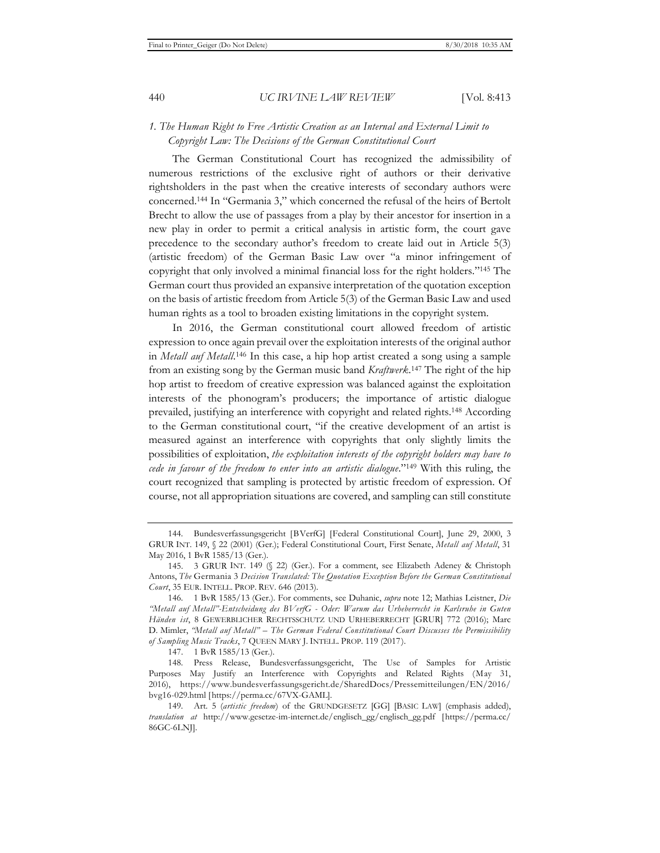## *1. The Human Right to Free Artistic Creation as an Internal and External Limit to Copyright Law: The Decisions of the German Constitutional Court*

The German Constitutional Court has recognized the admissibility of numerous restrictions of the exclusive right of authors or their derivative rightsholders in the past when the creative interests of secondary authors were concerned.144 In "Germania 3," which concerned the refusal of the heirs of Bertolt Brecht to allow the use of passages from a play by their ancestor for insertion in a new play in order to permit a critical analysis in artistic form, the court gave precedence to the secondary author's freedom to create laid out in Article 5(3) (artistic freedom) of the German Basic Law over "a minor infringement of copyright that only involved a minimal financial loss for the right holders."145 The German court thus provided an expansive interpretation of the quotation exception on the basis of artistic freedom from Article 5(3) of the German Basic Law and used human rights as a tool to broaden existing limitations in the copyright system.

In 2016, the German constitutional court allowed freedom of artistic expression to once again prevail over the exploitation interests of the original author in *Metall auf Metall*.<sup>146</sup> In this case, a hip hop artist created a song using a sample from an existing song by the German music band *Kraftwerk*. 147 The right of the hip hop artist to freedom of creative expression was balanced against the exploitation interests of the phonogram's producers; the importance of artistic dialogue prevailed, justifying an interference with copyright and related rights.148 According to the German constitutional court, "if the creative development of an artist is measured against an interference with copyrights that only slightly limits the possibilities of exploitation, *the exploitation interests of the copyright holders may have to cede in favour of the freedom to enter into an artistic dialogue*."149 With this ruling, the court recognized that sampling is protected by artistic freedom of expression. Of course, not all appropriation situations are covered, and sampling can still constitute

<sup>144.</sup> Bundesverfassungsgericht [BVerfG] [Federal Constitutional Court], June 29, 2000, 3 GRUR INT. 149, § 22 (2001) (Ger.); Federal Constitutional Court, First Senate, *Metall auf Metall*, 31 May 2016, 1 BvR 1585/13 (Ger.).

<sup>145. 3</sup> GRUR INT. 149 (§ 22) (Ger.). For a comment, see Elizabeth Adeney & Christoph Antons, *The* Germania 3 *Decision Translated: The Quotation Exception Before the German Constitutional Court*, 35 EUR. INTELL. PROP. REV. 646 (2013).

<sup>146. 1</sup> BvR 1585/13 (Ger.). For comments, see Duhanic, *supra* note 12; Mathias Leistner, *Die "Metall auf Metall"-Entscheidung des BVerfG - Oder: Warum das Urheberrecht in Karlsruhe in Guten Händen ist*, 8 GEWERBLICHER RECHTSSCHUTZ UND URHEBERRECHT [GRUR] 772 (2016); Marc D. Mimler, *"Metall auf Metall" – The German Federal Constitutional Court Discusses the Permissibility of Sampling Music Tracks*, 7 QUEEN MARY J. INTELL. PROP. 119 (2017).

<sup>147. 1</sup> BvR 1585/13 (Ger.).

<sup>148.</sup> Press Release, Bundesverfassungsgericht, The Use of Samples for Artistic Purposes May Justify an Interference with Copyrights and Related Rights (May 31, 2016), https://www.bundesverfassungsgericht.de/SharedDocs/Pressemitteilungen/EN/2016/ bvg16-029.html [https://perma.cc/67VX-GAML].

<sup>149.</sup> Art. 5 (*artistic freedom*) of the GRUNDGESETZ [GG] [BASIC LAW] (emphasis added), *translation at* http://www.gesetze-im-internet.de/englisch\_gg/englisch\_gg.pdf [https://perma.cc/ 86GC-6LNJ].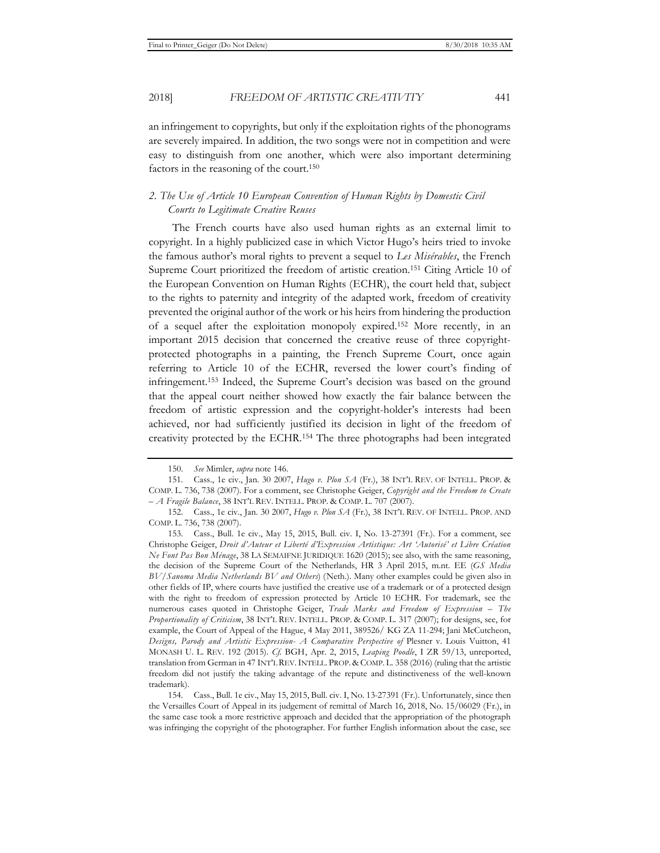an infringement to copyrights, but only if the exploitation rights of the phonograms are severely impaired. In addition, the two songs were not in competition and were easy to distinguish from one another, which were also important determining factors in the reasoning of the court.150

### *2. The Use of Article 10 European Convention of Human Rights by Domestic Civil Courts to Legitimate Creative Reuses*

The French courts have also used human rights as an external limit to copyright. In a highly publicized case in which Victor Hugo's heirs tried to invoke the famous author's moral rights to prevent a sequel to *Les Misérables*, the French Supreme Court prioritized the freedom of artistic creation.151 Citing Article 10 of the European Convention on Human Rights (ECHR), the court held that, subject to the rights to paternity and integrity of the adapted work, freedom of creativity prevented the original author of the work or his heirs from hindering the production of a sequel after the exploitation monopoly expired.152 More recently, in an important 2015 decision that concerned the creative reuse of three copyrightprotected photographs in a painting, the French Supreme Court, once again referring to Article 10 of the ECHR, reversed the lower court's finding of infringement.153 Indeed, the Supreme Court's decision was based on the ground that the appeal court neither showed how exactly the fair balance between the freedom of artistic expression and the copyright-holder's interests had been achieved, nor had sufficiently justified its decision in light of the freedom of creativity protected by the ECHR.154 The three photographs had been integrated

<sup>150.</sup> *See* Mimler, *supra* note 146.

<sup>151.</sup> Cass., 1e civ., Jan. 30 2007, *Hugo v. Plon SA* (Fr.), 38 INT'L REV. OF INTELL. PROP. & COMP. L. 736, 738 (2007). For a comment, see Christophe Geiger, *Copyright and the Freedom to Create – A Fragile Balance*, 38 INT'L REV. INTELL. PROP. & COMP. L. 707 (2007).

<sup>152.</sup> Cass., 1e civ., Jan. 30 2007, *Hugo v. Plon SA* (Fr.), 38 INT'L REV. OF INTELL. PROP. AND COMP. L. 736, 738 (2007).

<sup>153.</sup> Cass., Bull. 1e civ., May 15, 2015, Bull. civ. I, No. 13-27391 (Fr.). For a comment, see Christophe Geiger, *Droit d'Auteur et Liberté d'Expression Artistique: Art 'Autorisé' et Libre Création Ne Font Pas Bon Ménage*, 38 LA SEMAIFNE JURIDIQUE 1620 (2015); see also, with the same reasoning, the decision of the Supreme Court of the Netherlands, HR 3 April 2015, m.nt. EE (*GS Media BV/Sanoma Media Netherlands BV and Others*) (Neth.). Many other examples could be given also in other fields of IP, where courts have justified the creative use of a trademark or of a protected design with the right to freedom of expression protected by Article 10 ECHR. For trademark, see the numerous cases quoted in Christophe Geiger, *Trade Marks and Freedom of Expression – The Proportionality of Criticism*, 38 INT'L REV. INTELL. PROP. & COMP. L. 317 (2007); for designs, see, for example, the Court of Appeal of the Hague, 4 May 2011, 389526/ KG ZA 11-294; Jani McCutcheon, *Designs, Parody and Artistic Expression- A Comparative Perspective of* Plesner v. Louis Vuitton, 41 MONASH U. L. REV. 192 (2015). *Cf.* BGH, Apr. 2, 2015, *Leaping Poodle*, I ZR 59/13, unreported, translation from German in 47 INT'L REV.INTELL. PROP. & COMP. L. 358 (2016) (ruling that the artistic freedom did not justify the taking advantage of the repute and distinctiveness of the well-known trademark).

<sup>154.</sup> Cass., Bull. 1e civ., May 15, 2015, Bull. civ. I, No. 13-27391 (Fr.). Unfortunately, since then the Versailles Court of Appeal in its judgement of remittal of March 16, 2018, No. 15/06029 (Fr.), in the same case took a more restrictive approach and decided that the appropriation of the photograph was infringing the copyright of the photographer. For further English information about the case, see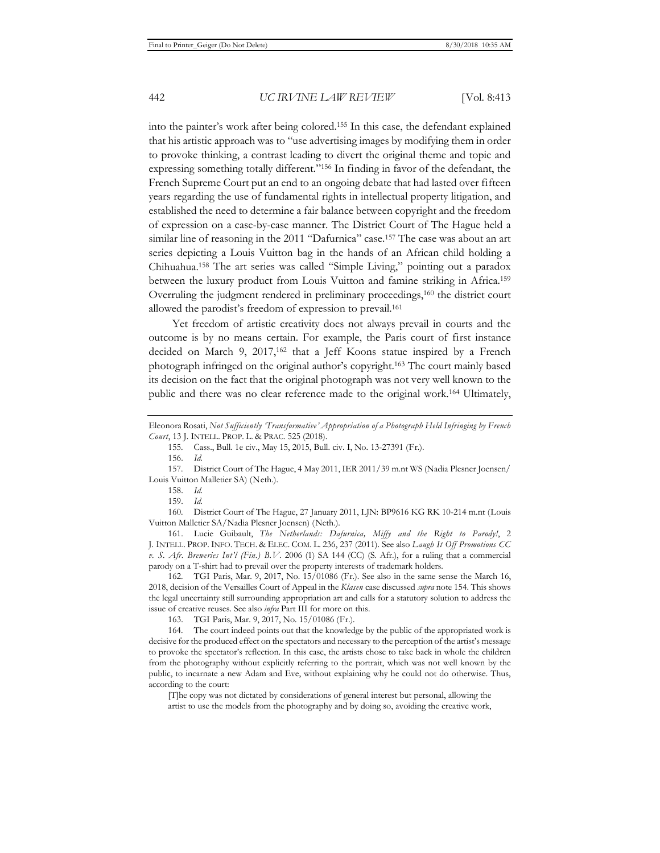into the painter's work after being colored.155 In this case, the defendant explained that his artistic approach was to "use advertising images by modifying them in order to provoke thinking, a contrast leading to divert the original theme and topic and expressing something totally different."156 In finding in favor of the defendant, the French Supreme Court put an end to an ongoing debate that had lasted over fifteen years regarding the use of fundamental rights in intellectual property litigation, and established the need to determine a fair balance between copyright and the freedom of expression on a case-by-case manner. The District Court of The Hague held a similar line of reasoning in the 2011 "Dafurnica" case.157 The case was about an art series depicting a Louis Vuitton bag in the hands of an African child holding a Chihuahua.158 The art series was called "Simple Living," pointing out a paradox between the luxury product from Louis Vuitton and famine striking in Africa.159 Overruling the judgment rendered in preliminary proceedings,160 the district court allowed the parodist's freedom of expression to prevail.161

Yet freedom of artistic creativity does not always prevail in courts and the outcome is by no means certain. For example, the Paris court of first instance decided on March 9, 2017,<sup>162</sup> that a Jeff Koons statue inspired by a French photograph infringed on the original author's copyright.163 The court mainly based its decision on the fact that the original photograph was not very well known to the public and there was no clear reference made to the original work.164 Ultimately,

160. District Court of The Hague, 27 January 2011, LJN: BP9616 KG RK 10-214 m.nt (Louis Vuitton Malletier SA/Nadia Plesner Joensen) (Neth.).

161. Lucie Guibault, *The Netherlands: Dafurnica, Miffy and the Right to Parody!*, 2 J. INTELL. PROP. INFO. TECH. & ELEC. COM. L. 236, 237 (2011). See also *Laugh It Off Promotions CC v. S. Afr. Breweries Int'l (Fin.) B.V.* 2006 (1) SA 144 (CC) (S. Afr.), for a ruling that a commercial parody on a T-shirt had to prevail over the property interests of trademark holders.

162. TGI Paris, Mar. 9, 2017, No. 15/01086 (Fr.). See also in the same sense the March 16, 2018, decision of the Versailles Court of Appeal in the *Klasen* case discussed *supra* note 154. This shows the legal uncertainty still surrounding appropriation art and calls for a statutory solution to address the issue of creative reuses. See also *infra* Part III for more on this.

163. TGI Paris, Mar. 9, 2017, No. 15/01086 (Fr.).

164. The court indeed points out that the knowledge by the public of the appropriated work is decisive for the produced effect on the spectators and necessary to the perception of the artist's message to provoke the spectator's reflection. In this case, the artists chose to take back in whole the children from the photography without explicitly referring to the portrait, which was not well known by the public, to incarnate a new Adam and Eve, without explaining why he could not do otherwise. Thus, according to the court:

[T]he copy was not dictated by considerations of general interest but personal, allowing the artist to use the models from the photography and by doing so, avoiding the creative work,

Eleonora Rosati, *Not Sufficiently 'Transformative' Appropriation of a Photograph Held Infringing by French Court*, 13 J. INTELL. PROP. L. & PRAC. 525 (2018).

<sup>155.</sup> Cass., Bull. 1e civ., May 15, 2015, Bull. civ. I, No. 13-27391 (Fr.).

<sup>156.</sup> *Id.*

<sup>157.</sup> District Court of The Hague, 4 May 2011, IER 2011/39 m.nt WS (Nadia Plesner Joensen/ Louis Vuitton Malletier SA) (Neth.).

<sup>158.</sup> *Id.*

<sup>159.</sup> *Id.*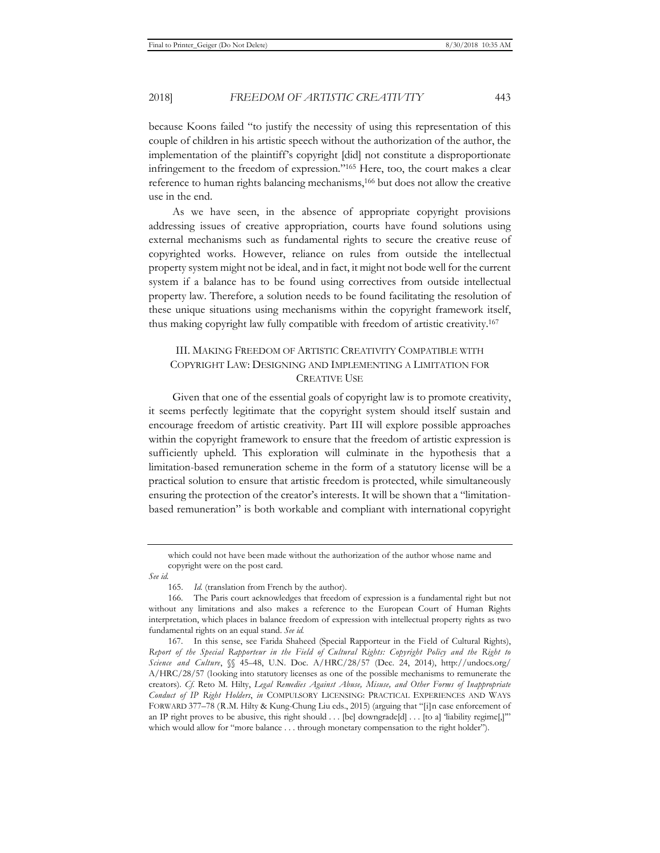because Koons failed "to justify the necessity of using this representation of this couple of children in his artistic speech without the authorization of the author, the implementation of the plaintiff's copyright [did] not constitute a disproportionate infringement to the freedom of expression."165 Here, too, the court makes a clear reference to human rights balancing mechanisms,166 but does not allow the creative use in the end.

As we have seen, in the absence of appropriate copyright provisions addressing issues of creative appropriation, courts have found solutions using external mechanisms such as fundamental rights to secure the creative reuse of copyrighted works. However, reliance on rules from outside the intellectual property system might not be ideal, and in fact, it might not bode well for the current system if a balance has to be found using correctives from outside intellectual property law. Therefore, a solution needs to be found facilitating the resolution of these unique situations using mechanisms within the copyright framework itself, thus making copyright law fully compatible with freedom of artistic creativity.167

## III. MAKING FREEDOM OF ARTISTIC CREATIVITY COMPATIBLE WITH COPYRIGHT LAW: DESIGNING AND IMPLEMENTING A LIMITATION FOR CREATIVE USE

Given that one of the essential goals of copyright law is to promote creativity, it seems perfectly legitimate that the copyright system should itself sustain and encourage freedom of artistic creativity. Part III will explore possible approaches within the copyright framework to ensure that the freedom of artistic expression is sufficiently upheld. This exploration will culminate in the hypothesis that a limitation-based remuneration scheme in the form of a statutory license will be a practical solution to ensure that artistic freedom is protected, while simultaneously ensuring the protection of the creator's interests. It will be shown that a "limitationbased remuneration" is both workable and compliant with international copyright

which could not have been made without the authorization of the author whose name and copyright were on the post card.

*See id.*

<sup>165.</sup> *Id.* (translation from French by the author).

<sup>166.</sup> The Paris court acknowledges that freedom of expression is a fundamental right but not without any limitations and also makes a reference to the European Court of Human Rights interpretation, which places in balance freedom of expression with intellectual property rights as two fundamental rights on an equal stand. *See id.*

<sup>167.</sup> In this sense, see Farida Shaheed (Special Rapporteur in the Field of Cultural Rights), *Report of the Special Rapporteur in the Field of Cultural Rights: Copyright Policy and the Right to Science and Culture*, §§ 45–48, U.N. Doc. A/HRC/28/57 (Dec. 24, 2014), http://undocs.org/ A/HRC/28/57 (looking into statutory licenses as one of the possible mechanisms to remunerate the creators). *Cf.* Reto M. Hilty, *Legal Remedies Against Abuse, Misuse, and Other Forms of Inappropriate Conduct of IP Right Holders*, *in* COMPULSORY LICENSING: PRACTICAL EXPERIENCES AND WAYS FORWARD 377–78 (R.M. Hilty & Kung-Chung Liu eds., 2015) (arguing that "[i]n case enforcement of an IP right proves to be abusive, this right should . . . [be] downgrade[d] . . . [to a] 'liability regime[,]'" which would allow for "more balance . . . through monetary compensation to the right holder").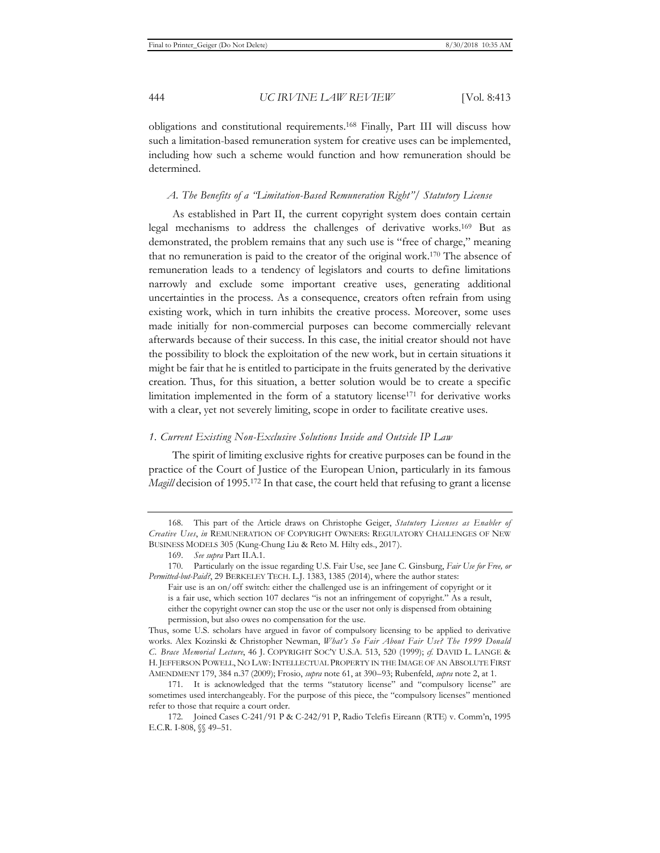obligations and constitutional requirements.168 Finally, Part III will discuss how such a limitation-based remuneration system for creative uses can be implemented, including how such a scheme would function and how remuneration should be determined.

#### *A. The Benefits of a "Limitation-Based Remuneration Right"/ Statutory License*

As established in Part II, the current copyright system does contain certain legal mechanisms to address the challenges of derivative works.169 But as demonstrated, the problem remains that any such use is "free of charge," meaning that no remuneration is paid to the creator of the original work.170 The absence of remuneration leads to a tendency of legislators and courts to define limitations narrowly and exclude some important creative uses, generating additional uncertainties in the process. As a consequence, creators often refrain from using existing work, which in turn inhibits the creative process. Moreover, some uses made initially for non-commercial purposes can become commercially relevant afterwards because of their success. In this case, the initial creator should not have the possibility to block the exploitation of the new work, but in certain situations it might be fair that he is entitled to participate in the fruits generated by the derivative creation. Thus, for this situation, a better solution would be to create a specific limitation implemented in the form of a statutory license171 for derivative works with a clear, yet not severely limiting, scope in order to facilitate creative uses.

#### *1. Current Existing Non-Exclusive Solutions Inside and Outside IP Law*

The spirit of limiting exclusive rights for creative purposes can be found in the practice of the Court of Justice of the European Union, particularly in its famous *Magill* decision of 1995.172 In that case, the court held that refusing to grant a license

Thus, some U.S. scholars have argued in favor of compulsory licensing to be applied to derivative works. Alex Kozinski & Christopher Newman, *What's So Fair About Fair Use? The 1999 Donald C. Brace Memorial Lecture*, 46 J. COPYRIGHT SOC'Y U.S.A. 513, 520 (1999); *cf.* DAVID L. LANGE & H. JEFFERSON POWELL, NO LAW:INTELLECTUAL PROPERTY IN THE IMAGE OF AN ABSOLUTE FIRST AMENDMENT 179, 384 n.37 (2009); Frosio, *supra* note 61, at 390–93; Rubenfeld, *supra* note 2, at 1.

<sup>168.</sup> This part of the Article draws on Christophe Geiger, *Statutory Licenses as Enabler of Creative Uses*, *in* REMUNERATION OF COPYRIGHT OWNERS: REGULATORY CHALLENGES OF NEW BUSINESS MODELS 305 (Kung-Chung Liu & Reto M. Hilty eds., 2017).

<sup>169.</sup> *See supra* Part II.A.1.

<sup>170.</sup> Particularly on the issue regarding U.S. Fair Use, see Jane C. Ginsburg, *Fair Use for Free, or Permitted-but-Paid?*, 29 BERKELEY TECH. L.J. 1383, 1385 (2014), where the author states:

Fair use is an on/off switch: either the challenged use is an infringement of copyright or it is a fair use, which section 107 declares "is not an infringement of copyright." As a result, either the copyright owner can stop the use or the user not only is dispensed from obtaining permission, but also owes no compensation for the use.

<sup>171.</sup> It is acknowledged that the terms "statutory license" and "compulsory license" are sometimes used interchangeably. For the purpose of this piece, the "compulsory licenses" mentioned refer to those that require a court order.

<sup>172.</sup> Joined Cases C-241/91 P & C-242/91 P, Radio Telefis Eireann (RTE) v. Comm'n, 1995 E.C.R. I-808, §§ 49–51.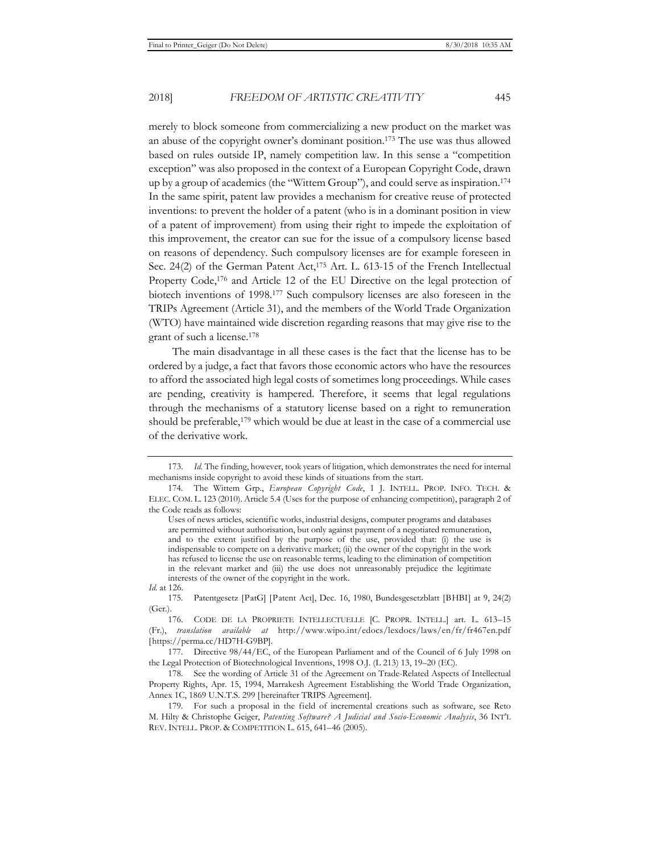merely to block someone from commercializing a new product on the market was an abuse of the copyright owner's dominant position.173 The use was thus allowed based on rules outside IP, namely competition law. In this sense a "competition exception" was also proposed in the context of a European Copyright Code, drawn up by a group of academics (the "Wittem Group"), and could serve as inspiration.174 In the same spirit, patent law provides a mechanism for creative reuse of protected inventions: to prevent the holder of a patent (who is in a dominant position in view of a patent of improvement) from using their right to impede the exploitation of this improvement, the creator can sue for the issue of a compulsory license based on reasons of dependency. Such compulsory licenses are for example foreseen in Sec. 24(2) of the German Patent Act,<sup>175</sup> Art. L. 613-15 of the French Intellectual Property Code,<sup>176</sup> and Article 12 of the EU Directive on the legal protection of biotech inventions of 1998.177 Such compulsory licenses are also foreseen in the TRIPs Agreement (Article 31), and the members of the World Trade Organization (WTO) have maintained wide discretion regarding reasons that may give rise to the grant of such a license.178

The main disadvantage in all these cases is the fact that the license has to be ordered by a judge, a fact that favors those economic actors who have the resources to afford the associated high legal costs of sometimes long proceedings. While cases are pending, creativity is hampered. Therefore, it seems that legal regulations through the mechanisms of a statutory license based on a right to remuneration should be preferable,<sup>179</sup> which would be due at least in the case of a commercial use of the derivative work.

<sup>173.</sup> *Id.* The finding, however, took years of litigation, which demonstrates the need for internal mechanisms inside copyright to avoid these kinds of situations from the start.

<sup>174.</sup> The Wittem Grp., *European Copyright Code*, 1 J. INTELL. PROP. INFO. TECH. & ELEC. COM. L. 123 (2010). Article 5.4 (Uses for the purpose of enhancing competition), paragraph 2 of the Code reads as follows:

Uses of news articles, scientific works, industrial designs, computer programs and databases are permitted without authorisation, but only against payment of a negotiated remuneration, and to the extent justified by the purpose of the use, provided that: (i) the use is indispensable to compete on a derivative market; (ii) the owner of the copyright in the work has refused to license the use on reasonable terms, leading to the elimination of competition in the relevant market and (iii) the use does not unreasonably prejudice the legitimate interests of the owner of the copyright in the work.

*Id.* at 126.

<sup>175.</sup> Patentgesetz [PatG] [Patent Act], Dec. 16, 1980, Bundesgesetzblatt [BHBI] at 9, 24(2) (Ger.).

<sup>176.</sup> CODE DE LA PROPRIETE INTELLECTUELLE [C. PROPR. INTELL.] art. L. 613–15 (Fr.), *translation available at* http://www.wipo.int/edocs/lexdocs/laws/en/fr/fr467en.pdf [https://perma.cc/HD7H-G9BP].

<sup>177.</sup> Directive 98/44/EC, of the European Parliament and of the Council of 6 July 1998 on the Legal Protection of Biotechnological Inventions, 1998 O.J. (L 213) 13, 19–20 (EC).

<sup>178.</sup> See the wording of Article 31 of the Agreement on Trade-Related Aspects of Intellectual Property Rights, Apr. 15, 1994, Marrakesh Agreement Establishing the World Trade Organization, Annex 1C, 1869 U.N.T.S. 299 [hereinafter TRIPS Agreement].

<sup>179.</sup> For such a proposal in the field of incremental creations such as software, see Reto M. Hilty & Christophe Geiger, *Patenting Software? A Judicial and Socio-Economic Analysis*, 36 INT'L REV. INTELL. PROP. & COMPETITION L. 615, 641–46 (2005).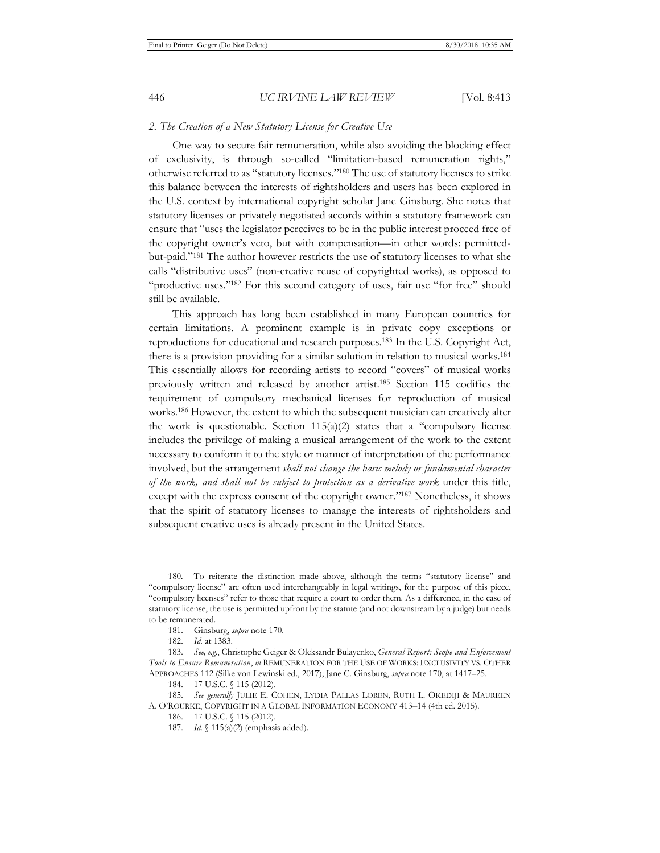#### *2. The Creation of a New Statutory License for Creative Use*

One way to secure fair remuneration, while also avoiding the blocking effect of exclusivity, is through so-called "limitation-based remuneration rights," otherwise referred to as "statutory licenses."180 The use of statutory licenses to strike this balance between the interests of rightsholders and users has been explored in the U.S. context by international copyright scholar Jane Ginsburg. She notes that statutory licenses or privately negotiated accords within a statutory framework can ensure that "uses the legislator perceives to be in the public interest proceed free of the copyright owner's veto, but with compensation—in other words: permittedbut-paid."181 The author however restricts the use of statutory licenses to what she calls "distributive uses" (non-creative reuse of copyrighted works), as opposed to "productive uses."182 For this second category of uses, fair use "for free" should still be available.

This approach has long been established in many European countries for certain limitations. A prominent example is in private copy exceptions or reproductions for educational and research purposes.183 In the U.S. Copyright Act, there is a provision providing for a similar solution in relation to musical works.184 This essentially allows for recording artists to record "covers" of musical works previously written and released by another artist.185 Section 115 codifies the requirement of compulsory mechanical licenses for reproduction of musical works.186 However, the extent to which the subsequent musician can creatively alter the work is questionable. Section  $115(a)(2)$  states that a "compulsory license includes the privilege of making a musical arrangement of the work to the extent necessary to conform it to the style or manner of interpretation of the performance involved, but the arrangement *shall not change the basic melody or fundamental character of the work, and shall not be subject to protection as a derivative work* under this title, except with the express consent of the copyright owner."187 Nonetheless, it shows that the spirit of statutory licenses to manage the interests of rightsholders and subsequent creative uses is already present in the United States.

<sup>180.</sup> To reiterate the distinction made above, although the terms "statutory license" and "compulsory license" are often used interchangeably in legal writings, for the purpose of this piece, "compulsory licenses" refer to those that require a court to order them. As a difference, in the case of statutory license, the use is permitted upfront by the statute (and not downstream by a judge) but needs to be remunerated.

<sup>181.</sup> Ginsburg, *supra* note 170.

<sup>182.</sup> *Id.* at 1383.

<sup>183.</sup> *See, e.g.*, Christophe Geiger & Oleksandr Bulayenko, *General Report: Scope and Enforcement Tools to Ensure Remuneration*, *in* REMUNERATION FOR THE USE OF WORKS: EXCLUSIVITY VS. OTHER APPROACHES 112 (Silke von Lewinski ed., 2017); Jane C. Ginsburg, *supra* note 170, at 1417–25.

<sup>184. 17</sup> U.S.C. § 115 (2012).

<sup>185.</sup> *See generally* JULIE E. COHEN, LYDIA PALLAS LOREN, RUTH L. OKEDIJI & MAUREEN A. O'ROURKE, COPYRIGHT IN A GLOBAL INFORMATION ECONOMY 413–14 (4th ed. 2015).

<sup>186. 17</sup> U.S.C. § 115 (2012).

<sup>187.</sup> *Id.* § 115(a)(2) (emphasis added).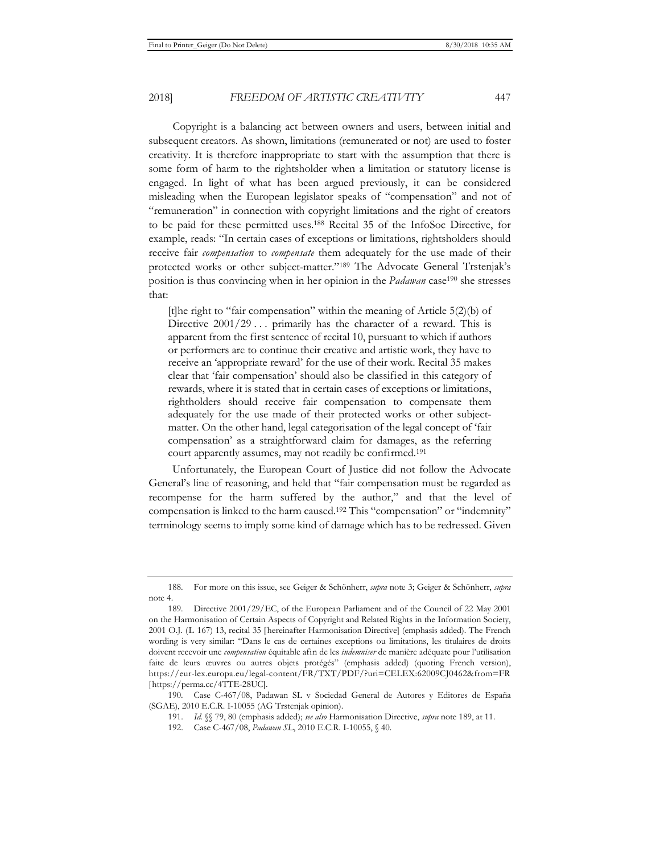Copyright is a balancing act between owners and users, between initial and subsequent creators. As shown, limitations (remunerated or not) are used to foster creativity. It is therefore inappropriate to start with the assumption that there is some form of harm to the rightsholder when a limitation or statutory license is engaged. In light of what has been argued previously, it can be considered misleading when the European legislator speaks of "compensation" and not of "remuneration" in connection with copyright limitations and the right of creators to be paid for these permitted uses.188 Recital 35 of the InfoSoc Directive, for example, reads: "In certain cases of exceptions or limitations, rightsholders should receive fair *compensation* to *compensate* them adequately for the use made of their protected works or other subject-matter."189 The Advocate General Trstenjak's position is thus convincing when in her opinion in the *Padawan* case190 she stresses that:

[t]he right to "fair compensation" within the meaning of Article 5(2)(b) of Directive  $2001/29...$  primarily has the character of a reward. This is apparent from the first sentence of recital 10, pursuant to which if authors or performers are to continue their creative and artistic work, they have to receive an 'appropriate reward' for the use of their work. Recital 35 makes clear that 'fair compensation' should also be classified in this category of rewards, where it is stated that in certain cases of exceptions or limitations, rightholders should receive fair compensation to compensate them adequately for the use made of their protected works or other subjectmatter. On the other hand, legal categorisation of the legal concept of 'fair compensation' as a straightforward claim for damages, as the referring court apparently assumes, may not readily be confirmed.191

Unfortunately, the European Court of Justice did not follow the Advocate General's line of reasoning, and held that "fair compensation must be regarded as recompense for the harm suffered by the author," and that the level of compensation is linked to the harm caused.192 This "compensation" or "indemnity" terminology seems to imply some kind of damage which has to be redressed. Given

<sup>188.</sup> For more on this issue, see Geiger & Schönherr, *supra* note 3; Geiger & Schönherr, *supra* note 4.

<sup>189.</sup> Directive 2001/29/EC, of the European Parliament and of the Council of 22 May 2001 on the Harmonisation of Certain Aspects of Copyright and Related Rights in the Information Society, 2001 O.J. (L 167) 13, recital 35 [hereinafter Harmonisation Directive] (emphasis added). The French wording is very similar: "Dans le cas de certaines exceptions ou limitations, les titulaires de droits doivent recevoir une *compensation* équitable afin de les *indemniser* de manière adéquate pour l'utilisation faite de leurs œuvres ou autres objets protégés" (emphasis added) (quoting French version), https://eur-lex.europa.eu/legal-content/FR/TXT/PDF/?uri=CELEX:62009CJ0462&from=FR [https://perma.cc/4TTE-28UC].

<sup>190.</sup> Case C-467/08, Padawan SL v Sociedad General de Autores y Editores de España (SGAE), 2010 E.C.R. I-10055 (AG Trstenjak opinion).

<sup>191.</sup> *Id.* §§ 79, 80 (emphasis added); *see also* Harmonisation Directive, *supra* note 189, at 11.

<sup>192.</sup> Case C-467/08, *Padawan SL*, 2010 E.C.R. I-10055, § 40.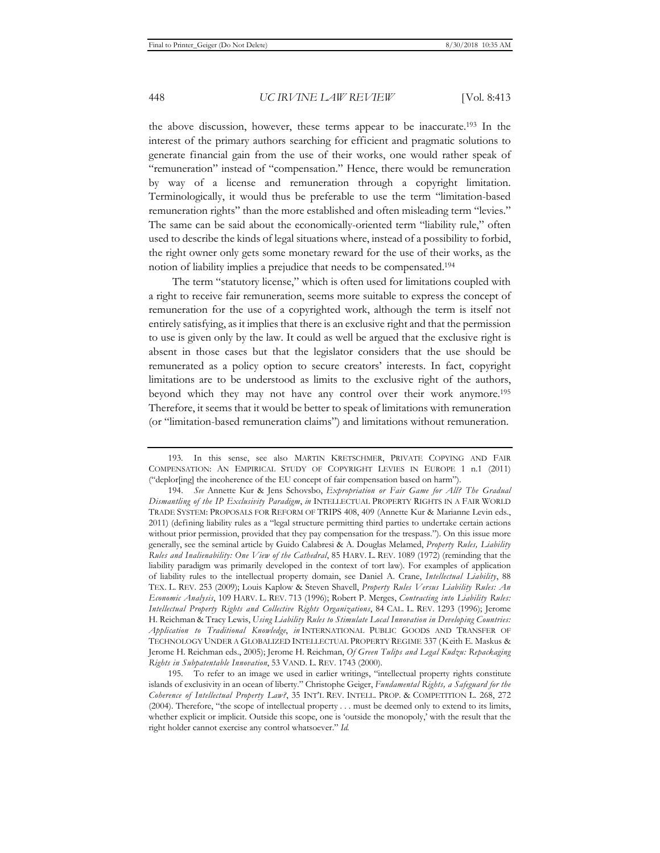the above discussion, however, these terms appear to be inaccurate.193 In the interest of the primary authors searching for efficient and pragmatic solutions to generate financial gain from the use of their works, one would rather speak of "remuneration" instead of "compensation." Hence, there would be remuneration by way of a license and remuneration through a copyright limitation. Terminologically, it would thus be preferable to use the term "limitation-based remuneration rights" than the more established and often misleading term "levies." The same can be said about the economically-oriented term "liability rule," often used to describe the kinds of legal situations where, instead of a possibility to forbid, the right owner only gets some monetary reward for the use of their works, as the notion of liability implies a prejudice that needs to be compensated.194

The term "statutory license," which is often used for limitations coupled with a right to receive fair remuneration, seems more suitable to express the concept of remuneration for the use of a copyrighted work, although the term is itself not entirely satisfying, as it implies that there is an exclusive right and that the permission to use is given only by the law. It could as well be argued that the exclusive right is absent in those cases but that the legislator considers that the use should be remunerated as a policy option to secure creators' interests. In fact, copyright limitations are to be understood as limits to the exclusive right of the authors, beyond which they may not have any control over their work anymore.195 Therefore, it seems that it would be better to speak of limitations with remuneration (or "limitation-based remuneration claims") and limitations without remuneration.

<sup>193.</sup> In this sense, see also MARTIN KRETSCHMER, PRIVATE COPYING AND FAIR COMPENSATION: AN EMPIRICAL STUDY OF COPYRIGHT LEVIES IN EUROPE 1 n.1 (2011) ("deplor[ing] the incoherence of the EU concept of fair compensation based on harm").

<sup>194.</sup> *See* Annette Kur & Jens Schovsbo, *Expropriation or Fair Game for All? The Gradual Dismantling of the IP Exclusivity Paradigm*, *in* INTELLECTUAL PROPERTY RIGHTS IN A FAIR WORLD TRADE SYSTEM: PROPOSALS FOR REFORM OF TRIPS 408, 409 (Annette Kur & Marianne Levin eds., 2011) (defining liability rules as a "legal structure permitting third parties to undertake certain actions without prior permission, provided that they pay compensation for the trespass."). On this issue more generally, see the seminal article by Guido Calabresi & A. Douglas Melamed, *Property Rules, Liability Rules and Inalienability: One View of the Cathedral*, 85 HARV. L. REV. 1089 (1972) (reminding that the liability paradigm was primarily developed in the context of tort law). For examples of application of liability rules to the intellectual property domain, see Daniel A. Crane, *Intellectual Liability*, 88 TEX. L. REV. 253 (2009); Louis Kaplow & Steven Shavell, *Property Rules Versus Liability Rules: An Economic Analysis*, 109 HARV. L. REV. 713 (1996); Robert P. Merges, *Contracting into Liability Rules: Intellectual Property Rights and Collective Rights Organizations*, 84 CAL. L. REV. 1293 (1996); Jerome H. Reichman & Tracy Lewis, *Using Liability Rules to Stimulate Local Innovation in Developing Countries: Application to Traditional Knowledge*, *in* INTERNATIONAL PUBLIC GOODS AND TRANSFER OF TECHNOLOGY UNDER A GLOBALIZED INTELLECTUAL PROPERTY REGIME 337 (Keith E. Maskus & Jerome H. Reichman eds., 2005); Jerome H. Reichman, *Of Green Tulips and Legal Kudzu: Repackaging Rights in Subpatentable Innovation*, 53 VAND. L. REV. 1743 (2000).

<sup>195.</sup> To refer to an image we used in earlier writings, "intellectual property rights constitute islands of exclusivity in an ocean of liberty." Christophe Geiger, *Fundamental Rights, a Safeguard for the Coherence of Intellectual Property Law?*, 35 INT'L REV. INTELL. PROP. & COMPETITION L. 268, 272 (2004). Therefore, "the scope of intellectual property . . . must be deemed only to extend to its limits, whether explicit or implicit. Outside this scope, one is 'outside the monopoly,' with the result that the right holder cannot exercise any control whatsoever." *Id.*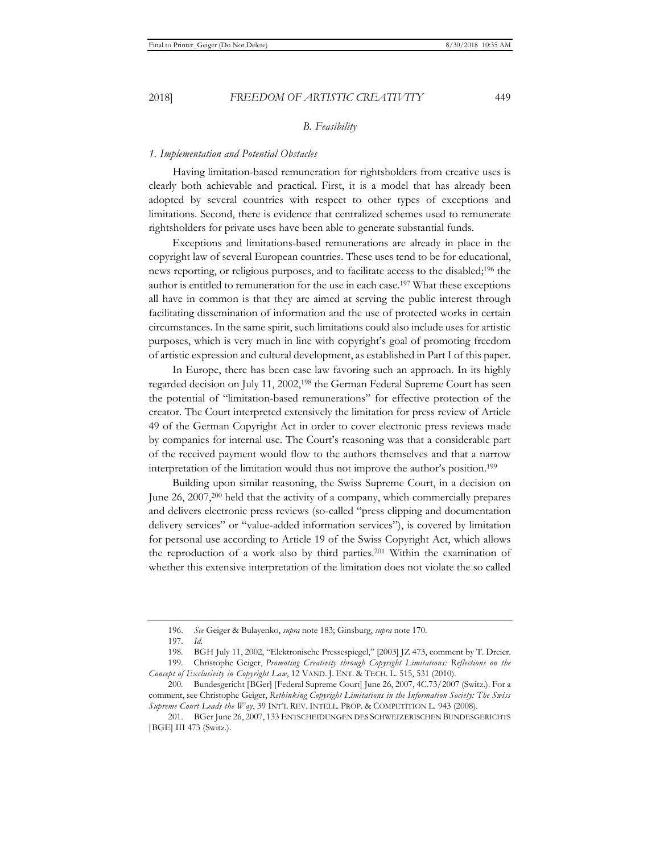#### *B. Feasibility*

#### *1. Implementation and Potential Obstacles*

Having limitation-based remuneration for rightsholders from creative uses is clearly both achievable and practical. First, it is a model that has already been adopted by several countries with respect to other types of exceptions and limitations. Second, there is evidence that centralized schemes used to remunerate rightsholders for private uses have been able to generate substantial funds.

Exceptions and limitations-based remunerations are already in place in the copyright law of several European countries. These uses tend to be for educational, news reporting, or religious purposes, and to facilitate access to the disabled;196 the author is entitled to remuneration for the use in each case.197 What these exceptions all have in common is that they are aimed at serving the public interest through facilitating dissemination of information and the use of protected works in certain circumstances. In the same spirit, such limitations could also include uses for artistic purposes, which is very much in line with copyright's goal of promoting freedom of artistic expression and cultural development, as established in Part I of this paper.

In Europe, there has been case law favoring such an approach. In its highly regarded decision on July 11, 2002,198 the German Federal Supreme Court has seen the potential of "limitation-based remunerations" for effective protection of the creator. The Court interpreted extensively the limitation for press review of Article 49 of the German Copyright Act in order to cover electronic press reviews made by companies for internal use. The Court's reasoning was that a considerable part of the received payment would flow to the authors themselves and that a narrow interpretation of the limitation would thus not improve the author's position.199

Building upon similar reasoning, the Swiss Supreme Court, in a decision on June 26, 2007,200 held that the activity of a company, which commercially prepares and delivers electronic press reviews (so-called "press clipping and documentation delivery services" or "value-added information services"), is covered by limitation for personal use according to Article 19 of the Swiss Copyright Act, which allows the reproduction of a work also by third parties.201 Within the examination of whether this extensive interpretation of the limitation does not violate the so called

<sup>196.</sup> *See* Geiger & Bulayenko, *supra* note 183; Ginsburg, *supra* note 170.

<sup>197.</sup> *Id.*

<sup>198.</sup> BGH July 11, 2002, "Elektronische Pressespiegel," [2003] JZ 473, comment by T. Dreier.

<sup>199.</sup> Christophe Geiger, *Promoting Creativity through Copyright Limitations: Reflections on the Concept of Exclusivity in Copyright Law*, 12 VAND. J. ENT. & TECH. L. 515, 531 (2010).

<sup>200.</sup> Bundesgericht [BGer] [Federal Supreme Court] June 26, 2007, 4C.73/2007 (Switz.). For a comment, see Christophe Geiger, *Rethinking Copyright Limitations in the Information Society: The Swiss Supreme Court Leads the Way*, 39 INT'L REV. INTELL. PROP. & COMPETITION L. 943 (2008).

<sup>201.</sup> BGer June 26, 2007, 133 ENTSCHEIDUNGEN DES SCHWEIZERISCHEN BUNDESGERICHTS [BGE] III 473 (Switz.).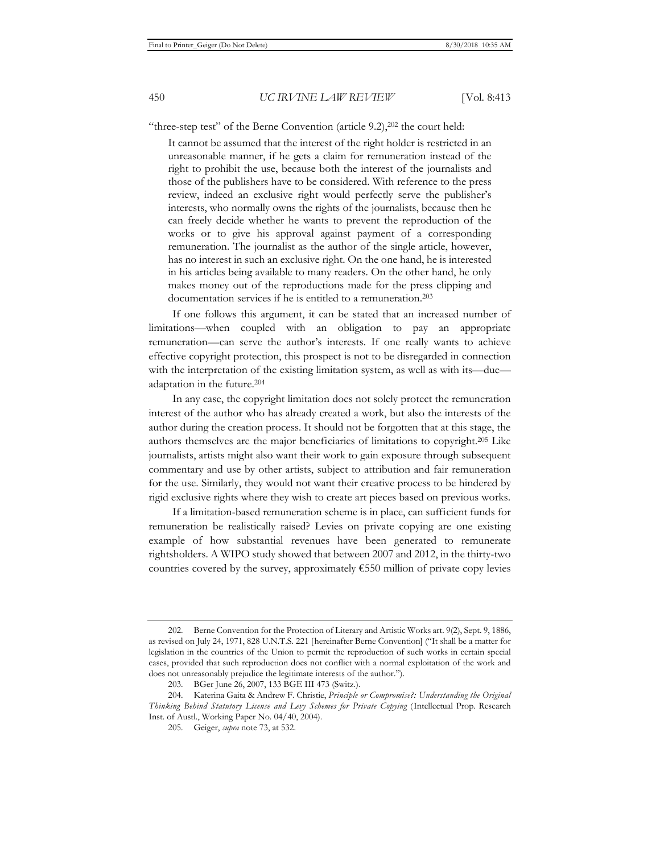"three-step test" of the Berne Convention (article  $9.2$ ), $202$  the court held:

It cannot be assumed that the interest of the right holder is restricted in an unreasonable manner, if he gets a claim for remuneration instead of the right to prohibit the use, because both the interest of the journalists and those of the publishers have to be considered. With reference to the press review, indeed an exclusive right would perfectly serve the publisher's interests, who normally owns the rights of the journalists, because then he can freely decide whether he wants to prevent the reproduction of the works or to give his approval against payment of a corresponding remuneration. The journalist as the author of the single article, however, has no interest in such an exclusive right. On the one hand, he is interested in his articles being available to many readers. On the other hand, he only makes money out of the reproductions made for the press clipping and documentation services if he is entitled to a remuneration.<sup>203</sup>

If one follows this argument, it can be stated that an increased number of limitations—when coupled with an obligation to pay an appropriate remuneration—can serve the author's interests. If one really wants to achieve effective copyright protection, this prospect is not to be disregarded in connection with the interpretation of the existing limitation system, as well as with its—due adaptation in the future.204

In any case, the copyright limitation does not solely protect the remuneration interest of the author who has already created a work, but also the interests of the author during the creation process. It should not be forgotten that at this stage, the authors themselves are the major beneficiaries of limitations to copyright.205 Like journalists, artists might also want their work to gain exposure through subsequent commentary and use by other artists, subject to attribution and fair remuneration for the use. Similarly, they would not want their creative process to be hindered by rigid exclusive rights where they wish to create art pieces based on previous works.

If a limitation-based remuneration scheme is in place, can sufficient funds for remuneration be realistically raised? Levies on private copying are one existing example of how substantial revenues have been generated to remunerate rightsholders. A WIPO study showed that between 2007 and 2012, in the thirty-two countries covered by the survey, approximately  $€550$  million of private copy levies

<sup>202.</sup> Berne Convention for the Protection of Literary and Artistic Works art. 9(2), Sept. 9, 1886, as revised on July 24, 1971, 828 U.N.T.S. 221 [hereinafter Berne Convention] ("It shall be a matter for legislation in the countries of the Union to permit the reproduction of such works in certain special cases, provided that such reproduction does not conflict with a normal exploitation of the work and does not unreasonably prejudice the legitimate interests of the author.").

<sup>203.</sup> BGer June 26, 2007, 133 BGE III 473 (Switz.).

<sup>204.</sup> Katerina Gaita & Andrew F. Christie, *Principle or Compromise?: Understanding the Original Thinking Behind Statutory License and Levy Schemes for Private Copying* (Intellectual Prop. Research Inst. of Austl., Working Paper No. 04/40, 2004).

<sup>205.</sup> Geiger, *supra* note 73, at 532.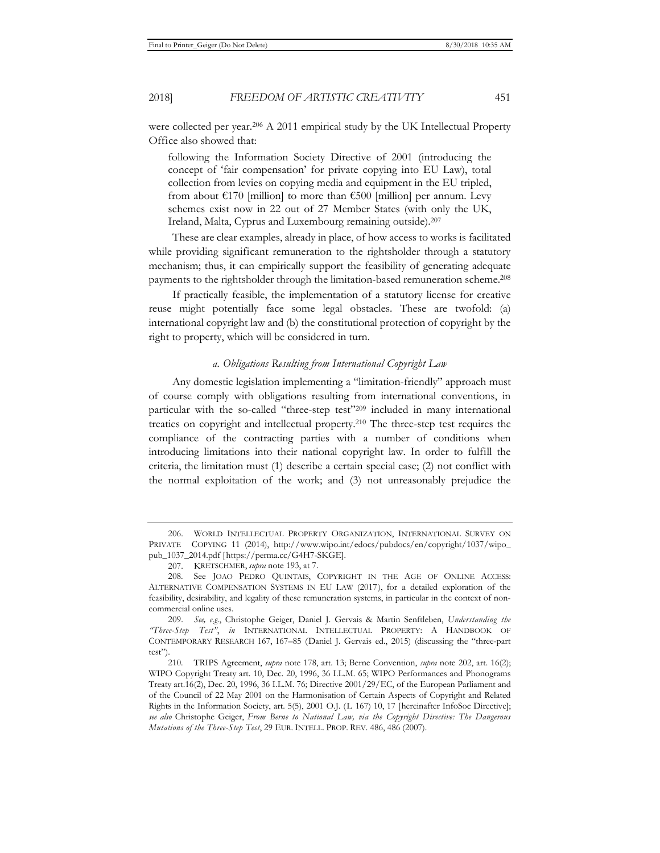were collected per year.206 A 2011 empirical study by the UK Intellectual Property Office also showed that:

following the Information Society Directive of 2001 (introducing the concept of 'fair compensation' for private copying into EU Law), total collection from levies on copying media and equipment in the EU tripled, from about  $\epsilon$ 170 [million] to more than  $\epsilon$ 500 [million] per annum. Levy schemes exist now in 22 out of 27 Member States (with only the UK, Ireland, Malta, Cyprus and Luxembourg remaining outside).207

These are clear examples, already in place, of how access to works is facilitated while providing significant remuneration to the rightsholder through a statutory mechanism; thus, it can empirically support the feasibility of generating adequate payments to the rightsholder through the limitation-based remuneration scheme.208

If practically feasible, the implementation of a statutory license for creative reuse might potentially face some legal obstacles. These are twofold: (a) international copyright law and (b) the constitutional protection of copyright by the right to property, which will be considered in turn.

#### *a. Obligations Resulting from International Copyright Law*

Any domestic legislation implementing a "limitation-friendly" approach must of course comply with obligations resulting from international conventions, in particular with the so-called "three-step test"209 included in many international treaties on copyright and intellectual property.210 The three-step test requires the compliance of the contracting parties with a number of conditions when introducing limitations into their national copyright law. In order to fulfill the criteria, the limitation must (1) describe a certain special case; (2) not conflict with the normal exploitation of the work; and (3) not unreasonably prejudice the

<sup>206.</sup> WORLD INTELLECTUAL PROPERTY ORGANIZATION, INTERNATIONAL SURVEY ON PRIVATE COPYING 11 (2014), http://www.wipo.int/edocs/pubdocs/en/copyright/1037/wipo\_ pub\_1037\_2014.pdf [https://perma.cc/G4H7-SKGE].

<sup>207.</sup> KRETSCHMER, *supra* note 193, at 7.

<sup>208.</sup> See JOAO PEDRO QUINTAIS, COPYRIGHT IN THE AGE OF ONLINE ACCESS: ALTERNATIVE COMPENSATION SYSTEMS IN EU LAW (2017), for a detailed exploration of the feasibility, desirability, and legality of these remuneration systems, in particular in the context of noncommercial online uses.

<sup>209.</sup> *See, e.g.*, Christophe Geiger, Daniel J. Gervais & Martin Senftleben, *Understanding the "Three-Step Test"*, *in* INTERNATIONAL INTELLECTUAL PROPERTY: A HANDBOOK OF CONTEMPORARY RESEARCH 167, 167–85 (Daniel J. Gervais ed., 2015) (discussing the "three-part test").

<sup>210.</sup> TRIPS Agreement, *supra* note 178, art. 13; Berne Convention, *supra* note 202, art. 16(2); WIPO Copyright Treaty art. 10, Dec. 20, 1996, 36 I.L.M. 65; WIPO Performances and Phonograms Treaty art.16(2), Dec. 20, 1996, 36 I.L.M. 76; Directive 2001/29/EC, of the European Parliament and of the Council of 22 May 2001 on the Harmonisation of Certain Aspects of Copyright and Related Rights in the Information Society, art. 5(5), 2001 O.J. (L 167) 10, 17 [hereinafter InfoSoc Directive]; *see also* Christophe Geiger, *From Berne to National Law, via the Copyright Directive: The Dangerous Mutations of the Three-Step Test*, 29 EUR. INTELL. PROP. REV. 486, 486 (2007).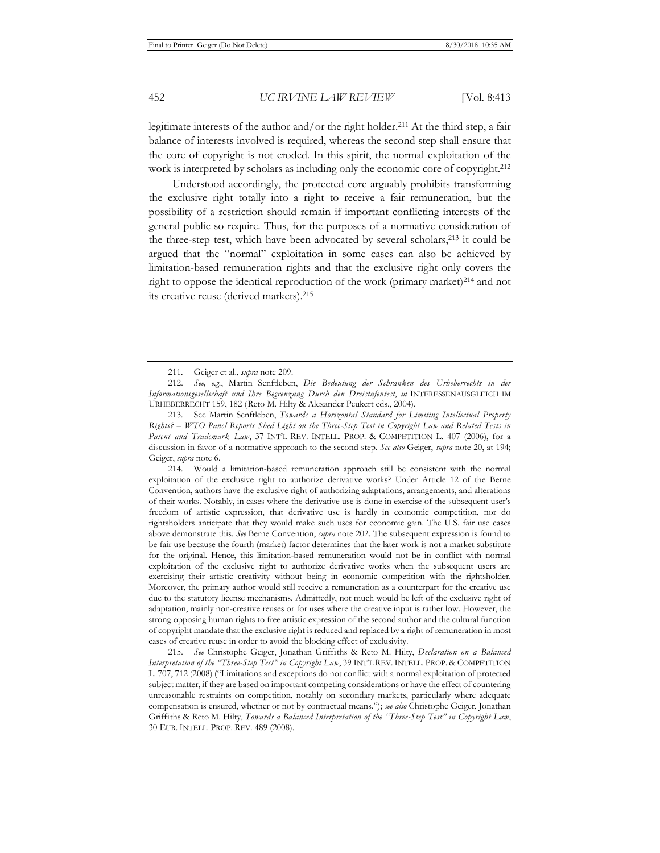legitimate interests of the author and/or the right holder.<sup>211</sup> At the third step, a fair balance of interests involved is required, whereas the second step shall ensure that the core of copyright is not eroded. In this spirit, the normal exploitation of the work is interpreted by scholars as including only the economic core of copyright.<sup>212</sup>

Understood accordingly, the protected core arguably prohibits transforming the exclusive right totally into a right to receive a fair remuneration, but the possibility of a restriction should remain if important conflicting interests of the general public so require. Thus, for the purposes of a normative consideration of the three-step test, which have been advocated by several scholars,213 it could be argued that the "normal" exploitation in some cases can also be achieved by limitation-based remuneration rights and that the exclusive right only covers the right to oppose the identical reproduction of the work (primary market)<sup>214</sup> and not its creative reuse (derived markets).215

213. See Martin Senftleben, *Towards a Horizontal Standard for Limiting Intellectual Property Rights? – WTO Panel Reports Shed Light on the Three-Step Test in Copyright Law and Related Tests in*  Patent and Trademark Law, 37 INT'L REV. INTELL. PROP. & COMPETITION L. 407 (2006), for a discussion in favor of a normative approach to the second step. *See also* Geiger, *supra* note 20, at 194; Geiger, *supra* note 6.

214. Would a limitation-based remuneration approach still be consistent with the normal exploitation of the exclusive right to authorize derivative works? Under Article 12 of the Berne Convention, authors have the exclusive right of authorizing adaptations, arrangements, and alterations of their works. Notably, in cases where the derivative use is done in exercise of the subsequent user's freedom of artistic expression, that derivative use is hardly in economic competition, nor do rightsholders anticipate that they would make such uses for economic gain. The U.S. fair use cases above demonstrate this. *See* Berne Convention, *supra* note 202. The subsequent expression is found to be fair use because the fourth (market) factor determines that the later work is not a market substitute for the original. Hence, this limitation-based remuneration would not be in conflict with normal exploitation of the exclusive right to authorize derivative works when the subsequent users are exercising their artistic creativity without being in economic competition with the rightsholder. Moreover, the primary author would still receive a remuneration as a counterpart for the creative use due to the statutory license mechanisms. Admittedly, not much would be left of the exclusive right of adaptation, mainly non-creative reuses or for uses where the creative input is rather low. However, the strong opposing human rights to free artistic expression of the second author and the cultural function of copyright mandate that the exclusive right is reduced and replaced by a right of remuneration in most cases of creative reuse in order to avoid the blocking effect of exclusivity.

215. *See* Christophe Geiger, Jonathan Griffiths & Reto M. Hilty, *Declaration on a Balanced Interpretation of the "Three-Step Test" in Copyright Law*, 39 INT'L REV.INTELL. PROP. & COMPETITION L. 707, 712 (2008) ("Limitations and exceptions do not conflict with a normal exploitation of protected subject matter, if they are based on important competing considerations or have the effect of countering unreasonable restraints on competition, notably on secondary markets, particularly where adequate compensation is ensured, whether or not by contractual means."); *see also* Christophe Geiger, Jonathan Griffiths & Reto M. Hilty, *Towards a Balanced Interpretation of the "Three-Step Test" in Copyright Law*, 30 EUR. INTELL. PROP. REV. 489 (2008).

<sup>211.</sup> Geiger et al., *supra* note 209.

<sup>212.</sup> *See, e.g.*, Martin Senftleben, *Die Bedeutung der Schranken des Urheberrechts in der Informationsgesellschaft und Ihre Begrenzung Durch den Dreistufentest*, *in* INTERESSENAUSGLEICH IM URHEBERRECHT 159, 182 (Reto M. Hilty & Alexander Peukert eds., 2004).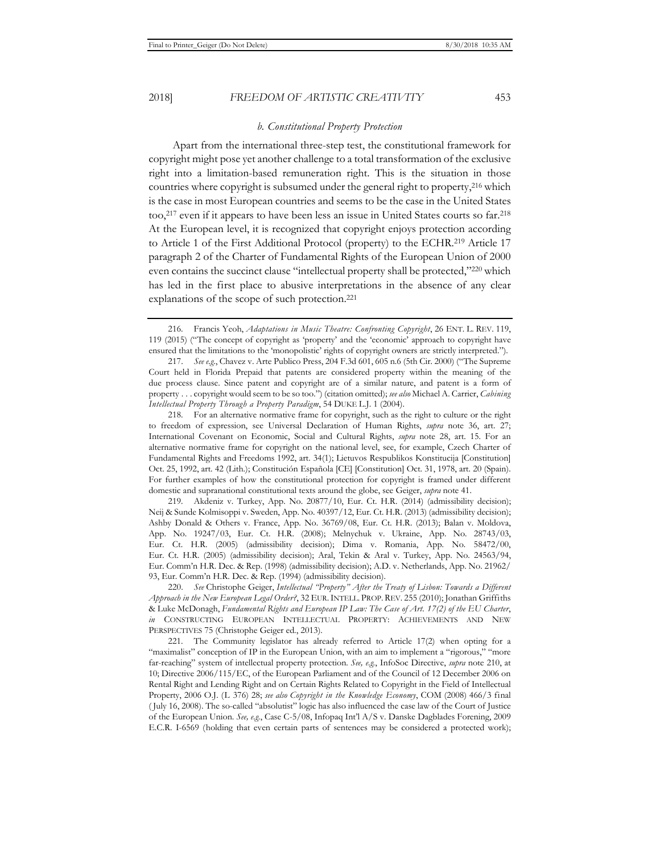## *b. Constitutional Property Protection*

Apart from the international three-step test, the constitutional framework for copyright might pose yet another challenge to a total transformation of the exclusive right into a limitation-based remuneration right. This is the situation in those countries where copyright is subsumed under the general right to property,<sup>216</sup> which is the case in most European countries and seems to be the case in the United States too,217 even if it appears to have been less an issue in United States courts so far.218 At the European level, it is recognized that copyright enjoys protection according to Article 1 of the First Additional Protocol (property) to the ECHR.219 Article 17 paragraph 2 of the Charter of Fundamental Rights of the European Union of 2000 even contains the succinct clause "intellectual property shall be protected,"220 which has led in the first place to abusive interpretations in the absence of any clear explanations of the scope of such protection.221

218. For an alternative normative frame for copyright, such as the right to culture or the right to freedom of expression, see Universal Declaration of Human Rights, *supra* note 36, art. 27; International Covenant on Economic, Social and Cultural Rights, *supra* note 28, art. 15. For an alternative normative frame for copyright on the national level, see, for example, Czech Charter of Fundamental Rights and Freedoms 1992, art. 34(1); Lietuvos Respublikos Konstitucija [Constitution] Oct. 25, 1992, art. 42 (Lith.); Constitución Española [CE] [Constitution] Oct. 31, 1978, art. 20 (Spain). For further examples of how the constitutional protection for copyright is framed under different domestic and supranational constitutional texts around the globe, see Geiger, *supra* note 41.

219. Akdeniz v. Turkey, App. No. 20877/10, Eur. Ct. H.R. (2014) (admissibility decision); Neij & Sunde Kolmisoppi v. Sweden, App. No. 40397/12, Eur. Ct. H.R. (2013) (admissibility decision); Ashby Donald & Others v. France, App. No. 36769/08, Eur. Ct. H.R. (2013); Balan v. Moldova, App. No. 19247/03, Eur. Ct. H.R. (2008); Melnychuk v. Ukraine, App. No. 28743/03, Eur. Ct. H.R. (2005) (admissibility decision); Dima v. Romania, App. No. 58472/00, Eur. Ct. H.R. (2005) (admissibility decision); Aral, Tekin & Aral v. Turkey, App. No. 24563/94, Eur. Comm'n H.R. Dec. & Rep. (1998) (admissibility decision); A.D. v. Netherlands, App. No. 21962/ 93, Eur. Comm'n H.R. Dec. & Rep. (1994) (admissibility decision).

220. *See* Christophe Geiger, *Intellectual "Property" After the Treaty of Lisbon: Towards a Different Approach in the New European Legal Order?*, 32 EUR.INTELL. PROP.REV. 255 (2010); Jonathan Griffiths & Luke McDonagh, *Fundamental Rights and European IP Law: The Case of Art. 17(2) of the EU Charter*, *in* CONSTRUCTING EUROPEAN INTELLECTUAL PROPERTY: ACHIEVEMENTS AND NEW PERSPECTIVES 75 (Christophe Geiger ed*.*, 2013).

221. The Community legislator has already referred to Article 17(2) when opting for a "maximalist" conception of IP in the European Union, with an aim to implement a "rigorous," "more far-reaching" system of intellectual property protection. *See, e.g.*, InfoSoc Directive, *supra* note 210, at 10; Directive 2006/115/EC, of the European Parliament and of the Council of 12 December 2006 on Rental Right and Lending Right and on Certain Rights Related to Copyright in the Field of Intellectual Property, 2006 O.J. (L 376) 28; *see also Copyright in the Knowledge Economy*, COM (2008) 466/3 final ( July 16, 2008). The so-called "absolutist" logic has also influenced the case law of the Court of Justice of the European Union. *See, e.g.*, Case C-5/08, Infopaq Int'l A/S v. Danske Dagblades Forening, 2009 E.C.R. I-6569 (holding that even certain parts of sentences may be considered a protected work);

<sup>216.</sup> Francis Yeoh, *Adaptations in Music Theatre: Confronting Copyright*, 26 ENT. L. REV. 119, 119 (2015) ("The concept of copyright as 'property' and the 'economic' approach to copyright have ensured that the limitations to the 'monopolistic' rights of copyright owners are strictly interpreted.").

<sup>217.</sup> *See e.g.*, Chavez v. Arte Publico Press, 204 F.3d 601, 605 n.6 (5th Cir. 2000) ("The Supreme Court held in Florida Prepaid that patents are considered property within the meaning of the due process clause. Since patent and copyright are of a similar nature, and patent is a form of property . . . copyright would seem to be so too.") (citation omitted); *see also* Michael A. Carrier, *Cabining Intellectual Property Through a Property Paradigm*, 54 DUKE L.J. 1 (2004).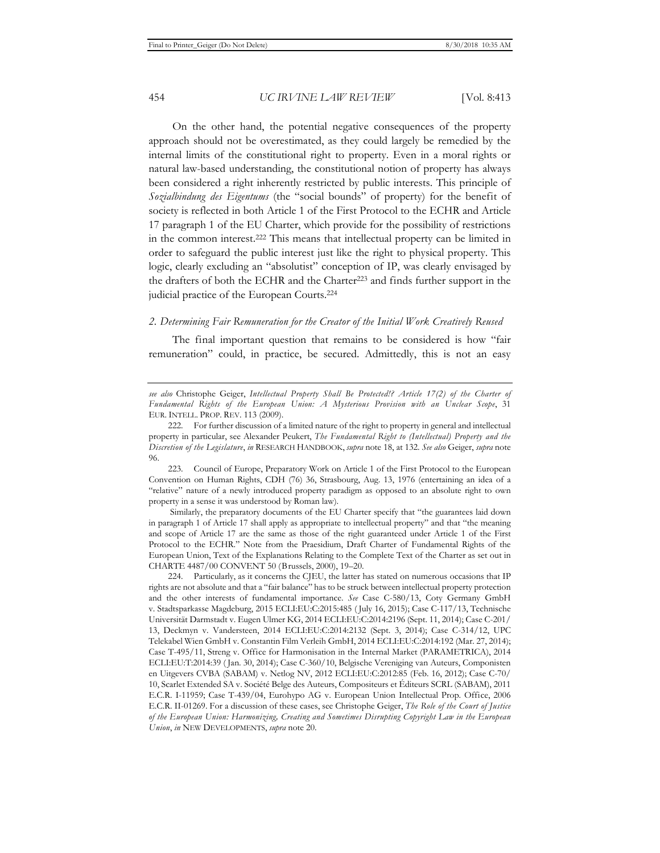On the other hand, the potential negative consequences of the property approach should not be overestimated, as they could largely be remedied by the internal limits of the constitutional right to property. Even in a moral rights or natural law-based understanding, the constitutional notion of property has always been considered a right inherently restricted by public interests. This principle of *Sozialbindung des Eigentums* (the "social bounds" of property) for the benefit of society is reflected in both Article 1 of the First Protocol to the ECHR and Article 17 paragraph 1 of the EU Charter, which provide for the possibility of restrictions in the common interest.222 This means that intellectual property can be limited in order to safeguard the public interest just like the right to physical property. This logic, clearly excluding an "absolutist" conception of IP, was clearly envisaged by the drafters of both the ECHR and the Charter<sup>223</sup> and finds further support in the judicial practice of the European Courts.224

#### *2. Determining Fair Remuneration for the Creator of the Initial Work Creatively Reused*

The final important question that remains to be considered is how "fair remuneration" could, in practice, be secured. Admittedly, this is not an easy

223. Council of Europe, Preparatory Work on Article 1 of the First Protocol to the European Convention on Human Rights, CDH (76) 36, Strasbourg, Aug. 13, 1976 (entertaining an idea of a "relative" nature of a newly introduced property paradigm as opposed to an absolute right to own property in a sense it was understood by Roman law).

 Similarly, the preparatory documents of the EU Charter specify that "the guarantees laid down in paragraph 1 of Article 17 shall apply as appropriate to intellectual property" and that "the meaning and scope of Article 17 are the same as those of the right guaranteed under Article 1 of the First Protocol to the ECHR." Note from the Praesidium, Draft Charter of Fundamental Rights of the European Union, Text of the Explanations Relating to the Complete Text of the Charter as set out in CHARTE 4487/00 CONVENT 50 (Brussels, 2000), 19–20.

224. Particularly, as it concerns the CJEU, the latter has stated on numerous occasions that IP rights are not absolute and that a "fair balance" has to be struck between intellectual property protection and the other interests of fundamental importance. *See* Case C-580/13, Coty Germany GmbH v. Stadtsparkasse Magdeburg, 2015 ECLI:EU:C:2015:485 ( July 16, 2015); Case C-117/13, Technische Universität Darmstadt v. Eugen Ulmer KG, 2014 ECLI:EU:C:2014:2196 (Sept. 11, 2014); Case C-201/ 13, Deckmyn v. Vandersteen, 2014 ECLI:EU:C:2014:2132 (Sept. 3, 2014); Case C-314/12, UPC Telekabel Wien GmbH v. Constantin Film Verleih GmbH, 2014 ECLI:EU:C:2014:192 (Mar. 27, 2014); Case T-495/11, Streng v. Office for Harmonisation in the Internal Market (PARAMETRICA), 2014 ECLI:EU:T:2014:39 ( Jan. 30, 2014); Case C-360/10, Belgische Vereniging van Auteurs, Componisten en Uitgevers CVBA (SABAM) v. Netlog NV, 2012 ECLI:EU:C:2012:85 (Feb. 16, 2012); Case C-70/ 10, Scarlet Extended SA v. Société Belge des Auteurs, Compositeurs et Éditeurs SCRL (SABAM), 2011 E.C.R. I-11959; Case T-439/04, Eurohypo AG v. European Union Intellectual Prop. Office, 2006 E.C.R. II-01269. For a discussion of these cases, see Christophe Geiger, *The Role of the Court of Justice of the European Union: Harmonizing, Creating and Sometimes Disrupting Copyright Law in the European Union*, *in* NEW DEVELOPMENTS, *supra* note 20.

*see also* Christophe Geiger, *Intellectual Property Shall Be Protected!? Article 17(2) of the Charter of Fundamental Rights of the European Union: A Mysterious Provision with an Unclear Scope*, 31 EUR. INTELL. PROP. REV. 113 (2009).

<sup>222.</sup> For further discussion of a limited nature of the right to property in general and intellectual property in particular, see Alexander Peukert, *The Fundamental Right to (Intellectual) Property and the Discretion of the Legislature*, *in* RESEARCH HANDBOOK, *supra* note 18, at 132. *See also* Geiger, *supra* note 96.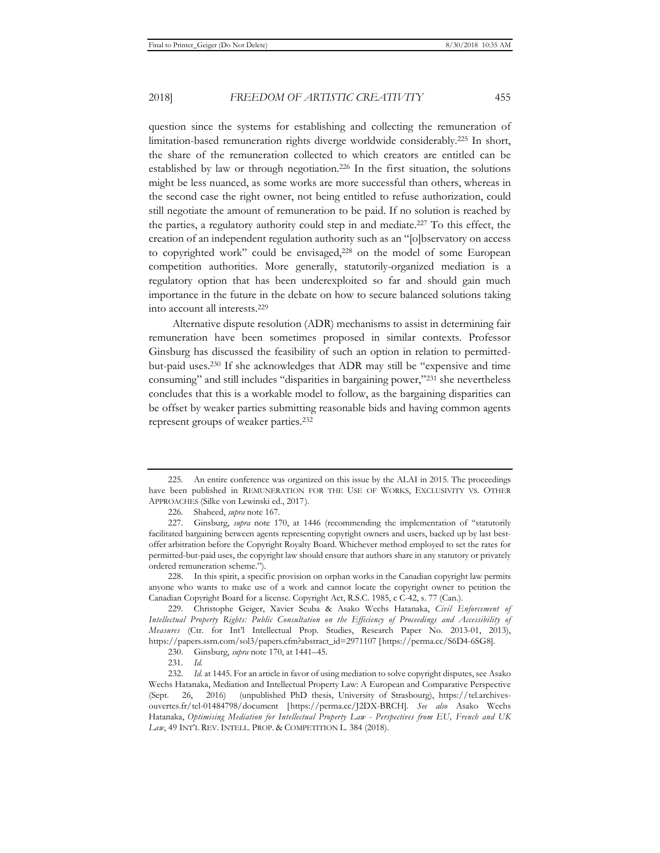question since the systems for establishing and collecting the remuneration of limitation-based remuneration rights diverge worldwide considerably.225 In short, the share of the remuneration collected to which creators are entitled can be established by law or through negotiation.<sup>226</sup> In the first situation, the solutions might be less nuanced, as some works are more successful than others, whereas in the second case the right owner, not being entitled to refuse authorization, could still negotiate the amount of remuneration to be paid. If no solution is reached by the parties, a regulatory authority could step in and mediate.227 To this effect, the creation of an independent regulation authority such as an "[o]bservatory on access to copyrighted work" could be envisaged,<sup>228</sup> on the model of some European competition authorities. More generally, statutorily-organized mediation is a regulatory option that has been underexploited so far and should gain much importance in the future in the debate on how to secure balanced solutions taking into account all interests.229

Alternative dispute resolution (ADR) mechanisms to assist in determining fair remuneration have been sometimes proposed in similar contexts. Professor Ginsburg has discussed the feasibility of such an option in relation to permittedbut-paid uses.230 If she acknowledges that ADR may still be "expensive and time consuming" and still includes "disparities in bargaining power,"231 she nevertheless concludes that this is a workable model to follow, as the bargaining disparities can be offset by weaker parties submitting reasonable bids and having common agents represent groups of weaker parties.232

<sup>225.</sup> An entire conference was organized on this issue by the ALAI in 2015. The proceedings have been published in REMUNERATION FOR THE USE OF WORKS, EXCLUSIVITY VS. OTHER APPROACHES (Silke von Lewinski ed., 2017).

<sup>226.</sup> Shaheed, *supra* note 167.

<sup>227.</sup> Ginsburg, *supra* note 170, at 1446 (recommending the implementation of "statutorily facilitated bargaining between agents representing copyright owners and users, backed up by last bestoffer arbitration before the Copyright Royalty Board. Whichever method employed to set the rates for permitted-but-paid uses, the copyright law should ensure that authors share in any statutory or privately ordered remuneration scheme.").

<sup>228.</sup> In this spirit, a specific provision on orphan works in the Canadian copyright law permits anyone who wants to make use of a work and cannot locate the copyright owner to petition the Canadian Copyright Board for a license. Copyright Act, R.S.C. 1985, c C-42, s. 77 (Can.).

<sup>229.</sup> Christophe Geiger, Xavier Seuba & Asako Wechs Hatanaka, *Civil Enforcement of Intellectual Property Rights: Public Consultation on the Efficiency of Proceedings and Accessibility of Measures* (Ctr. for Int'l Intellectual Prop. Studies, Research Paper No. 2013-01, 2013), https://papers.ssrn.com/sol3/papers.cfm?abstract\_id=2971107 [https://perma.cc/S6D4-6SG8].

<sup>230.</sup> Ginsburg, *supra* note 170, at 1441–45.

<sup>231.</sup> *Id.*

<sup>232.</sup> *Id.* at 1445. For an article in favor of using mediation to solve copyright disputes, see Asako Wechs Hatanaka, Mediation and Intellectual Property Law: A European and Comparative Perspective (Sept. 26, 2016) (unpublished PhD thesis, University of Strasbourg), https://tel.archivesouvertes.fr/tel-01484798/document [https://perma.cc/J2DX-BRCH]. *See also* Asako Wechs Hatanaka, *Optimising Mediation for Intellectual Property Law - Perspectives from EU, French and UK*  Law, 49 INT'L REV. INTELL. PROP. & COMPETITION L. 384 (2018).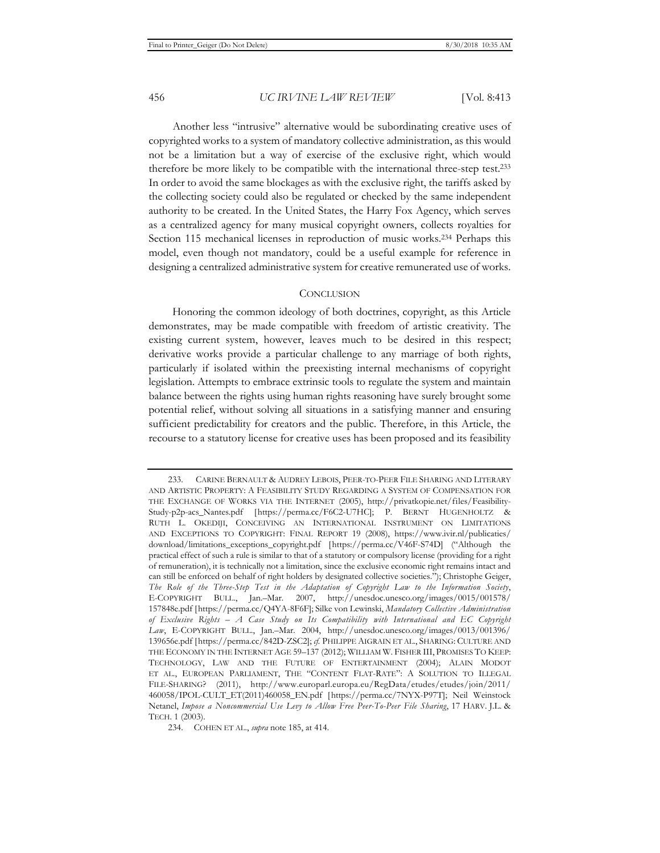Another less "intrusive" alternative would be subordinating creative uses of copyrighted works to a system of mandatory collective administration, as this would not be a limitation but a way of exercise of the exclusive right, which would therefore be more likely to be compatible with the international three-step test.233 In order to avoid the same blockages as with the exclusive right, the tariffs asked by the collecting society could also be regulated or checked by the same independent authority to be created. In the United States, the Harry Fox Agency, which serves as a centralized agency for many musical copyright owners, collects royalties for Section 115 mechanical licenses in reproduction of music works.234 Perhaps this model, even though not mandatory, could be a useful example for reference in designing a centralized administrative system for creative remunerated use of works.

#### **CONCLUSION**

Honoring the common ideology of both doctrines, copyright, as this Article demonstrates, may be made compatible with freedom of artistic creativity. The existing current system, however, leaves much to be desired in this respect; derivative works provide a particular challenge to any marriage of both rights, particularly if isolated within the preexisting internal mechanisms of copyright legislation. Attempts to embrace extrinsic tools to regulate the system and maintain balance between the rights using human rights reasoning have surely brought some potential relief, without solving all situations in a satisfying manner and ensuring sufficient predictability for creators and the public. Therefore, in this Article, the recourse to a statutory license for creative uses has been proposed and its feasibility

<sup>233.</sup> CARINE BERNAULT & AUDREY LEBOIS, PEER-TO-PEER FILE SHARING AND LITERARY AND ARTISTIC PROPERTY: A FEASIBILITY STUDY REGARDING A SYSTEM OF COMPENSATION FOR THE EXCHANGE OF WORKS VIA THE INTERNET (2005), http://privatkopie.net/files/Feasibility-Study-p2p-acs\_Nantes.pdf [https://perma.cc/F6C2-U7HC]; P. BERNT HUGENHOLTZ & RUTH L. OKEDIJI, CONCEIVING AN INTERNATIONAL INSTRUMENT ON LIMITATIONS AND EXCEPTIONS TO COPYRIGHT: FINAL REPORT 19 (2008), https://www.ivir.nl/publicaties/ download/limitations\_exceptions\_copyright.pdf [https://perma.cc/V46F-S74D] ("Although the practical effect of such a rule is similar to that of a statutory or compulsory license (providing for a right of remuneration), it is technically not a limitation, since the exclusive economic right remains intact and can still be enforced on behalf of right holders by designated collective societies."); Christophe Geiger, *The Role of the Three-Step Test in the Adaptation of Copyright Law to the Information Society*, E-COPYRIGHT BULL., Jan.–Mar. 2007, http://unesdoc.unesco.org/images/0015/001578/ 157848e.pdf [https://perma.cc/Q4YA-8F6F]; Silke von Lewinski, *Mandatory Collective Administration of Exclusive Rights – A Case Study on Its Compatibility with International and EC Copyright Law*, E-COPYRIGHT BULL., Jan.–Mar. 2004, http://unesdoc.unesco.org/images/0013/001396/ 139656e.pdf [https://perma.cc/842D-ZSC2]; *cf.* PHILIPPE AIGRAIN ET AL., SHARING: CULTURE AND THE ECONOMY IN THE INTERNET AGE 59–137 (2012); WILLIAM W. FISHER III, PROMISES TO KEEP: TECHNOLOGY, LAW AND THE FUTURE OF ENTERTAINMENT (2004); ALAIN MODOT ET AL., EUROPEAN PARLIAMENT, THE "CONTENT FLAT-RATE": A SOLUTION TO ILLEGAL FILE-SHARING? (2011), http://www.europarl.europa.eu/RegData/etudes/etudes/join/2011/ 460058/IPOL-CULT\_ET(2011)460058\_EN.pdf [https://perma.cc/7NYX-P97T]; Neil Weinstock Netanel, *Impose a Noncommercial Use Levy to Allow Free Peer-To-Peer File Sharing*, 17 HARV. J.L. & TECH. 1 (2003).

<sup>234.</sup> COHEN ET AL., *supra* note 185, at 414.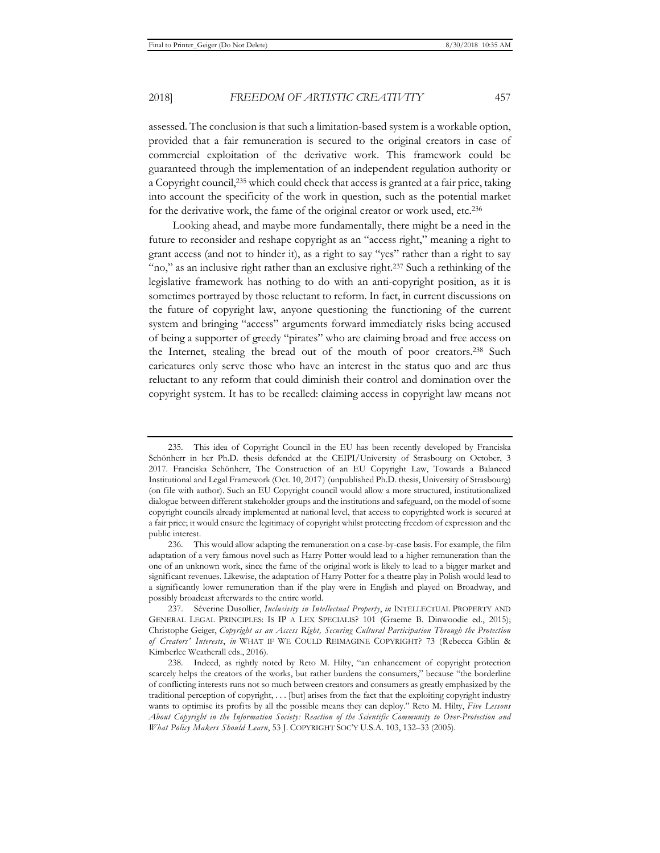assessed. The conclusion is that such a limitation-based system is a workable option, provided that a fair remuneration is secured to the original creators in case of commercial exploitation of the derivative work. This framework could be guaranteed through the implementation of an independent regulation authority or a Copyright council,235 which could check that access is granted at a fair price, taking into account the specificity of the work in question, such as the potential market for the derivative work, the fame of the original creator or work used, etc.236

Looking ahead, and maybe more fundamentally, there might be a need in the future to reconsider and reshape copyright as an "access right," meaning a right to grant access (and not to hinder it), as a right to say "yes" rather than a right to say "no," as an inclusive right rather than an exclusive right.<sup>237</sup> Such a rethinking of the legislative framework has nothing to do with an anti-copyright position, as it is sometimes portrayed by those reluctant to reform. In fact, in current discussions on the future of copyright law, anyone questioning the functioning of the current system and bringing "access" arguments forward immediately risks being accused of being a supporter of greedy "pirates" who are claiming broad and free access on the Internet, stealing the bread out of the mouth of poor creators.238 Such caricatures only serve those who have an interest in the status quo and are thus reluctant to any reform that could diminish their control and domination over the copyright system. It has to be recalled: claiming access in copyright law means not

<sup>235.</sup> This idea of Copyright Council in the EU has been recently developed by Franciska Schönherr in her Ph.D. thesis defended at the CEIPI/University of Strasbourg on October, 3 2017. Franciska Schönherr, The Construction of an EU Copyright Law, Towards a Balanced Institutional and Legal Framework (Oct. 10, 2017) (unpublished Ph.D. thesis, University of Strasbourg) (on file with author). Such an EU Copyright council would allow a more structured, institutionalized dialogue between different stakeholder groups and the institutions and safeguard, on the model of some copyright councils already implemented at national level, that access to copyrighted work is secured at a fair price; it would ensure the legitimacy of copyright whilst protecting freedom of expression and the public interest.

<sup>236.</sup> This would allow adapting the remuneration on a case-by-case basis. For example, the film adaptation of a very famous novel such as Harry Potter would lead to a higher remuneration than the one of an unknown work, since the fame of the original work is likely to lead to a bigger market and significant revenues. Likewise, the adaptation of Harry Potter for a theatre play in Polish would lead to a significantly lower remuneration than if the play were in English and played on Broadway, and possibly broadcast afterwards to the entire world.

<sup>237.</sup> Séverine Dusollier, *Inclusivity in Intellectual Property*, *in* INTELLECTUAL PROPERTY AND GENERAL LEGAL PRINCIPLES: IS IP A LEX SPECIALIS? 101 (Graeme B. Dinwoodie ed., 2015); Christophe Geiger, *Copyright as an Access Right, Securing Cultural Participation Through the Protection of Creators' Interests*, *in* WHAT IF WE COULD REIMAGINE COPYRIGHT? 73 (Rebecca Giblin & Kimberlee Weatherall eds., 2016).

<sup>238.</sup> Indeed, as rightly noted by Reto M. Hilty, "an enhancement of copyright protection scarcely helps the creators of the works, but rather burdens the consumers," because "the borderline of conflicting interests runs not so much between creators and consumers as greatly emphasized by the traditional perception of copyright, . . . [but] arises from the fact that the exploiting copyright industry wants to optimise its profits by all the possible means they can deploy." Reto M. Hilty, *Five Lessons About Copyright in the Information Society: Reaction of the Scientific Community to Over-Protection and What Policy Makers Should Learn*, 53 J. COPYRIGHT SOC'Y U.S.A. 103, 132–33 (2005).